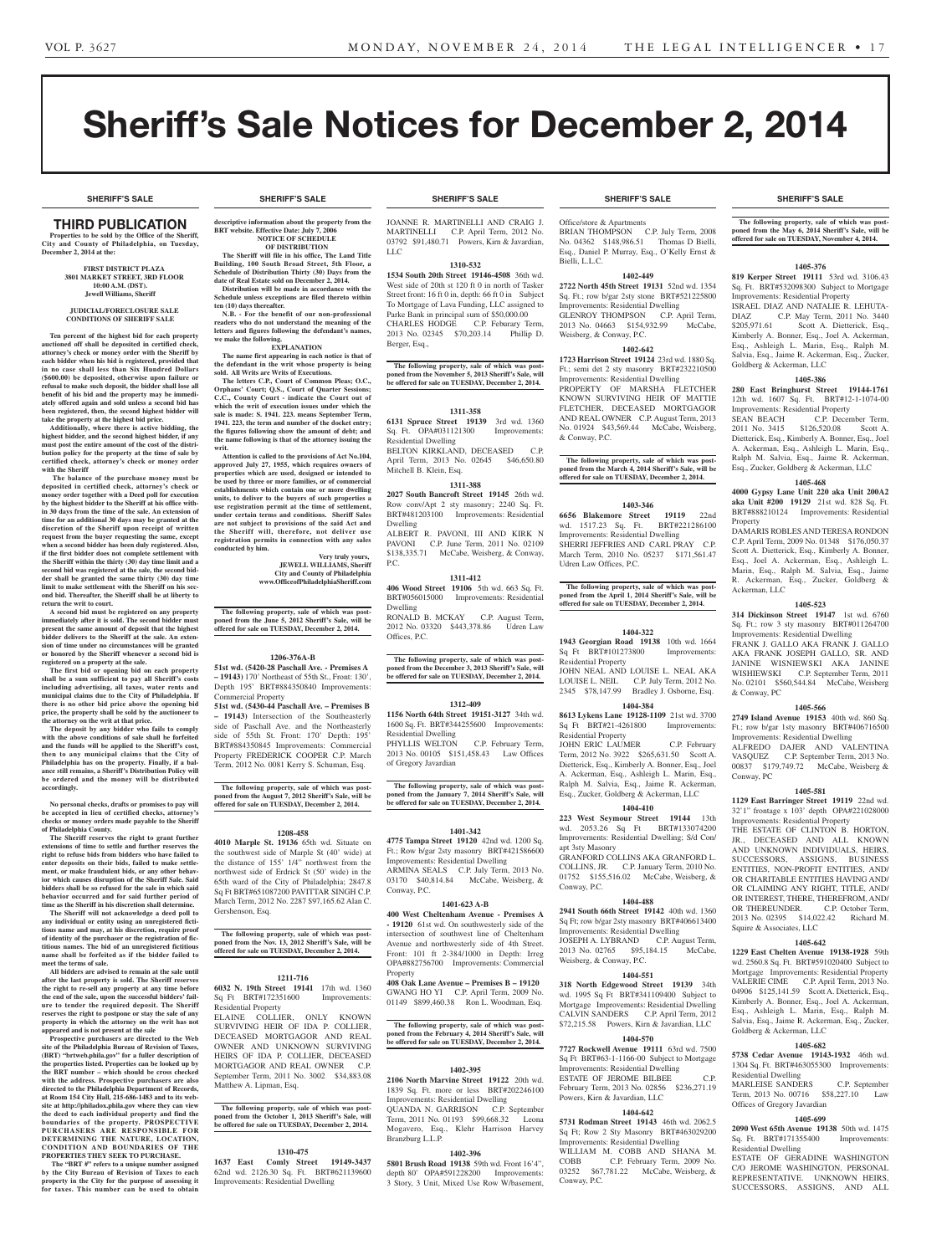# Sheriff's Sale Notices for December 2, 2014

**SHERIFF'S SALE SHERIFF'S SALE SHERIFF'S SALE SHERIFF'S SALE SHERIFF'S SALE**

# Third PUBLICATION

**Properties to be sold by the Office of the Sheriff, City and County of Philadelphia, on Tuesday, December 2, 2014 at the:** 

#### **First District Plaza 3801 Market Street, 3rd Floor 10:00 A.M. (DST). Jewell Williams, Sheriff**

#### **JUDICIAL/FORECLOSURE SALE CONDITIONS OF SHERIFF SALE**

**Ten percent of the highest bid for each property auctioned off shall be deposited in certified check, attorney's check or money order with the Sheriff by each bidder when his bid is registered, provided that in no case shall less than Six Hundred Dollars (\$600.00) be deposited, otherwise upon failure or refusal to make such deposit, the bidder shall lose all benefit of his bid and the property may be immediately offered again and sold unless a second bid has been registered, then, the second highest bidder will take the property at the highest bid price.**

**Additionally, where there is active bidding, the highest bidder, and the second highest bidder, if any must post the entire amount of the cost of the distribution policy for the property at the time of sale by certified check, attorney's check or money order with the Sheriff**

 **The balance of the purchase money must be deposited in certified check, attorney's check or money order together with a Deed poll for execution by the highest bidder to the Sheriff at his office within 30 days from the time of the sale. An extension of time for an additional 30 days may be granted at the discretion of the Sheriff upon receipt of written request from the buyer requesting the same, except when a second bidder has been duly registered. Also, if the first bidder does not complete settlement with the Sheriff within the thirty (30) day time limit and a second bid was registered at the sale, the second bidder shall be granted the same thirty (30) day time limit to make settlement with the Sheriff on his second bid. Thereafter, the Sheriff shall be at liberty to return the writ to court.**

**A second bid must be registered on any property immediately after it is sold. The second bidder must present the same amount of deposit that the highest bidder delivers to the Sheriff at the sale. An exten-sion of time under no circumstances will be granted or honored by the Sheriff whenever a second bid is registered on a property at the sale.** 

**The first bid or opening bid on each property shall be a sum sufficient to pay all Sheriff's costs including advertising, all taxes, water rents and municipal claims due to the City of Philadelphia. If there is no other bid price above the opening bid price, the property shall be sold by the auctioneer to** 

**the attorney on the writ at that price. The deposit by any bidder who fails to comply with the above conditions of sale shall be forfeited and the funds will be applied to the Sheriff's cost, then to any municipal claims that the City of Philadelphia has on the property. Finally, if a bal-ance still remains, a Sheriff's Distribution Policy will be ordered and the money will be distributed accordingly.**

**No personal checks, drafts or promises to pay will be accepted in lieu of certified checks, attorney's checks or money orders made payable to the Sheriff of Philadelphia County.**

**The Sheriff reserves the right to grant further extensions of time to settle and further reserves the right to refuse bids from bidders who have failed to enter deposits on their bids, failed to make settlement, or make fraudulent bids, or any other behavior which causes disruption of the Sheriff Sale. Said bidders shall be so refused for the sale in which said behavior occurred and for said further period of time as the Sheriff in his discretion shall determine.**

**The Sheriff will not acknowledge a deed poll to any individual or entity using an unregistered fictitious name and may, at his discretion, require proof of identity of the purchaser or the registration of fictitious names. The bid of an unregistered fictitious name shall be forfeited as if the bidder failed to meet the terms of sale.**

**All bidders are advised to remain at the sale until after the last property is sold. The Sheriff reserves the right to re-sell any property at any time before the end of the sale, upon the successful bidders' failure to tender the required deposit. The Sheriff reserves the right to postpone or stay the sale of any property in which the attorney on the writ has not appeared and is not present at the sale**

**Prospective purchasers are directed to the Web site of the Philadelphia Bureau of Revision of Taxes, (BRT) "brtweb.phila.gov" for a fuller description of the properties listed. Properties can be looked up by the BRT number – which should be cross checked with the address. Prospective purchasers are also directed to the Philadelphia Department of Records, at Room 154 City Hall, 215-686-1483 and to its web-site at http://philadox.phila.gov where they can view the deed to each individual property and find the boundaries of the property. PROSPECTIVE PURCHASERS ARE RESPONSIBLE FOR DETERMINING THE NATURE, LOCATION, CONDITION AND BOUNDARIES OF THE PROPERTIES THEY SEEK TO PURCHASE.**

 **The "BRT #" refers to a unique number assigned by the City Bureau of Revision of Taxes to each property in the City for the purpose of assessing it for taxes. This number can be used to obtain** 

# **SHERIFF'S SALE SHERIFF'S SALE SHERIFF'S SALE SHERIFF'S SALE SHERIFF'S SALE**

**descriptive information about the property from the BRT** website. Effective Date: July 7, 20 **NOTICE OF SCHEDULE OF DISTRIBUTION**

**The Sheriff will file in his office, The Land Title Building, 100 South Broad Street, 5th Floor, a Schedule of Distribution Thirty (30) Days from the date of Real Estate sold on December 2, 2014. Distribution will be made in accordance with the** 

**Schedule unless exceptions are filed thereto within ten (10) days thereafter. N.B.** - For the benefit of our non-profession **readers who do not understand the meaning of the letters and figures following the defendant's names,** 

#### **we make the following. EXPLANATION**

**The name first appearing in each notice is that of the defendant in the writ whose property is being sold. All Writs are Writs of Executions. The letters C.P., Court of Common Pleas; O.C.,** 

**Orphans' Court; Q.S., Court of Quarter Sessions; C.C., County Court - indicate the Court out of which the writ of execution issues under which the sale is made: S. 1941. 223. means September Term, 1941. 223, the term and number of the docket entry; the figures following show the amount of debt; and the name following is that of the attorney issuing the writ.**

**Attention is called to the provisions of Act No.104, approved July 27, 1955, which requires owners of properties which are used, designed or intended to be used by three or more families, or of commercial establishments which contain one or more dwelling units, to deliver to the buyers of such properties a use registration permit at the time of settlement, under certain terms and conditions. Sheriff Sales are not subject to provisions of the said Act and the Sheriff will, therefore, not deliver use registration permits in connection with any sales conducted by him.**

**Very truly yours, JEWELL WILLIAMS, Sheriff City and County of Philadelphia www.OfficeofPhiladelphiaSheriff.com**

**The following property, sale of which was post-poned from the June 5, 2012 Sheriff's Sale, will be offered for sale on TUESDAY, December 2, 2014.**

### **1206-376A-B**

**51st wd. (5420-28 Paschall Ave. - Premises A – 19143)** 170' Northeast of 55th St., Front: 130', Depth 195' BRT#884350840 Improvements: Commercial Property

**51st wd. (5430-44 Paschall Ave. – Premises B – 19143)** Intersection of the Southeasterly side of Paschall Ave. and the Northeasterly side of 55th St. Front: 170' Depth: 195' BRT#884350845 Improvements: Commercial Property FREDERICK COOPER C.P. March Term, 2012 No. 0081 Kerry S. Schuman, Esq.

**The following property, sale of which was post-poned from the August 7, 2012 Sheriff's Sale, will be offered for sale on TUESDAY, December 2, 2014.**

#### **1208-458**

**4010 Marple St. 19136** 65th wd. Situate on the southwest side of Marple St (40' wide) at the distance of 155' 1/4" northwest from the northwest side of Erdrick St (50' wide) in the 65th ward of the City of Philadelphia; 2847.8 Sq Ft BRT#651087200 PAVITTAR SINGH C.P. March Term, 2012 No. 2287 \$97,165.62 Alan C. Gershenson, Esq.

**The following property, sale of which was postponed from the Nov. 13, 2012 Sheriff's Sale, will be offered for sale on TUESDAY, December 2, 2014.**

#### **1211-716**

**6032 N. 19th Street 19141** 17th wd. 1360 Sq Ft BRT#172351600 Improvements: Residential Property

ELAINE COLLIER, ONLY KNOWN SURVIVING HEIR OF IDA P. COLLIER, DECEASED MORTGAGOR AND REAL OWNER AND UNKNOWN SURVIVING HEIRS OF IDA P. COLLIER, DECEASED MORTGAGOR AND REAL OWNER C.P. September Term, 2011 No. 3002 \$34,883.08 Matthew A. Lipman, Esq.

**The following property, sale of which was post-poned from the October 1, 2013 Sheriff's Sale, will be offered for sale on TUESDAY, December 2, 2014.**

### **1310-475**

**1637 East Comly Street 19149-3437**  62nd wd. 2126.30 Sq. Ft. BRT#621139600 Improvements: Residential Dwelling

JOANNE R. MARTINELLI AND CRAIG J. MARTINELLI C.P. April Term, 2012 No. 03792 \$91,480.71 Powers, Kirn & Javardian, LLC

### **1310-532**

**1534 South 20th Street 19146-4508** 36th wd. West side of 20th st 120 ft 0 in north of Tasker Street front: 16 ft 0 in, depth: 66 ft 0 in Subject To Mortgage of Lava Funding, LLC assigned to Parke Bank in principal sum of \$50,000.00 CHARLES HODGE C.P. Feburary Term, 2013 No. 02345 \$70,203.14 Phillip D. Berger, Esq.,

**The following property, sale of which was postponed from the November 5, 2013 Sheriff's Sale, will be offered for sale on TUESDAY, December 2, 2014.**

#### **1311-358**

**6131 Spruce Street 19139** 3rd wd. 1360 Sq. Ft. OPA#031121300 Improvements: Residential Dwelling BELTON KIRKLAND, DECEASED C.P. April Term, 2013 No. 02645 \$46,650.80 Mitchell B. Klein, Esq.

## **1311-388**

**2027 South Bancroft Street 19145** 26th wd. Row conv/Apt 2 sty masonry; 2240 Sq. Ft. BRT#481203100 Improvements: Residential Dwelling ALBERT R. PAVONI, III AND KIRK N PAVONI C.P. June Term, 2011 No. 02109 \$138,335.71 McCabe, Weisberg, & Conway, P.C.

## **1311-412**

**406 Wood Street 19106** 5th wd. 663 Sq. Ft. BRT#056015000 Improvements: Residential Dwelling RONALD B. MCKAY C.P. August Term, 2012 No. 03320 \$443,378.86 Udren Law

Offices, P.C. **The following property, sale of which was post-**

**poned from the December 3, 2013 Sheriff's Sale, will be offered for sale on TUESDAY, December 2, 2014.**

## **1312-409**

**1156 North 64th Street 19151-3127** 34th wd. 1600 Sq. Ft. BRT#344255600 Improvements: Residential Dwelling PHYLLIS WELTON C.P. February Term, 2013 No. 00105 \$151,458.43 Law Offices of Gregory Javardian

**The following property, sale of which was post-poned from the January 7, 2014 Sheriff's Sale, will be offered for sale on TUESDAY, December 2, 2014.**

#### **1401-342**

**4775 Tampa Street 19120** 42nd wd. 1200 Sq. Ft.; Row b/gar 2sty masonry BRT#421586600 Improvements: Residential Dwelling ARMINA SEALS C.P. July Term, 2013 No. 03170 \$40,814.84 McCabe, Weisberg, & Conway, P.C.

#### **1401-623 A-B**

**400 West Cheltenham Avenue - Premises A - 19120** 61st wd. On southwesterly side of the intersection of southwest line of Cheltenham Avenue and northwesterly side of 4th Street. Front: 101 ft 2-384/1000 in Depth: Irreg OPA#882756700 Improvements: Commercial

Property **408 Oak Lane Avenue – Premises B – 19120** GWANG HO YI C.P. April Term, 2009 No. 01149 \$899,460.38 Ron L. Woodman, Esq.

# **The following property, sale of which was postponed from the February 4, 2014 Sheriff's Sale, will be offered for sale on TUESDAY, December 2, 2014.**

**1402-395 2106 North Marvine Street 19122** 20th wd. 1839 Sq. Ft. more or less BRT#202246100 Improvements: Residential Dwelling QUANDA N. GARRISON C.P. September Term, 2011 No. 01193 \$99,668.32 Leona Mogavero, Esq., Klehr Harrison Harvey Branzburg L.L.P.

## **1402-396**

**5801 Brush Road 19138** 59th wd. Front 16'4", depth 80' OPA#591228200 Improvements: 3 Story, 3 Unit, Mixed Use Row W/basement,

Office/store & Apartments BRIAN THOMPSON C.P. July Term, 2008 No. 04362 \$148,986.51 Thomas D Bielli, Esq., Daniel P. Murray, Esq., O'Kelly Ernst & Bielli, L.L.C.

## **1402-449**

**2722 North 45th Street 19131** 52nd wd. 1354 Sq. Ft.; row b/gar 2sty stone BRT#521225800 Improvements: Residential Dwelling GLENROY THOMPSON C.P. April Term, 2013 No. 04663 \$154,932.99 McCabe, Weisberg, & Conway, P.C.

## **1402-642**

**1723 Harrison Street 19124** 23rd wd. 1880 Sq. Ft.; semi det 2 sty masonry BRT#232210500 Improvements: Residential Dwelling PROPERTY OF MARSHA FLETCHER KNOWN SURVIVING HEIR OF MATTIE FLETCHER, DECEASED MORTGAGOR AND REAL OWNER C.P. August Term, 2013 No. 01924 \$43,569.44 McCabe, Weisberg, & Conway, P.C.

**The following property, sale of which was postponed from the March 4, 2014 Sheriff's Sale, will be offered for sale on TUESDAY, December 2, 2014.**

### **1403-346**

**6656 Blakemore Street 19119** 22nd<br>wd. 1517.23 Sq. Ft. BRT#221286100 wd. 1517.23 Sq. Ft. Improvements: Residential Dwelling SHERRI JEFFRIES AND CARL PRAY C.P. March Term, 2010 No. 05237 \$171,561.47 Udren Law Offices, P.C.

**The following property, sale of which was postponed from the April 1, 2014 Sheriff's Sale, will be offered for sale on TUESDAY, December 2, 2014.**

## **1404-322**

**1943 Georgian Road 19138** 10th wd. 1664 Sq Ft BRT#101273800 Improvements: Residential Property JOHN NEAL AND LOUISE L. NEAL AKA LOUISE L. NEIL C.P. July Term, 2012 No. 2345 \$78,147.99 Bradley J. Osborne, Esq.

**1404-384**

**8613 Lykens Lane 19128-1109** 21st wd. 3700 Sq Ft BRT#21-4261800 Improvements: Residential Property JOHN ERIC LAUMER C.P. February Term, 2012 No. 3922 \$265,631.50 Scott A.

Dietterick, Esq., Kimberly A. Bonner, Esq., Joel A. Ackerman, Esq., Ashleigh L. Marin, Esq., Ralph M. Salvia, Esq., Jaime R. Ackerman, Esq., Zucker, Goldberg & Ackerman, LLC **1404-410**

**223 West Seymour Street 19144** 13th wd. 2053.26 Sq Ft BRT#133074200 Improvements: Residential Dwelling; S/d Con/ apt 3sty Masonry GRANFORD COLLINS AKA GRANFORD L. COLLINS, JR. C.P. January Term, 2010 No.

01752 \$155,516.02 McCabe, Weisberg, & Conway, P.C. **1404-488 2941 South 66th Street 19142** 40th wd. 1360

Sq Ft; row b/gar 2sty masonry BRT#406613400 Improvements: Residential Dwelling JOSEPH A. LYBRAND C.P. August Term,

2013 No. 02765 \$95,184.15 McCabe, Weisberg, & Conway, P.C. **1404-551**

# **318 North Edgewood Street 19139** 34th

wd. 1995 Sq Ft BRT#341109400 Subject to Mortgage Improvements: Residential Dwelling CALVIN SANDERS C.P. April Term, 2012 \$72,215.58 Powers, Kirn & Javardian, LLC

## **1404-570**

**7727 Rockwell Avenue 19111** 63rd wd. 7500 Sq Ft BRT#63-1-1166-00 Subject to Mortgage Improvements: Residential Dwelling ESTATE OF JEROME BILBEE C.P. February Term, 2013 No. 02856 \$236,271.19 Powers, Kirn & Javardian, LLC

## **1404-642**

**5731 Rodman Street 19143** 46th wd. 2062.5 Sq Ft; Row 2 Sty Masonry BRT#463029200 Improvements: Residential Dwelling WILLIAM M. COBB AND SHANA M.<br>COBB CP February Term 2009 No. C.P. February Term, 2009 No. 03252 \$67,781.22 McCabe, Weisberg, & Conway, P.C.

**The following property, sale of which was postponed from the May 6, 2014 Sheriff's Sale, will be offered for sale on TUESDAY, November 4, 2014.**

## **1405-376**

**819 Kerper Street 19111** 53rd wd. 3106.43 Sq. Ft. BRT#532098300 Subject to Mortgage Improvements: Residential Property ISRAEL DIAZ AND NATALIE R. LEHUTA-DIAZ C.P. May Term, 2011 No. 3440 \$205,971.61 Scott A. Dietterick, Esq., Kimberly A. Bonner, Esq., Joel A. Ackerman, Esq., Ashleigh L. Marin, Esq., Ralph M. Salvia, Esq., Jaime R. Ackerman, Esq., Zucker, Goldberg & Ackerman, LLC

## **1405-386**

**280 East Bringhurst Street 19144-1761**  12th wd. 1607 Sq. Ft. BRT#12-1-1074-00

Improvements: Residential Property<br>SEAN BEACH C.P. Decer C.P. December Term, 2011 No. 3415 \$126,520.08 Scott A. Dietterick, Esq., Kimberly A. Bonner, Esq., Joel A. Ackerman, Esq., Ashleigh L. Marin, Esq., Ralph M. Salvia, Esq., Jaime R. Ackerman, Esq., Zucker, Goldberg & Ackerman, LLC

**1405-468 4000 Gypsy Lane Unit 220 aka Unit 200A2 aka Unit #200 19129** 21st wd. 828 Sq. Ft. BRT#888210124 Improvements: Residential

DAMARIS ROBLES AND TERESA RONDON C.P. April Term, 2009 No. 01348 \$176,050.37 Scott A. Dietterick, Esq., Kimberly A. Bonner, Esq., Joel A. Ackerman, Esq., Ashleigh L. Marin, Esq., Ralph M. Salvia, Esq., Jaime R. Ackerman, Esq., Zucker, Goldberg &

**1405-523 314 Dickinson Street 19147** 1st wd. 6760 Sq. Ft.; row 3 sty masonry BRT#011264700 Improvements: Residential Dwelling FRANK J. GALLO AKA FRANK J. GALLO AKA FRANK JOSEPH GALLO, SR. AND JANINE WISNIEWSKI AKA JANINE WISHIEWSKI C.P. September Term, 2011 No. 02101 \$560,544.84 McCabe, Weisberg

**1405-566 2749 Island Avenue 19153** 40th wd. 860 Sq. Ft.; row b/gar 1sty masonry BRT#406716500 Improvements: Residential Dwelling ALFREDO DAJER AND VALENTINA VASQUEZ C.P. September Term, 2013 No. 00837 \$179,749.72 McCabe, Weisberg &

**1405-581 1129 East Barringer Street 19119** 22nd wd. 32'1" frontage x 103' depth OPA#221028000 Improvements: Residential Property THE ESTATE OF CLINTON B. HORTON, JR., DECEASED AND ALL KNOWN AND UNKNOWN INDIVIDUALS, HEIRS, SUCCESSORS, ASSIGNS, BUSINESS ENTITIES, NON-PROFIT ENTITIES, AND/ OR CHARITABLE ENTITIES HAVING AND/ OR CLAIMING ANY RIGHT, TITLE, AND/ OR INTEREST, THERE, THEREFROM, AND/ OR THEREUNDER. C.P. October Term, 2013 No. 02395 \$14,022.42 Richard M.

**1405-642 1229 East Chelten Avenue 19138-1928** 59th wd. 2560.8 Sq. Ft. BRT#591020400 Subject to Mortgage Improvements: Residential Property VALERIE CIME C.P. April Term, 2013 No. 04906 \$125,141.59 Scott A. Dietterick, Esq., Kimberly A. Bonner, Esq., Joel A. Ackerman, Esq., Ashleigh L. Marin, Esq., Ralph M. Salvia, Esq., Jaime R. Ackerman, Esq., Zucker,

**1405-682 5738 Cedar Avenue 19143-1932** 46th wd. 1304 Sq. Ft. BRT#463055300 Improvements:

MARLEISE SANDERS C.P. September Term, 2013 No. 00716 \$58,227.10 Law

**1405-699 2090 West 65th Avenue 19138** 50th wd. 1475 Sq. Ft. BRT#171355400 Improvements:

ESTATE OF GERADINE WASHINGTON C/O JEROME WASHINGTON, PERSONAL REPRESENTATIVE. UNKNOWN HEIRS, SUCCESSORS, ASSIGNS, AND ALL

Property

Ackerman, LLC

& Conway, PC

Conway, PC

Squire & Associates, LLC

Goldberg & Ackerman, LLC

Offices of Gregory Javardian

Residential Dwelling

Residential Dwelling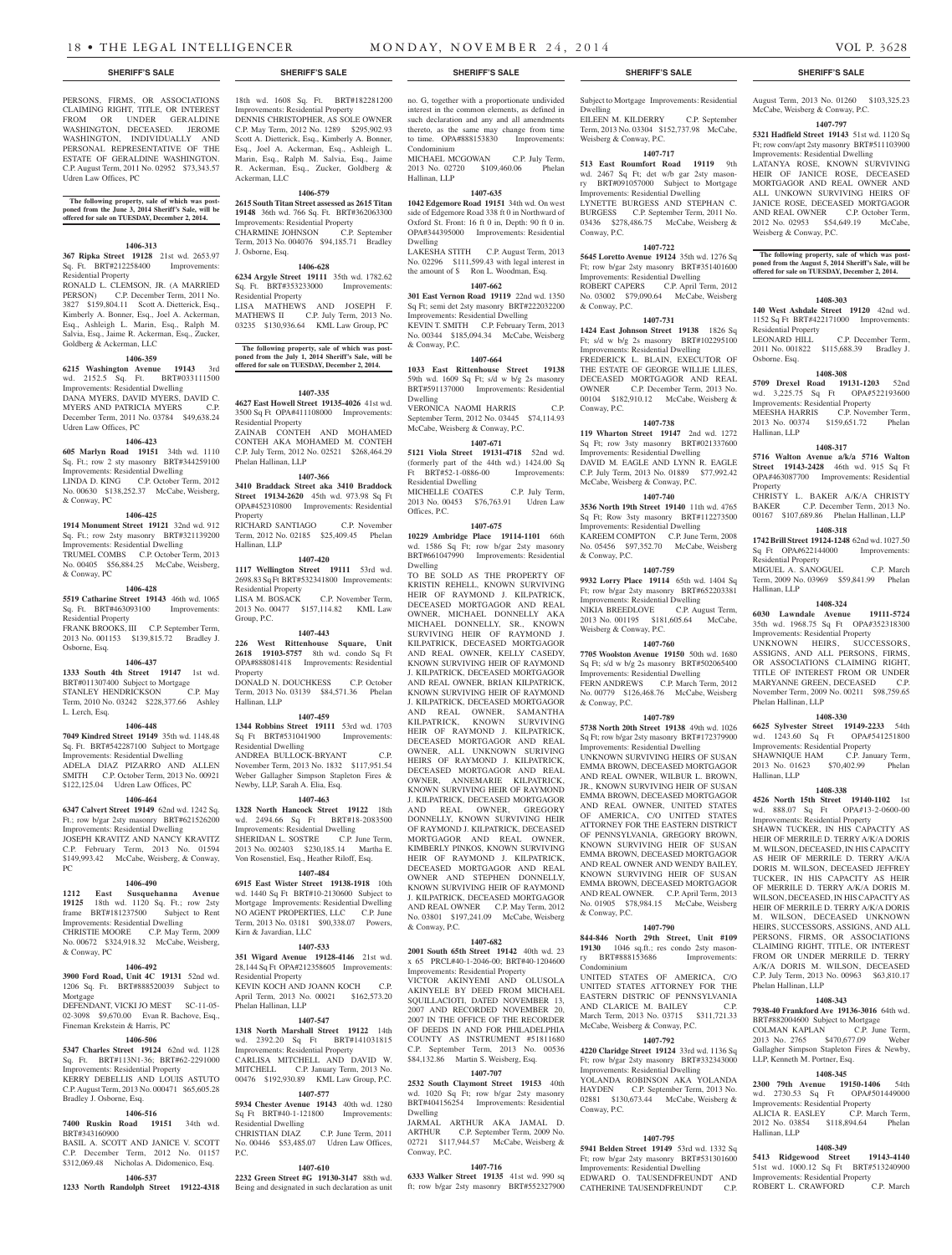PERSONS, FIRMS, OR ASSOCIATIONS CLAIMING RIGHT, TITLE, OR INTEREST FROM OR UNDER GERALDINE WASHINGTON, DECEASED. JEROME WASHINGTON, INDIVIDUALLY AND PERSONAL REPRESENTATIVE OF THE ESTATE OF GERALDINE WASHINGTON. C.P. August Term, 2011 No. 02952 \$73,343.57 Udren Law Offices, PC

**The following property, sale of which was post-poned from the June 3, 2014 Sheriff's Sale, will be offered for sale on TUESDAY, December 2, 2014.**

## **1406-313**

**367 Ripka Street 19128** 21st wd. 2653.97 Sq. Ft. BRT#212258400 Improvements: Residential Property

RONALD L. CLEMSON, JR. (A MARRIED PERSON) C.P. December Term, 2011 No. 3827 \$159,804.11 Scott A. Dietterick, Esq., Kimberly A. Bonner, Esq., Joel A. Ackerman, Esq., Ashleigh L. Marin, Esq., Ralph M. Salvia, Esq., Jaime R. Ackerman, Esq., Zucker, Goldberg & Ackerman, LLC

## **1406-359**

**6215 Washington Avenue 19143** 3rd wd. 2152.5 Sq. Ft. BRT#033111500 Improvements: Residential Dwelling DANA MYERS, DAVID MYERS, DAVID C. MYERS AND PATRICIA MYERS C.P. December Term, 2011 No. 03784 \$49,638.24 Udren Law Offices, PC

## **1406-423**

**605 Marlyn Road 19151** 34th wd. 1110 Sq. Ft.; row 2 sty masonry BRT#344259100 Improvements: Residential Dwelling LINDA D. KING C.P. October Term, 2012 No. 00630 \$138,252.37 McCabe, Weisberg, & Conway, PC

#### **1406-425**

**1914 Monument Street 19121** 32nd wd. 912 Sq. Ft.; row 2sty masonry BRT#321139200 Improvements: Residential Dwelling TRUMEL COMBS C.P. October Term, 2013 No. 00405 \$56,884.25 McCabe, Weisberg, & Conway, PC

## **1406-428**

**5519 Catharine Street 19143** 46th wd. 1065 Sq. Ft. BRT#463093100 Improvements: Residential Property FRANK BROOKS, III C.P. September Term, 2013 No. 001153 \$139,815.72 Bradley J.

## **1406-437**

Osborne, Esq.

**1333 South 4th Street 19147** 1st wd.

BRT#011307400 Subject to Mortgage STANLEY HENDRICKSON C.P. May Term, 2010 No. 03242 \$228,377.66 Ashley L. Lerch, Esq.

#### **1406-448**

**7049 Kindred Street 19149** 35th wd. 1148.48 Sq. Ft. BRT#542287100 Subject to Mortgage Improvements: Residential Dwelling ADELA DIAZ PIZARRO AND ALLEN SMITH C.P. October Term, 2013 No. 00921 \$122,125.04 Udren Law Offices, PC

#### **1406-464**

**6347 Calvert Street 19149** 62nd wd. 1242 Sq. Ft.; row b/gar 2sty masonry BRT#621526200 Improvements: Residential Dwelling JOSEPH KRAVITZ AND NANCY KRAVITZ C.P. February Term, 2013 No. 01594 \$149,993.42 McCabe, Weisberg, & Conway, PC

#### **1406-490**

**1212 East Susquehanna Avenue 19125** 18th wd. 1120 Sq. Ft.; row 2sty frame BRT#181237500 Improvements: Residential Dwelling CHRISTIE MOORE C.P. May Term, 2009 No. 00672 \$324,918.32 McCabe, Weisberg, & Conway, PC

### **1406-492**

**3900 Ford Road, Unit 4C 19131** 52nd wd. 1206 Sq. Ft. BRT#888520039 Subject to Mortgage

DEFENDANT, VICKI JO MEST SC-11-05-02-3098 \$9,670.00 Evan R. Bachove, Esq., Fineman Krekstein & Harris, PC

### **1406-506**

**5347 Charles Street 19124** 62nd wd. 1128 Sq. Ft. BRT#113N1-36; BRT#62-2291000 Improvements: Residential Property KERRY DEBELLIS AND LOUIS ASTUTO C.P. August Term, 2013 No. 000471 \$65,605.28 Bradley J. Osborne, Esq.

## **1406-516**

**7400 Ruskin Road 19151** 34th wd. BRT#343160900 BASIL A. SCOTT AND JANICE V. SCOTT

## C.P. December Term, 2012 No. 01157 \$312,069.48 Nicholas A. Didomenico, Esq.

**1406-537 1233 North Randolph Street 19122-4318**  Being and designated in such declaration as unit

18th wd. 1608 Sq. Ft. BRT#182281200 Improvements: Residential Property DENNIS CHRISTOPHER, AS SOLE OWNER C.P. May Term, 2012 No. 1289 \$295,902.93 Scott A. Dietterick, Esq., Kimberly A. Bonner, Esq., Joel A. Ackerman, Esq., Ashleigh L. Marin, Esq., Ralph M. Salvia, Esq., Jaime R. Ackerman, Esq., Zucker, Goldberg &

**1406-579 2615 South Titan Street assessed as 2615 Titan 19148** 36th wd. 766 Sq. Ft. BRT#362063300 Improvements: Residential Property CHARMINE JOHNSON C.P. September Term, 2013 No. 004076 \$94,185.71 Bradley

**1406-628 6234 Argyle Street 19111** 35th wd. 1782.62 Sq. Ft. BRT#353233000 Improvements:

LISA MATHEWS AND JOSEPH F. MATHEWS II C.P. July Term, 2013 No. 03235 \$130,936.64 KML Law Group, PC

**The following property, sale of which was post-poned from the July 1, 2014 Sheriff's Sale, will be offered for sale on TUESDAY, December 2, 2014.**

**1407-335 4627 East Howell Street 19135-4026** 41st wd. 3500 Sq Ft OPA#411108000 Improvements:

ZAINAB CONTEH AND MOHAMED CONTEH AKA MOHAMED M. CONTEH C.P. July Term, 2012 No. 02521 \$268,464.29

**1407-366 3410 Braddack Street aka 3410 Braddock Street 19134-2620** 45th wd. 973.98 Sq Ft OPA#452310800 Improvements: Residential

RICHARD SANTIAGO C.P. November Term, 2012 No. 02185 \$25,409.45 Phelan

**1407-420 1117 Wellington Street 19111** 53rd wd. 2698.83 Sq Ft BRT#532341800 Improvements:

2013 No. 00477 \$157,114.82 KML Law

**1407-443 226 West Rittenhouse Square, Unit 2618 19103-5757** 8th wd. condo Sq Ft OPA#888081418 Improvements: Residential

DONALD N. DOUCHKESS C.P. October Term, 2013 No. 03139 \$84,571.36 Phelan

**1407-459 1344 Robbins Street 19111** 53rd wd. 1703 Sq Ft BRT#531041900 Improvements:

November Term, 2013 No. 1832 \$117,951.54 Weber Gallagher Simpson Stapleton Fires &

**1407-463 1328 North Hancock Street 19122** 18th wd. 2494.66 Sq Ft BRT#18-2083500 Improvements: Residential Dwelling SHERIDAN L. SOSTRE C.P. June Term, 2013 No. 002403 \$230,185.14 Martha E. Von Rosenstiel, Esq., Heather Riloff, Esq. **1407-484 6915 East Wister Street 19138-1918** 10th wd. 1440 Sq Ft BRT#10-2130600 Subject to Mortgage Improvements: Residential Dwelling NO AGENT PROPERTIES, LLC C.P. June Term, 2013 No. 03181 \$90,338.07 Powers,

**1407-533 351 Wigard Avenue 19128-4146** 21st wd. 28,144 Sq Ft OPA#212358605 Improvements:

KEVIN KOCH AND JOANN KOCH C.P. April Term, 2013 No. 00021 \$162,573.20

**1407-547 1318 North Marshall Street 19122** 14th wd. 2392.20 Sq Ft BRT#141031815 Improvements: Residential Property CARLISA MITCHELL AND DAVID W. MITCHELL C.P. January Term, 2013 No. 00476 \$192,930.89 KML Law Group, P.C. **1407-577 5934 Chester Avenue 19143** 40th wd. 1280 Sq Ft BRT#40-1-121800 Improvements:

No. 00446 \$53,485.07 Udren Law Offices,

**1407-610 2232 Green Street #G 19130-3147** 88th wd.

C.P. June Term, 2011

C.P. November Term,

Ackerman, LLC

J. Osborne, Esq.

Residential Property

Residential Property

Phelan Hallinan, LLP

Property

Hallinan, LLP

Group, P.C.

Property

Hallinan, LLP

Residential Dwelling

Kirn & Javardian, LLC

Residential Property

Phelan Hallinan, LLP

Residential Dwelling

P.C.

ANDREA BULLOCK-BRYANT

Newby, LLP, Sarah A. Elia, Esq.

Residential Property<br>LISA M. BOSACK

no. G, together with a proportionate undivided interest in the common elements, as defined in such declaration and any and all amendments thereto, as the same may change from time to time. OPA#888153830 Improvements: Condominium MICHAEL MCGOWAN C.P. July Term,

2013 No. 02720 \$109,460.06 Phelan Hallinan, LLP

#### **1407-635 1042 Edgemore Road 19151** 34th wd. On west

side of Edgemore Road 338 ft 0 in Northward of Oxford St. Front: 16 ft 0 in, Depth: 90 ft 0 in. OPA#344395000 Improvements: Residential Dwelling LAKESHA STITH C.P. August Term, 2013

No. 02296 \$111,599.43 with legal interest in the amount of \$ Ron L. Woodman, Esq. **1407-662**

**301 East Vernon Road 19119** 22nd wd. 1350 Sq Ft; semi det 2sty masonry BRT#222032200 Improvements: Residential Dwelling KEVIN T. SMITH C.P. February Term, 2013 No. 00344 \$185,094.34 McCabe, Weisberg & Conway, P.C.

## **1407-664**

**1033 East Rittenhouse Street 19138**  59th wd. 1609 Sq Ft; s/d w b/g 2s masonry BRT#591137000 Improvements: Residential Dwelling

VERONICA NAOMI HARRIS C.P. September Term, 2012 No. 03445 \$74,114.93 McCabe, Weisberg & Conway, P.C.

# **1407-671**

**5121 Viola Street 19131-4718** 52nd wd. (formerly part of the 44th wd.) 1424.00 Sq Ft BRT#52-1-0886-00 Improvements: Residential Dwelling

MICHELLE COATES C.P. July Term, 2013 No. 00453 \$76,763.91 Udren Law Offices, P.C.

**1407-675 10229 Ambridge Place 19114-1101** 66th wd. 1586 Sq Ft; row b/gar 2sty masonry BRT#661047990 Improvements: Residential Dwelling TO BE SOLD AS THE PROPERTY OF KRISTIN REHELL, KNOWN SURVIVING HEIR OF RAYMOND J. KILPATRICK, DECEASED MORTGAGOR AND REAL OWNER, MICHAEL DONNELLY AKA MICHAEL DONNELLY, SR., KNOWN SURVIVING HEIR OF RAYMOND J. KILPATRICK, DECEASED MORTGAGOR AND REAL OWNER, KELLY CASEDY, KNOWN SURVIVING HEIR OF RAYMOND J. KILPATRICK, DECEASED MORTGAGOR AND REAL OWNER, BRIAN KILPATRICK, KNOWN SURVIVING HEIR OF RAYMOND J. KILPATRICK, DECEASED MORTGAGOR AND REAL OWNER, SAMANTHA KILPATRICK, KNOWN SURVIVING HEIR OF RAYMOND J. KILPATRICK, DECEASED MORTGAGOR AND REAL OWNER, ALL UNKNOWN SURIVING HEIRS OF RAYMOND J. KILPATRICK, DECEASED MORTGAGOR AND REAL OWNER, ANNEMARIE KILPATRICK, KNOWN SURVIVING HEIR OF RAYMOND J. KILPATRICK, DECEASED MORTGAGOR AND REAL OWNER, GREGORY DONNELLY, KNOWN SURVIVING HEIR OF RAYMOND J. KILPATRICK, DECEASED MORTGAGOR AND REAL OWNER, KIMBERLY PINKOS, KNOWN SURVIVING HEIR OF RAYMOND J. KILPATRICK, DECEASED MORTGAGOR AND REAL OWNER AND STEPHEN DONNELLY, KNOWN SURVIVING HEIR OF RAYMOND J. KILPATRICK, DECEASED MORTGAGOR AND REAL OWNER C.P. May Term, 2012 No. 03801 \$197,241.09 McCabe, Weisberg & Conway, P.C.

### **1407-682**

**2001 South 65th Street 19142** 40th wd. 23 x 65 PRCL#40-1-2046-00; BRT#40-1204600 Improvements: Residential Property

VICTOR AKINYEMI AND OLUSOLA AKINYELE BY DEED FROM MICHAEL SQUILLACIOTI, DATED NOVEMBER 13, 2007 AND RECORDED NOVEMBER 20, 2007 IN THE OFFICE OF THE RECORDER OF DEEDS IN AND FOR PHILADELPHIA COUNTY AS INSTRUMENT #51811680 C.P. September Term, 2013 No. 00536 \$84,132.86 Martin S. Weisberg, Esq.

## **1407-707**

**2532 South Claymont Street 19153** 40th wd. 1020 Sq Ft; row b/gar 2sty masonry BRT#404156254 Improvements: Residential Dwelling

JARMAL ARTHUR AKA JAMAL D. ARTHUR C.P. September Term, 2009 No. 02721 \$117,944.57 McCabe, Weisberg & Conway, P.C.

## **1407-716**

**6333 Walker Street 19135** 41st wd. 990 sq ft; row b/gar 2sty masonry BRT#552327900

Subject to Mortgage Improvements: Residential Dwelling

EILEEN M. KILDERRY C.P. September Term, 2013 No. 03304 \$152,737.98 McCabe, Weisberg & Conway, P.C.

#### **1407-717 513 East Roumfort Road 19119** 9th

wd. 2467 Sq Ft; det w/b gar 2sty masonry BRT#091057000 Subject to Mortgage Improvements: Residential Dwelling LYNETTE BURGESS AND STEPHAN C. BURGESS C.P. September Term, 2011 No. 03436 \$278,486.75 McCabe, Weisberg & Conway, P.C.

## **1407-722**

**5645 Loretto Avenue 19124** 35th wd. 1276 Sq Ft; row b/gar 2sty masonry BRT#351401600 Improvements: Residential Dwelling ROBERT CAPERS C.P. April Term, 2012 No. 03002 \$79,090.64 McCabe, Weisberg & Conway, P.C.

## **1407-731**

**1424 East Johnson Street 19138** 1826 Sq Ft; s/d w b/g 2s masonry BRT#102295100 Improvements: Residential Dwelling FREDERICK L. BLAIN, EXECUTOR OF THE ESTATE OF GEORGE WILLIE LILES, DECEASED MORTGAGOR AND REAL OWNER C.P. December Term, 2013 No. 00104 \$182,910.12 McCabe, Weisberg & Conway, P.C.

## **1407-738**

**119 Wharton Street 19147** 2nd wd. 1272 Sq Ft; row 3sty masonry BRT#021337600 Improvements: Residential Dwelling DAVID M. EAGLE AND LYNN R. EAGLE C.P. July Term, 2013 No. 01889 \$77,992.42 McCabe, Weisberg & Conway, P.C.

## **1407-740**

**3536 North 19th Street 19140** 11th wd. 4765 Sq Ft; Row 3sty masonry BRT#112273500 Improvements: Residential Dwelling KAREEM COMPTON C.P. June Term, 2008 No. 05456 \$97,352.70 McCabe, Weisberg & Conway, P.C.

#### **1407-759 9932 Lorry Place 19114** 65th wd. 1404 Sq

Ft; row b/gar 2sty masonry BRT#652203381 Improvements: Residential Dwelling NIKIA BREEDLOVE C.P. August Term, 2013 No. 001195 \$181,605.64 McCabe, Weisberg & Conway, P.C.

## **1407-760**

**7705 Woolston Avenue 19150** 50th wd. 1680 Sq Ft; s/d w b/g 2s masonry BRT#502065400 Improvements: Residential Dwelling FERN ANDREWS C.P. March Term, 2012 No. 00779 \$126,468.76 McCabe, Weisberg & Conway, P.C.

### **1407-789**

**5738 North 20th Street 19138** 49th wd. 1026 Sq Ft; row b/gar 2sty masonry BRT#172379900 Improvements: Residential Dwelling

UNKNOWN SURVIVING HEIRS OF SUSAN EMMA BROWN, DECEASED MORTGAGOR AND REAL OWNER, WILBUR L. BROWN, JR., KNOWN SURVIVING HEIR OF SUSAN EMMA BROWN, DECEASED MORTGAGOR AND REAL OWNER, UNITED STATES OF AMERICA, C/O UNITED STATES ATTORNEY FOR THE EASTERN DISTRICT OF PENNSYLVANIA, GREGORY BROWN, KNOWN SURVIVING HEIR OF SUSAN EMMA BROWN, DECEASED MORTGAGOR AND REAL OWNER AND WENDY BAILEY, KNOWN SURVIVING HEIR OF SUSAN EMMA BROWN, DECEASED MORTGAGOR AND REAL OWNER. C.P. April Term, 2013 No. 01905 \$78,984.15 McCabe, Weisberg & Conway, P.C.

#### **1407-790**

**844-846 North 29th Street, Unit #109 19130 1046** sq.ft.; res condo 2sty mason-<br>ry **BRT#888153686 Improvements:** BRT#888153686 Condominium

UNITED STATES OF AMERICA, C/O UNITED STATES ATTORNEY FOR THE EASTERN DISTRIC OF PENNSYLVANIA AND CLARICE M. BAILEY C.P. March Term, 2013 No. 03715 \$311,721.33 McCabe, Weisberg & Conway, P.C.

## **1407-792**

**4220 Claridge Street 19124** 33rd wd. 1136 Sq

### Ft; row b/gar 2sty masonry BRT#332343000 Improvements: Residential Dwelling YOLANDA ROBINSON AKA YOLANDA HAYDEN C.P. September Term, 2013 No. 02881 \$130,673.44 McCabe, Weisberg & Conway, P.C.

# **1407-795**

**5941 Belden Street 19149** 53rd wd. 1332 Sq Ft; row b/gar 2sty masonry BRT#531301600 Improvements: Residential Dwelling EDWARD O. TAUSENDFREUNDT AND CATHERINE TAUSENDFREUNDT C.P.

August Term, 2013 No. 01260 \$103,325.23 McCabe, Weisberg & Conway, P.C.

## **1407-797**

**5321 Hadfield Street 19143** 51st wd. 1120 Sq Ft; row conv/apt 2sty masonry BRT#511103900 Improvements: Residential Dwelling LATANYA ROSE, KNOWN SURVIVING HEIR OF JANICE ROSE, DECEASED MORTGAGOR AND REAL OWNER AND ALL UNKOWN SURVIVING HEIRS OF JANICE ROSE, DECEASED MORTGAGOR AND REAL OWNER C.P. October Term, 2012 No. 02953 \$54,649.19 McCabe,

Weisberg & Conway, P.C. **The following property, sale of which was post-**

#### **poned from the August 5, 2014 Sheriff's Sale, will be offered for sale on TUESDAY, December 2, 2014.**

### **1408-303**

**140 West Ashdale Street 19120** 42nd wd. 1152 Sq Ft BRT#422171000 Improvements: Residential Property<br>LEONARD HILL C.P. December Term,

2011 No. 001822 \$115,688.39 Bradley J. Osborne. Esq.

## **1408-308**

**5709 Drexel Road 19131-1203** 52nd wd. 3,225.75 Sq Ft OPA#522193600 Improvements: Residential Property<br>MEESHA HARRIS C.P. Novem C.P. November Term,<br>
6159.651.72 Phelan 2013 No. 00374 \$159,651.72 Hallinan, LLP

## **1408-317**

**5716 Walton Avenue a/k/a 5716 Walton Street 19143-2428** 46th wd. 915 Sq Ft OPA#463087700 Improvements: Residential Property

CHRISTY L. BAKER A/K/A CHRISTY BAKER C.P. December Term, 2013 No. 00167 \$107,689.86 Phelan Hallinan, LLP

## **1408-318**

Hallinan, LLP

Phelan Hallinan, LLP

Hallinan, LLP

Phelan Hallinan, LLP

LLP, Kenneth M. Portner, Esq.

ROBERT L. CRAWFORD

Hallinan, LLP

**1742 Brill Street 19124-1248** 62nd wd. 1027.50 Sq Ft OPA#622144000 Improvements: Residential Property MIGUEL A. SANOGUEL C.P. March

Term, 2009 No. 03969 \$59,841.99 Phelan

**1408-324 6030 Lawndale Avenue 19111-5724**  35th wd. 1968.75 Sq Ft OPA#352318300 Improvements: Residential Property UNKNOWN HEIRS, SUCCESSORS, ASSIGNS, AND ALL PERSONS, FIRMS, OR ASSOCIATIONS CLAIMING RIGHT, TITLE OF INTEREST FROM OR UNDER MARYANNE GREEN, DECEASED C.P. November Term, 2009 No. 00211 \$98,759.65

**1408-330 6625 Sylvester Street 19149-2233** 54th wd. 1243.60 Sq Ft OPA#541251800 Improvements: Residential Property SHAWNIQUE HAM C.P. January Term, 2013 No. 01623 \$70,402.99 Phelan

**1408-338 4526 North 15th Street 19140-1102** 1st wd. 888.07 Sq Ft OPA#13-2-0600-00 Improvements: Residential Property SHAWN TUCKER, IN HIS CAPACITY AS HEIR OF MERRILE D. TERRY A/K/A DORIS M. WILSON, DECEASED, IN HIS CAPACITY AS HEIR OF MERRILE D. TERRY A/K/A DORIS M. WILSON, DECEASED JEFFREY TUCKER, IN HIS CAPACITY AS HEIR OF MERRILE D. TERRY A/K/A DORIS M. WILSON, DECEASED, IN HIS CAPACITY AS HEIR OF MERRILE D. TERRY A/K/A DORIS M. WILSON, DECEASED UNKNOWN HEIRS, SUCCESSORS, ASSIGNS, AND ALL PERSONS, FIRMS, OR ASSOCIATIONS CLAIMING RIGHT, TITLE, OR INTEREST FROM OR UNDER MERRILE D. TERRY A/K/A DORIS M. WILSON, DECEASED C.P. July Term, 2013 No. 00963 \$63,810.17

**1408-343 7938-40 Frankford Ave 19136-3016** 64th wd. BRT#882004600 Subject to Mortgage<br>COLMAN KAPLAN C.P. June COLMAN KAPLAN C.P. June Term, 2013 No. 2765 \$470,677.09 Weber Gallagher Simpson Stapleton Fires & Newby,

**1408-345 2300 79th Avenue 19150-1406** 54th wd. 2730.53 Sq Ft OPA#501449000 Improvements: Residential Property ALICIA R. EASLEY C.P. March Term, 2012 No. 03854 \$118,894.64 Phelan

**1408-349 5413 Ridgewood Street 19143-4140**  51st wd. 1000.12 Sq Ft BRT#513240900 Improvements: Residential Property<br>ROBERT L. CRAWFORD C.P. March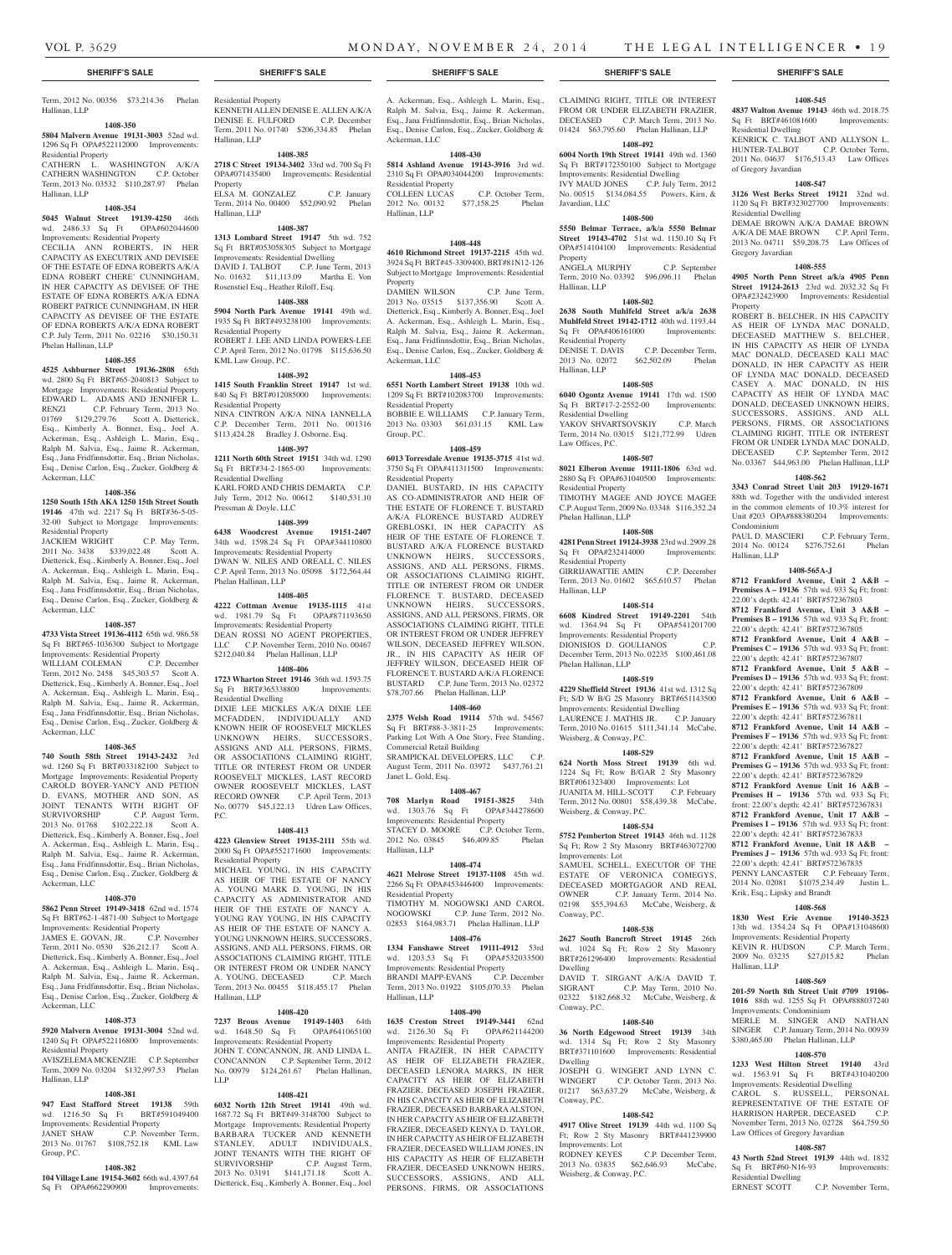Hallinan, LLP

# Term, 2012 No. 00356 \$73,214.36 Phelan

**1408-350 5804 Malvern Avenue 19131-3003** 52nd wd. 1296 Sq Ft OPA#522112000 Improvements:

## Residential Property CATHERN L. WASHINGTON A/K/A CATHERN WASHINGTON C.P. October Term, 2013 No. 03532 \$110,287.97 Phelan

## Hallinan, LLP

## **1408-354**

**5045 Walnut Street 19139-4250** 46th wd. 2486.33 Sq Ft OPA#602044600

Improvements: Residential Property CECILIA ANN ROBERTS, IN HER CAPACITY AS EXECUTRIX AND DEVISEE OF THE ESTATE OF EDNA ROBERTS A/K/A EDNA ROBERT CHERE' CUNNINGHAM, IN HER CAPACITY AS DEVISEE OF THE ESTATE OF EDNA ROBERTS A/K/A EDNA ROBERT PATRICE CUNNINGHAM, IN HER CAPACITY AS DEVISEE OF THE ESTATE OF EDNA ROBERTS A/K/A EDNA ROBERT C.P. July Term, 2011 No. 02216 \$30,150.31 Phelan Hallinan, LLP

#### **1408-355**

**4525 Ashburner Street 19136-2808** 65th wd. 2800 Sq Ft BRT#65-2040813 Subject to Mortgage Improvements: Residential Property EDWARD L. ADAMS AND JENNIFER L.<br>RENZI C.P. February Term. 2013 No. C.P. February Term, 2013 No. 01769 \$129,279.76 Scott A. Dietterick, Esq., Kimberly A. Bonner, Esq., Joel A. Ackerman, Esq., Ashleigh L. Marin, Esq., Ralph M. Salvia, Esq., Jaime R. Ackerman, Esq., Jana Fridfinnsdottir, Esq., Brian Nicholas, Esq., Denise Carlon, Esq., Zucker, Goldberg & Ackerman, LLC

## **1408-356**

**1250 South 15th AKA 1250 15th Street South 19146** 47th wd. 2217 Sq Ft BRT#36-5-05- 32-00 Subject to Mortgage Improvements: Residential Property

JACKIEM WRIGHT C.P. May Term, 2011 No. 3438 \$339,022.48 Scott A. Dietterick, Esq., Kimberly A. Bonner, Esq., Joel A. Ackerman, Esq., Ashleigh L. Marin, Esq., Ralph M. Salvia, Esq., Jaime R. Ackerman, Esq., Jana Fridfinnsdottir, Esq., Brian Nicholas, Esq., Denise Carlon, Esq., Zucker, Goldberg & Ackerman, LLC

#### **1408-357**

**4733 Vista Street 19136-4112** 65th wd. 986.58 Sq Ft BRT#65-1036300 Subject to Mortgage Improvements: Residential Property WILLIAM COLEMAN C.P. December Term, 2012 No. 2458 \$45,303.57 Scott A. Dietterick, Esq., Kimberly A. Bonner, Esq., Joel A. Ackerman, Esq., Ashleigh L. Marin, Esq., Ralph M. Salvia, Esq., Jaime R. Ackerman, Esq., Jana Fridfinnsdottir, Esq., Brian Nicholas, Esq., Denise Carlon, Esq., Zucker, Goldberg &

## **1408-365**

Ackerman, LLC

**740 South 58th Street 19143-2432** 3rd wd. 1260 Sq Ft BRT#033182100 Subject to Mortgage Improvements: Residential Property CAROLD BOYER-YANCY AND PETION D. EVANS, MOTHER AND SON, AS JOINT TENANTS WITH RIGHT OF SURVIVORSHIP C.P. August Term, 2013 No. 01768 \$102,222.18 Scott A. Dietterick, Esq., Kimberly A. Bonner, Esq., Joel A. Ackerman, Esq., Ashleigh L. Marin, Esq., Ralph M. Salvia, Esq., Jaime R. Ackerman, Esq., Jana Fridfinnsdottir, Esq., Brian Nicholas, Esq., Denise Carlon, Esq., Zucker, Goldberg & Ackerman, LLC

## **1408-370**

**5862 Penn Street 19149-3418** 62nd wd. 1574 Sq Ft BRT#62-1-4871-00 Subject to Mortgage Improvements: Residential Property<br>IAMES E GOVAN IR C P November JAMES E. GOVAN, JR. Term, 2011 No. 0530 \$26,212.17 Scott A. Dietterick, Esq., Kimberly A. Bonner, Esq., Joel A. Ackerman, Esq., Ashleigh L. Marin, Esq., Ralph M. Salvia, Esq., Jaime R. Ackerman, Esq., Jana Fridfinnsdottir, Esq., Brian Nicholas, Esq., Denise Carlon, Esq., Zucker, Goldberg & Ackerman, LLC

## **1408-373**

Group, P.C.

**5920 Malvern Avenue 19131-3004** 52nd wd. 1240 Sq Ft OPA#522116800 Improvements: Residential Property

AVISZELEMA MCKENZIE C.P. September Term, 2009 No. 03204 \$132,997.53 Phelan Hallinan, LLP

### **1408-381**

**947 East Stafford Street 19138** 59th wd. 1216.50 Sq Ft BRT#591049400 Improvements: Residential Property JANET SHAW C.P. November Term, 2013 No. 01767 \$108,752.18 KML Law

## **1408-382**

**104 Village Lane 19154-3602** 66th wd. 4397.64<br>
Sq Ft OPA#662290900 Improvements: Sq Ft OPA#662290900

Residential Property KENNETH ALLEN DENISE E. ALLEN A/K/A DENISE E. FULFORD C.P. December Term, 2011 No. 01740 \$206,334.85 Phelan Hallinan, LLP

### **1408-385**

**2718 C Street 19134-3402** 33rd wd. 700 Sq Ft OPA#071435400 Improvements: Residential Property ELSA M. GONZALEZ C.P. January Term, 2014 No. 00400 \$52,090.92 Phelan

# Hallinan, LLP

**1408-387 1313 Lombard Street 19147** 5th wd. 752 Sq Ft BRT#053058305 Subject to Mortgage Improvements: Residential Dwelling DAVID J. TALBOT C.P. June Term, 2013 No. 01632 \$11,113.09 Martha E. Von Rosenstiel Esq., Heather Riloff, Esq.

### **1408-388**

**5904 North Park Avenue 19141** 49th wd. 1935 Sq Ft BRT#493238100 Improvements: Residential Property ROBERT J. LEE AND LINDA POWERS-LEE C.P. April Term, 2012 No. 01798 \$115,636.50 KML Law Group, P.C.

### **1408-392**

**1415 South Franklin Street 19147** 1st wd. 840 Sq Ft BRT#012085000 Improvements: Residential Property NINA CINTRON A/K/A NINA IANNELLA

C.P. December Term, 2011 No. 001316 \$113,424.28 Bradley J. Osborne. Esq. **1408-397**

**1211 North 60th Street 19151** 34th wd. 1290 Sq Ft BRT#34-2-1865-00 Improvements: Residential Dwelling KARL FORD AND CHRIS DEMARTA C.P. July Term, 2012 No. 00612 \$140,531.10 Pressman & Doyle, LLC

## **1408-399**

**6438 Woodcrest Avenue 19151-2407**  34th wd. 1598.24 Sq Ft OPA#344110800 Improvements: Residential Property DWAN W. NILES AND OREALL C. NILES C.P. April Term, 2013 No. 05098 \$172,564.44 Phelan Hallinan, LLP

#### **1408-405**

**4222 Cottman Avenue 19135-1115** 41st wd. 1981.79 Sq Ft OPA#871193650 Improvements: Residential Property DEAN ROSSI NO AGENT PROPERTIES,<br>LLC C.P. November Term. 2010 No. 00467 LLC C.P. November Term, 2010 No. 00467 \$212,040.84 Phelan Hallinan, LLP

## **1408-406**

**1723 Wharton Street 19146** 36th wd. 1593.75 Sq Ft BRT#365338800 Residential Dwelling

DIXIE LEE MICKLES A/K/A DIXIE LEE MCFADDEN, INDIVIDUALLY AND KNOWN HEIR OF ROOSEVELT MICKLES UNKNOWN HEIRS, SUCCESSORS, ASSIGNS AND ALL PERSONS, FIRMS, OR ASSOCIATIONS CLAIMING RIGHT, TITLE OR INTEREST FROM OR UNDER ROOSEVELT MICKLES, LAST RECORD OWNER ROOSEVELT MICKLES, LAST RECORD OWNER C.P. April Term, 2013 No. 00779 \$45,122.13 Udren Law Offices, P.C.

### **1408-413**

**4223 Glenview Street 19135-2111** 55th wd. 2000 Sq Ft OPA#552171600 Improvements: Residential Property

MICHAEL YOUNG, IN HIS CAPACITY AS HEIR OF THE ESTATE OF NANCY A. YOUNG MARK D. YOUNG, IN HIS CAPACITY AS ADMINISTRATOR AND HEIR OF THE ESTATE OF NANCY A. YOUNG RAY YOUNG, IN HIS CAPACITY AS HEIR OF THE ESTATE OF NANCY A. YOUNG UNKNOWN HEIRS, SUCCESSORS, ASSIGNS, AND ALL PERSONS, FIRMS, OR ASSOCIATIONS CLAIMING RIGHT, TITLE OR INTEREST FROM OR UNDER NANCY A. YOUNG, DECEASED C.P. March Term, 2013 No. 00455 \$118,455.17 Phelan Hallinan, LLP

## **1408-420**

**7237 Brous Avenue 19149-1403** 64th wd. 1648.50 Sq Ft OPA#641065100 Improvements: Residential Property JOHN T. CONCANNON, JR. AND LINDA L. CONCANNON C.P. September Term, 2012 No. 00979 \$124,261.67 Phelan Hallinan, LLP

## **1408-421**

**6032 North 12th Street 19141** 49th wd. 1687.72 Sq Ft BRT#49-3148700 Subject to Mortgage Improvements: Residential Property BARBARA TUCKER AND KENNETH STANLEY, ADULT INDIVIDUALS, JOINT TENANTS WITH THE RIGHT OF SURVIVORSHIP C.P. August Term, 2013 No. 03191 \$141,171.18 Scott A. Dietterick, Esq., Kimberly A. Bonner, Esq., Joel

A. Ackerman, Esq., Ashleigh L. Marin, Esq., Ralph M. Salvia, Esq., Jaime R. Ackerman, Esq., Jana Fridfinnsdottir, Esq., Brian Nicholas, Esq., Denise Carlon, Esq., Zucker, Goldberg & Ackerman, LLC

## **1408-430**

**5814 Ashland Avenue 19143-3916** 3rd wd. 2310 Sq Ft OPA#034044200 Improvements: Residential Property COLLEEN LUCAS C.P. October Term, 2012 No. 00132 \$77,158.25 Phelan Hallinan, LLP

**1408-448**

**4610 Richmond Street 19137-2215** 45th wd. 3924 Sq Ft BRT#45-3309400, BRT#81N12-126 Subject to Mortgage Improvements: Residential Property

DAMIEN WILSON C.P. June Term, 2013 No. 03515 \$137,356.90 Scott A. Dietterick, Esq., Kimberly A. Bonner, Esq., Joel A. Ackerman, Esq., Ashleigh L. Marin, Esq., Ralph M. Salvia, Esq., Jaime R. Ackerman, Esq., Jana Fridfinnsdottir, Esq., Brian Nicholas, Esq., Denise Carlon, Esq., Zucker, Goldberg & Ackerman, LLC

### **1408-453**

**6551 North Lambert Street 19138** 10th wd. 1209 Sq Ft BRT#102083700 Improvements: Residential Property

BOBBIE E. WILLIAMS C.P. January Term, 2013 No. 03303 \$61,031.15 KML Law Group, P.C.

## **1408-459**

**6013 Torresdale Avenue 19135-3715** 41st wd. 3750 Sq Ft OPA#411311500 Improvements: Residential Property

DANIEL BUSTARD, IN HIS CAPACITY AS CO-ADMINISTRATOR AND HEIR OF THE ESTATE OF FLORENCE T. BUSTARD A/K/A FLORENCE BUSTARD AUDREY GREBLOSKI, IN HER CAPACITY AS HEIR OF THE ESTATE OF FLORENCE T. BUSTARD A/K/A FLORENCE BUSTARD UNKNOWN HEIRS, SUCCESSORS, ASSIGNS, AND ALL PERSONS, FIRMS, OR ASSOCIATIONS CLAIMING RIGHT, TITLE OR INTEREST FROM OR UNDER FLORENCE T. BUSTARD, DECEASED UNKNOWN HEIRS, SUCCESSORS, ASSIGNS, AND ALL PERSONS, FIRMS, OR ASSOCIATIONS CLAIMING RIGHT, TITLE OR INTEREST FROM OR UNDER JEFFREY WILSON, DECEASED JEFFREY WILSON, JR., IN HIS CAPACITY AS HEIR OF JEFFREY WILSON, DECEASED HEIR OF FLORENCE T. BUSTARD A/K/A FLORENCE BUSTARD C.P. June Term, 2013 No. 02372 \$78,707.66 Phelan Hallinan, LLP

### **1408-460**

**2375 Welsh Road 19114** 57th wd. 54567 Sq Ft BRT#88-3-3811-25 Improvements: Parking Lot With A One Story, Free Standing. Commercial Retail Building SRAMPICKAL DEVELOPERS, LLC C.P. August Term, 2011 No. 03972 \$437,761.21 Janet L. Gold, Esq.

## **1408-467**

**708 Marlyn Road 19151-3825** 34th wd. 1303.76 Sq Ft OPA#344278600 Improvements: Residential Property<br>STACEY D. MOORE C.P. October Term, STACEY D. MOORE C.P. October Term,<br>2012 No. 03845 \$46,409.85 Phelan 2012 No. 03845 Hallinan, LLP

## **1408-474**

**4621 Melrose Street 19137-1108** 45th wd. 2266 Sq Ft OPA#453446400 Improvements: Residential Property TIMOTHY M. NOGOWSKI AND CAROL<br>NOGOWSKI C.P. June Term, 2012 No. C.P. June Term, 2012 No. 02853 \$164,983.71 Phelan Hallinan, LLP

### **1408-476**

**1334 Fanshawe Street 19111-4912** 53rd wd. 1203.53 Sq Ft OPA#532033500 Improvements: Residential Property<br>BRANDI MAPP-EVANS C.P. December BRANDI MAPP-EVANS Term, 2013 No. 01922 \$105,070.33 Phelan Hallinan, LLP

#### **1408-490**

**1635 Creston Street 19149-3441** 62nd wd. 2126.30 Sq Ft OPA#621144200 Improvements: Residential Property ANITA FRAZIER, IN HER CAPACITY AS HEIR OF ELIZABETH FRAZIER, DECEASED LENORA MARKS, IN HER CAPACITY AS HEIR OF ELIZABETH FRAZIER, DECEASED JOSEPH FRAZIER, IN HIS CAPACITY AS HEIR OF ELIZABETH FRAZIER, DECEASED BARBARA ALSTON, IN HER CAPACITY AS HEIR OF ELIZABETH FRAZIER, DECEASED KENYA D. TAYLOR, IN HER CAPACITY AS HEIR OF ELIZABETH FRAZIER, DECEASED WILLIAM JONES, IN HIS CAPACITY AS HEIR OF ELIZABETH FRAZIER, DECEASED UNKNOWN HEIRS, SUCCESSORS, ASSIGNS, AND ALL PERSONS, FIRMS, OR ASSOCIATIONS

## **SHERIFF'S SALE SHERIFF'S SALE SHERIFF'S SALE SHERIFF'S SALE SHERIFF'S SALE**

**1408-545 4837 Walton Avenue 19143** 46th wd. 2018.75 Sq Ft BRT#461081600 Improvements:

KENRICK C. TALBOT AND ALLYSON L. HUNTER-TALBOT C.P. October Term, 2011 No. 04637 \$176,513.43 Law Offices

**1408-547 3126 West Berks Street 19121** 32nd wd. 1120 Sq Ft BRT#323027700 Improvements:

DEMAE BROWN A/K/A DAMAE BROWN A/K/A DE MAE BROWN C.P. April Term, 2013 No. 04711 \$59,208.75 Law Offices of

**1408-555 4905 North Penn Street a/k/a 4905 Penn Street 19124-2613** 23rd wd. 2032.32 Sq Ft OPA#232423900 Improvements: Residential

ROBERT B. BELCHER, IN HIS CAPACITY AS HEIR OF LYNDA MAC DONALD, DECEASED MATTHEW S. BELCHER, IN HIS CAPACITY AS HEIR OF LYNDA MAC DONALD, DECEASED KALI MAC DONALD, IN HER CAPACITY AS HEIR OF LYNDA MAC DONALD, DECEASED CASEY A. MAC DONALD, IN HIS CAPACITY AS HEIR OF LYNDA MAC DONALD, DECEASED UNKNOWN HEIRS, SUCCESSORS, ASSIGNS, AND ALL PERSONS, FIRMS, OR ASSOCIATIONS CLAIMING RIGHT, TITLE OR INTEREST FROM OR UNDER LYNDA MAC DONALD, DECEASED C.P. September Term, 2012 No. 03367 \$44,963.00 Phelan Hallinan, LLP **1408-562 3343 Conrad Street Unit 203 19129-1671**  88th wd. Together with the undivided interest in the common elements of 10.3% interest for Unit #203 OPA#888380204 Improvements:

PAUL D. MASCIERI C.P. February Term, 2014 No. 00124 \$276,752.61 Phelan

**1408-565A-J 8712 Frankford Avenue, Unit 2 A&B – Premises A – 19136** 57th wd. 933 Sq Ft; front: 22.00'x depth: 42.41' BRT#572367803 **8712 Frankford Avenue, Unit 3 A&B – Premises B – 19136** 57th wd. 933 Sq Ft; front: 22.00'x depth: 42.41' BRT#572367805 **8712 Frankford Avenue, Unit 4 A&B – Premises C – 19136** 57th wd. 933 Sq Ft; front: 22.00'x depth: 42.41' BRT#572367807 **8712 Frankford Avenue, Unit 5 A&B – Premises D – 19136** 57th wd. 933 Sq Ft: front: 22.00'x depth: 42.41' BRT#572367809 **8712 Frankford Avenue, Unit 6 A&B – Premises E – 19136** 57th wd. 933 Sq Ft; front: 22.00'x depth: 42.41' BRT#572367811 **8712 Frankford Avenue, Unit 14 A&B – Premises F – 19136** 57th wd. 933 Sq Ft; front: 22.00'x depth: 42.41' BRT#572367827 **8712 Frankford Avenue, Unit 15 A&B – Premises G – 19136** 57th wd. 933 Sq Ft; front: 22.00'x depth: 42.41' BRT#572367829 **8712 Frankford Avenue Unit 16 A&B – Premises H – 19136** 57th wd. 933 Sq Ft; front: 22.00'x depth: 42.41' BRT#572367831 **8712 Frankford Avenue, Unit 17 A&B – Premises I – 19136** 57th wd. 933 Sq Ft: front: 22.00'x depth: 42.41' BRT#572367833 **8712 Frankford Avenue, Unit 18 A&B – Premises J – 19136** 57th wd. 933 Sq Ft; front: 22.00'x depth: 42.41' BRT#572367835 PENNY LANCASTER C.P. February Term, 2014 No. 02081 \$1075,234.49 Justin L.

Krik, Esq.; Lipsky and Brandt

Improvements: Condominium

Law Offices of Gregory Javardian

Residential Dwelling<br>ERNEST SCOTT

**1408-587 43 North 52nd Street 19139** 44th wd. 1832 Sq Ft BRT#60-N16-93 Improvements:

C.P. November Term,

Hallinan, LLP

**1408-568 1830 West Erie Avenue 19140-3523**  13th wd. 1354.24 Sq Ft OPA#131048600 Improvements: Residential Property KEVIN R. HUDSON C.P. March Term, 2009 No. 03235 \$27,015.82 Phelan

**1408-569 201-59 North 8th Street Unit #709 19106- 1016** 88th wd. 1255 Sq Ft OPA#888037240

MERLE M. SINGER AND NATHAN SINGER C.P. January Term, 2014 No. 00939 \$380,465.00 Phelan Hallinan, LLP **1408-570 1233 West Hilton Street 19140** 43rd wd. 1563.91 Sq Ft BRT#431040200 Improvements: Residential Dwelling CAROL S. RUSSELL, PERSONAL REPRESENTATIVE OF THE ESTATE OF HARRISON HARPER, DECEASED C.P. November Term, 2013 No. 02728 \$64,759.50

Residential Dwelling

of Gregory Javardian

Residential Dwelling

Gregory Javardian

Property

Condominium

Hallinan, LLP

CLAIMING RIGHT, TITLE OR INTEREST FROM OR UNDER ELIZABETH FRAZIER, DECEASED C.P. March Term, 2013 No. 01424 \$63,795.60 Phelan Hallinan, LLP

#### **1408-492 6004 North 19th Street 19141** 49th wd. 1360

Sq Ft BRT#172350100 Subject to Mortgage Improvements: Residential Dwelling IVY MAUD JONES C.P. July Term, 2012 No. 00515 \$134,084.55 Powers, Kirn, & Javardian, LLC

## **1408-500**

**5550 Belmar Terrace, a/k/a 5550 Belmar Street 19143-4702** 51st wd. 1150.10 Sq Ft OPA#514104100 Improvements: Residential Property<br>ANGELA MURPHY C.P. September

Term, 2010 No. 03392 \$96,096.11 Phelan Hallinan, LLP

#### **1408-502 2638 South Muhlfeld Street a/k/a 2638**

**Muhlfeld Street 19142-1712** 40th wd. 1193.44<br>Sq Ft OPA#406161000 Improvements: Sq Ft OPA#406161000 Residential Property

DENISE T. DAVIS C.P. December Term, 2013 No. 02072 \$62,502.09 Phelan Hallinan, LLP

## **1408-505**

**6040 Ogontz Avenue 19141** 17th wd. 1500 Sq Ft BRT#17-2-2552-00 Improvements: Residential Dwelling YAKOV SHVARTSOVSKIY C.P. March Term, 2014 No. 03015 \$121,772.99 Udren Law Offices, P.C.

## **1408-507**

**8021 Elberon Avenue 19111-1806** 63rd wd. 2880 Sq Ft OPA#631040500 Improvements: Residential Property TIMOTHY MAGEE AND JOYCE MAGEE

C.P. August Term, 2009 No. 03348 \$116,352.24 Phelan Hallinan, LLP **1408-508**

**4281 Penn Street 19124-3938** 23rd wd. 2909.28 Sq Ft OPA#232414000 Improvements: Residential Property GIRRIJAWATTIE AMIN C.P. December

Term, 2013 No. 01602 \$65,610.57 Phelan Hallinan, LLP

#### **1408-514**

**6608 Kindred Street 19149-2201** 54th wd. 1364.94 Sq Ft OPA#541201700 Improvements: Residential Property DIONISIOS D. GOULIANOS C.P. December Term, 2013 No. 02235 \$100,461.08 Phelan Hallinan, LLP

# **1408-519**

**4229 Sheffield Street 19136** 41st wd. 1312 Sq Ft; S/D W B/G 2S Masonry BRT#651143500 Improvements: Residential Dwelling LAURENCE J. MATHIS JR. C.P. January Term, 2010 No. 01615 \$111,341.14 McCabe, Weisberg, & Conway, P.C.

## **1408-529**

**624 North Moss Street 19139** 6th wd. 1224 Sq Ft; Row B/GAR 2 Sty Masonry BRT#061323400 Improvements: Lot JUANITA M. HILL-SCOTT C.P. February Term, 2012 No. 00801 \$58,439.38 McCabe, Weisberg, & Conway, P.C.

**1408-534 5752 Pemberton Street 19143** 46th wd. 1128 Sq Ft; Row 2 Sty Masonry BRT#463072700

SAMUEL SCHELL, EXECUTOR OF THE ESTATE OF VERONICA COMEGYS, DECEASED MORTGAGOR AND REAL OWNER C.P. January Term, 2014 No. 02198 \$55,394.63 McCabe, Weisberg, &

**1408-538 2627 South Bancroft Street 19145** 26th wd. 1024 Sq Ft; Row 2 Sty Masonry BRT#261296400 Improvements: Residential

DAVID T. SIRGANT A/K/A DAVID T. SIGRANT C.P. May Term, 2010 No. 02322 \$182,668.32 McCabe, Weisberg, &

**1408-540 36 North Edgewood Street 19139** 34th wd. 1314 Sq Ft; Row 2 Sty Masonry BRT#371101600 Improvements: Residential

JOSEPH G. WINGERT AND LYNN C. WINGERT C.P. October Term, 2013 No. 01217 \$63,637.29 McCabe, Weisberg, &

**1408-542 4917 Olive Street 19139** 44th wd. 1100 Sq Ft; Row 2 Sty Masonry BRT#441239900

2013 No. 03835 \$62,646.93 McCabe,

C.P. December Term,

Improvements: Lot

Conway, P.C.

Dwelling

Conway, P.C.

Dwelling

Conway, P.C.

Improvements: Lot<br>RODNEY KEYES

Weisberg, & Conway, P.C.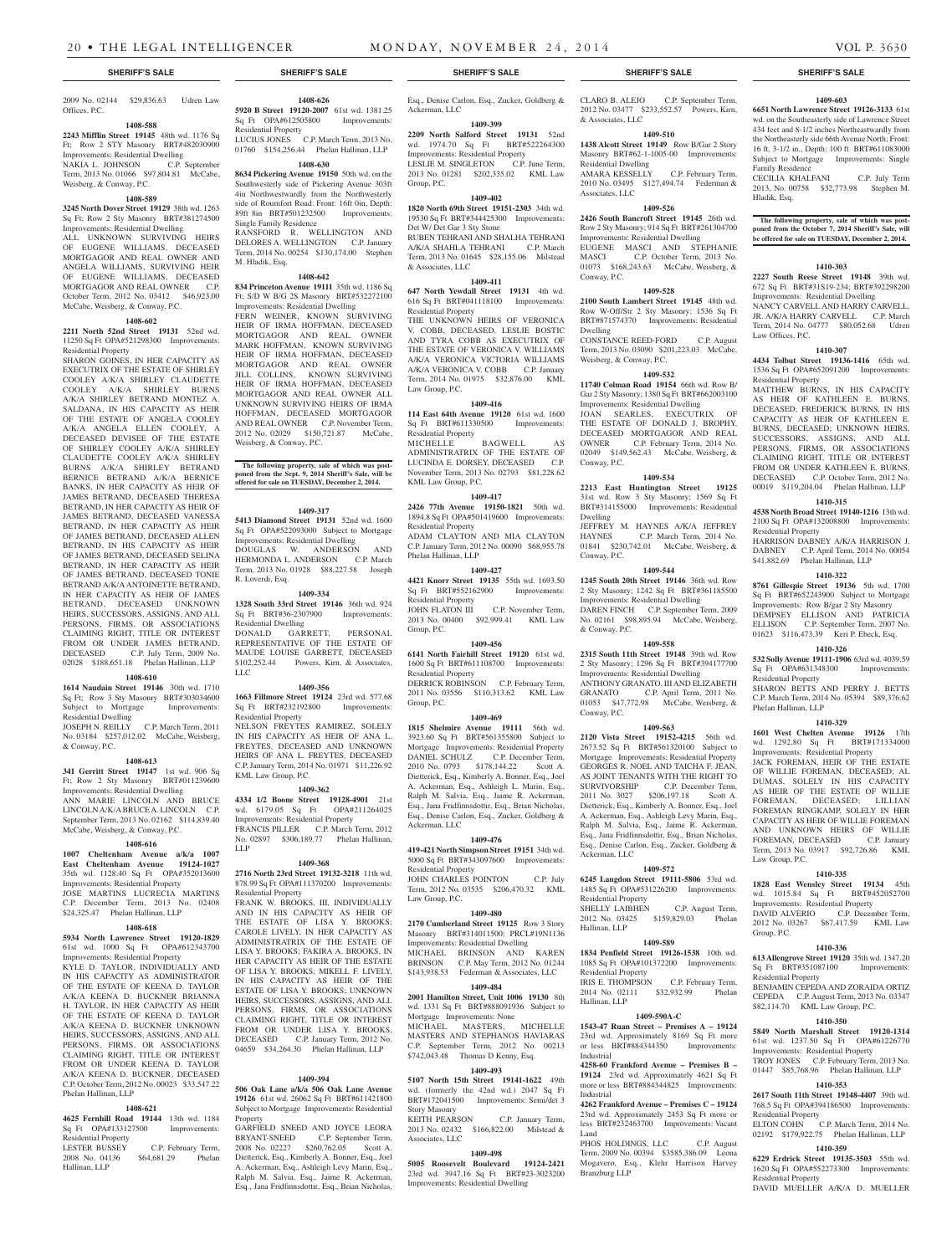2009 No. 02144 \$29,836.63 Udren Law Offices, P.C.

## **1408-588**

**2243 Mifflin Street 19145** 48th wd. 1176 Sq Ft; Row 2 STY Masonry BRT#482030900 Improvements: Residential Dwelling NAKIA L. JOHNSON C.P. September Term, 2013 No. 01066 \$97,804.81 McCabe, Weisberg, & Conway, P.C.

#### **1408-589**

**3245 North Dover Street 19129** 38th wd. 1263 Sq Ft; Row 2 Sty Masonry BRT#381274500 Improvements: Residential Dwelling

ALL UNKNOWN SURVIVING HEIRS OF EUGENE WILLIAMS, DECEASED MORTGAGOR AND REAL OWNER AND ANGELA WILLIAMS, SURVIVING HEIR OF EUGENE WILLIAMS, DECEASED MORTGAGOR AND REAL OWNER C.P. October Term, 2012 No. 03412 \$46,923.00 McCabe, Weisberg, & Conway, P.C.

## **1408-602**

**2211 North 52nd Street 19131** 52nd wd. 11250 Sq Ft OPA#521298300 Improvements: Residential Property

SHARON GOINES, IN HER CAPACITY AS EXECUTRIX OF THE ESTATE OF SHIRLEY COOLEY A/K/A SHIRLEY CLAUDETTE COOLEY A/K/A SHIRLEY BURNS A/K/A SHIRLEY BETRAND MONTEZ A. SALDANA, IN HIS CAPACITY AS HEIR OF THE ESTATE OF ANGELA COOLEY A/K/A ANGELA ELLEN COOLEY, A DECEASED DEVISEE OF THE ESTATE OF SHIRLEY COOLEY A/K/A SHIRLEY CLAUDETTE COOLEY A/K/A SHIRLEY BURNS A/K/A SHIRLEY BETRAND BERNICE BETRAND A/K/A BERNICE BANKS, IN HER CAPACITY AS HEIR OF JAMES BETRAND, DECEASED THERESA BETRAND, IN HER CAPACITY AS HEIR OF JAMES BETRAND, DECEASED VANESSA BETRAND, IN HER CAPACITY AS HEIR OF JAMES BETRAND, DECEASED ALLEN BETRAND, IN HIS CAPACITY AS HEIR OF JAMES BETRAND, DECEASED SELINA BETRAND, IN HER CAPACITY AS HEIR OF JAMES BETRAND, DECEASED TONIE BETRAND A/K/A ANTOINETTE BETRAND, IN HER CAPACITY AS HEIR OF JAMES BETRAND, DECEASED UNKNOWN HEIRS, SUCCESSORS, ASSIGNS, AND ALL PERSONS, FIRMS, OR ASSOCIATIONS CLAIMING RIGHT, TITLE OR INTEREST FROM OR UNDER JAMES BETRAND, DECEASED C.P. July Term, 2009 No. 02028 \$188,651.18 Phelan Hallinan, LLP

## **1408-610**

**1614 Naudain Street 19146** 30th wd. 1710 Sq Ft; Row 3 Sty Masonry BRT#303034600<br>Subject to Mortgage Improvements: Subject to Mortgage Residential Dwelling

JOSEPH N. REILLY C.P. March Term, 2011 No. 03184 \$257,012.02 McCabe, Weisberg, & Conway, P.C.

#### **1408-613**

**341 Gerritt Street 19147** 1st wd. 906 Sq Ft; Row 2 Sty Masonry BRT#011239600 Improvements: Residential Dwelling ANN MARIE LINCOLN AND BRUCE LINCOLN A/K/A BRUCE A. LINCOLN C.P. September Term, 2013 No. 02162 \$114,839.40 McCabe, Weisberg, & Conway, P.C.

#### **1408-616**

**1007 Cheltenham Avenue a/k/a 1007 East Cheltenham Avenue 19124-1027**  35th wd. 1128.40 Sq Ft OPA#352013600 Improvements: Residential Property JOSE MARTINS LUCRECIA MARTINS C.P. December Term, 2013 No. 02408

\$24,325.47 Phelan Hallinan, LLP **1408-618**

**5934 North Lawrence Street 19120-1829**  61st wd. 1000 Sq Ft OPA#612343700 Improvements: Residential Property KYLE D. TAYLOR, INDIVIDUALLY AND

IN HIS CAPACITY AS ADMINISTRATOR OF THE ESTATE OF KEENA D. TAYLOR A/K/A KEENA D. BUCKNER BRIANNA H. TAYLOR, IN HER CAPACITY AS HEIR OF THE ESTATE OF KEENA D. TAYLOR A/K/A KEENA D. BUCKNER UNKNOWN HEIRS, SUCCESSORS, ASSIGNS, AND ALL PERSONS, FIRMS, OR ASSOCIATIONS CLAIMING RIGHT, TITLE OR INTEREST FROM OR UNDER KEENA D. TAYLOR A/K/A KEENA D. BUCKNER, DECEASED C.P. October Term, 2012 No. 00023 \$33,547.22 Phelan Hallinan, LLP

## **1408-621**

**4625 Fernhill Road 19144** 13th wd. 1184<br>Sq Ft OPA#133127500 Improvements: Sq Ft OPA#133127500 Residential Property<br>LESTER BUSSEY

LESTER BUSSEY C.P. February Term,<br>2008 No. 04136 \$64,681.29 Phelan \$64,681.29 Phelan Hallinan, LLP

**1408-626 5920 B Street 19120-2007** 61st wd. 1381.25 Sq Ft OPA#612505800 Improvements: Residential Property

LUCIUS JONES C.P. March Term, 2013 No. 01760 \$154,256.44 Phelan Hallinan, LLP **1408-630**

## **8634 Pickering Avenue 19150** 50th wd. on the

Southwesterly side of Pickering Avenue 303ft 4in Northwestwardly from the Northwesterly side of Roumfort Road. Front: 16ft 0in, Depth: 89ft 8in BRT#501232500 Improvements: Single Family Residence RANSFORD R. WELLINGTON AND DELORES A. WELLINGTON C.P. January

Term, 2014 No. 00254 \$130,174.00 Stephen M. Hladik, Esq. **1408-642**

**834 Princeton Avenue 19111** 35th wd. 1186 Sq Ft; S/D W B/G 2S Masonry BRT#532272100 Improvements: Residential Dwelling

FERN WEINER, KNOWN SURVIVING HEIR OF IRMA HOFFMAN, DECEASED MORTGAGOR AND REAL OWNER MARK HOFFMAN, KNOWN SURVIVING HEIR OF IRMA HOFFMAN, DECEASED MORTGAGOR AND REAL OWNER JILL COLLINS, KNOWN SURVIVING HEIR OF IRMA HOFFMAN, DECEASED MORTGAGOR AND REAL OWNER ALL UNKNOWN SURVIVING HEIRS OF IRMA HOFFMAN, DECEASED MORTGAGOR AND REAL OWNER C.P. November Term,<br>2012 No. 02029 \$150.721.87 McCabe. 2012 No. 02029 \$150,721.87 Weisberg, & Conway, P.C.

**The following property, sale of which was post-poned from the Sept. 9, 2014 Sheriff's Sale, will be offered for sale on TUESDAY, December 2, 2014.**

### **1409-317**

**5413 Diamond Street 19131** 52nd wd. 1600 Sq Ft OPA#522093000 Subject to Mortgage Improvements: Residential Dwelling DOUGLAS W. ANDERSON AND HERMONDA L. ANDERSON C.P. March Term, 2013 No. 01928 \$88,227.58 Joseph R. Loverdi, Esq.

**1409-334**

**1328 South 33rd Street 19146** 36th wd. 924 Sq Ft BRT#36-2307900 Improvements: Residential Dwelling DONALD GARRETT, PERSONAL REPRESENTATIVE OF THE ESTATE OF MAUDE LOUISE GARRETT, DECEASED \$102,252.44 Powers, Kirn, & Associates, LLC

#### **1409-356**

**1663 Fillmore Street 19124** 23rd wd. 577.68<br>Sq Ft BRT#232192800 Improvements: Sq Ft BRT#232192800 Residential Property

NELSON FREYTES RAMIREZ, SOLELY IN HIS CAPACITY AS HEIR OF ANA L. FREYTES, DECEASED AND UNKNOWN HEIRS OF ANA L. FREYTES, DECEASED C.P. January Term, 2014 No. 01971 \$11,226.92 KML Law Group, P.C.

### **1409-362**

**4334 1/2 Boone Street 19128-4901** 21st wd. 6179.05 Sq Ft OPA#211264025 Improvements: Residential Property FRANCIS PILLER C.P. March Term, 2012 No. 02897 \$306,189.77 Phelan Hallinan, LLP

#### **1409-368**

**2716 North 23rd Street 19132-3218** 11th wd. 878.99 Sq Ft OPA#111370200 Improvements: Residential Property FRANK W. BROOKS, III, INDIVIDUALLY AND IN HIS CAPACITY AS HEIR OF THE ESTATE OF LISA Y. BROOKS; CAROLE LIVELY, IN HER CAPACITY AS ADMINISTRATRIX OF THE ESTATE OF LISA Y. BROOKS; FAKIRA A. BROOKS, IN HER CAPACITY AS HEIR OF THE ESTATE OF LISA Y. BROOKS; MIKELL F. LIVELY, IN HIS CAPACITY AS HEIR OF THE ESTATE OF LISA Y. BROOKS; UNKNOWN HEIRS, SUCCESSORS, ASSIGNS, AND ALL PERSONS, FIRMS, OR ASSOCIATIONS CLAIMING RIGHT, TITLE OR INTEREST

## **1409-394**

FROM OR UNDER LISA Y. BROOKS. DECEASED C.P. January Term, 2012 No. 04659 \$34,264.30 Phelan Hallinan, LLP

**506 Oak Lane a/k/a 506 Oak Lane Avenue 19126** 61st wd. 26062 Sq Ft BRT#611421800 Subject to Mortgage Improvements: Residential Property

GARFIELD SNEED AND JOYCE LEORA BRYANT-SNEED C.P. September Term, 2008 No. 02227 \$260,762.05 Scott A. Dietterick, Esq., Kimberly A. Bonner, Esq., Joel A. Ackerman, Esq., Ashleigh Levy Marin, Esq., Ralph M. Salvia, Esq., Jaime R. Ackerman, Esq., Jana Fridfinnsdottir, Esq., Brian Nicholas,

Esq., Denise Carlon, Esq., Zucker, Goldberg & Ackerman, LLC

**1409-399 2209 North Salford Street 19131** 52nd wd. 1974.70 Sq Ft BRT#522264300

Improvements: Residential Property LESLIE M. SINGLETON C.P. June Term, 2013 No. 01281 \$202,335.02 KML Law Group, P.C.

# **1409-402**

**1820 North 69th Street 19151-2303** 34th wd. 19530 Sq Ft BRT#344425300 Improvements: Det W/ Det Gar 3 Sty Stone RUBEN TEHRANI AND SHALHA TEHRANI

A/K/A SHAHLA TEHRANI C.P. March Term, 2013 No. 01645 \$28,155.06 Milstead & Associates, LLC

## **1409-411**

**647 North Yewdall Street 19131** 4th wd. 616 Sq Ft BRT#041118100 Improvements: Residential Property THE UNKNOWN HEIRS OF VERONICA V. COBB, DECEASED, LESLIE BOSTIC AND TYRA COBB AS EXECUTRIX OF THE ESTATE OF VERONICA V. WILLIAMS A/K/A VERONICA VICTORIA WILLIAMS A/K/A VERONICA V. COBB C.P. January Term, 2014 No. 01975 \$32,876.00 KML Law Group, P.C.

## **1409-416**

**114 East 64th Avenue 19120** 61st wd. 1600 Sq Ft BRT#611330500 Improvements: Residential Property<br>MICHELLE BAGWELL ADMINISTRATRIX OF THE ESTATE OF

LUCINDA E. DORSEY, DECEASED C.P. November Term, 2013 No. 02793 \$81,228.62 KML Law Group, P.C.

#### **1409-417 2426 77th Avenue 19150-1821** 50th wd.

1894.8 Sq Ft OPA#501419600 Improvements: Residential Property ADAM CLAYTON AND MIA CLAYTON C.P. January Term, 2012 No. 00090 \$68,955.78 Phelan Hallinan, LLP

#### **1409-427 4421 Knorr Street 19135** 55th wd. 1693.50

Sq Ft BRT#552162900 Improvements: Residential Property<br>JOHN FLATON III C.P. November Term, 2013 No. 00400 \$92,999.41 KML Law Group, P.C.

## **1409-456**

**6141 North Fairhill Street 19120** 61st wd. 1600 Sq Ft BRT#611108700 Improvements: Residential Property

DERRICK ROBINSON C.P. February Term, 2011 No. 03556 \$110,313.62 KML Law Group, P.C.

## **1409-469**

**1815 Shelmire Avenue 19111** 56th wd. 3923.60 Sq Ft BRT#561355800 Subject to Mortgage Improvements: Residential Property DANIEL SCHULZ C.P. December Term, 2010 No. 0793 \$178,144.22 Scott A. Dietterick, Esq., Kimberly A. Bonner, Esq., Joel A. Ackerman, Esq., Ashleigh L. Marin, Esq., Ralph M. Salvia, Esq., Jaime R. Ackerman, Esq., Jana Fridfinnsdottir, Esq., Brian Nicholas, Esq., Denise Carlon, Esq., Zucker, Goldberg & Ackerman, LLC

## **1409-476**

**419-421 North Simpson Street 19151** 34th wd. 5000 Sq Ft BRT#343097600 Improvements: Residential Property JOHN CHARLES POINTON C.P. July

# Term, 2012 No. 03535 \$206,470.32 KML

Law Group, P.C. **1409-480**

**2170 Cumberland Street 19125** Row 3 Story Masonry BRT#314011500; PRCL#19N1136 Improvements: Residential Dwelling MICHAEL BRINSON AND KAREN<br>BRINSON C.P. May Term. 2012 No. 01244

C.P. May Term, 2012 No. 01244 \$143,938.53 Federman & Associates, LLC **1409-484**

# **2001 Hamilton Street, Unit 1006 19130** 8th

wd. 1331 Sq Ft BRT#888091936 Subject to Mortgage Improvements: None MICHAEL MASTERS, MICHELLE MASTERS AND STEPHANOS HAVIARAS September Term, 2012 \$742,043.48 Thomas D Kenny, Esq.

## **1409-493**

**5107 North 15th Street 19141-1622** 49th wd. (formerly the 42nd wd.) 2047 Sq Ft BRT#172041500 Improvements: Semi/det 3 Story Masonry

KEITH PEARSON C.P. January Term, 2013 No. 02432 \$166,822.00 Milstead & Associates, LLC

## **1409-498**

**5005 Roosevelt Boulevard 19124-2421**  23rd wd. 3947.16 Sq Ft BRT#23-3023200 Improvements: Residential Dwelling

## **SHERIFF'S SALE SHERIFF'S SALE SHERIFF'S SALE SHERIFF'S SALE SHERIFF'S SALE**

C.P. September Term, 2012 No. 03477 \$233,552.57 Powers, Kirn, & Associates, LLC

**1409-603 6651 North Lawrence Street 19126-3133** 61st wd. on the Southeasterly side of Lawrence Street 434 feet and 8-1/2 inches Northeastwardly from the Northeasterly side 66th Avenue North; Front: 16 ft. 3-1/2 in., Depth: 100 ft BRT#611083000 Subject to Mortgage Improvements: Single

CECILIA KHALFANI C.P. July Term 2013, No. 00758 \$32,773.98 Stephen M.

**The following property, sale of which was post-poned from the October 7, 2014 Sheriff's Sale, will be offered for sale on TUESDAY, December 2, 2014.**

**1410-303 2227 South Reese Street 19148** 39th wd. 672 Sq Ft BRT#31S19-234; BRT#392298200 Improvements: Residential Dwelling NANCY CARVELL AND HARRY CARVELL, JR. A/K/A HARRY CARVELL C.P. March Term, 2014 No. 04777 \$80,052.68 Udren

**1410-307 4434 Tolbut Street 19136-1416** 65th wd. 1536 Sq Ft OPA#652091200 Improvements:

MATTHEW BURNS, IN HIS CAPACITY AS HEIR OF KATHLEEN E. BURNS, DECEASED; FREDERICK BURNS, IN HIS CAPACITY AS HEIR OF KATHLEEN E. BURNS, DECEASED; UNKNOWN HEIRS, SUCCESSORS, ASSIGNS, AND ALL PERSONS, FIRMS, OR ASSOCIATIONS CLAIMING RIGHT, TITLE OR INTEREST FROM OR UNDER KATHLEEN E. BURNS, DECEASED C.P. October Term, 2012 No. 00019 \$119,204.04 Phelan Hallinan, LLP **1410-315 4538 North Broad Street 19140-1216** 13th wd. 2100 Sq Ft OPA#132008800 Improvements:

HARRISON DABNEY A/K/A HARRISON J. DABNEY C.P. April Term, 2014 No. 00054 \$41,882.69 Phelan Hallinan, LLP **1410-322 8761 Gillespie Street 19136** 5th wd. 1700 Sq Ft BRT#652243900 Subject to Mortgage Improvements: Row B/gar 2 Sty Masonry DEMPSEY ELLISON AND PATRICIA ELLISON C.P. September Term, 2007 No. 01623 \$116,473.39 Keri P. Ebeck, Esq. **1410-326 532 Solly Avenue 19111-1906** 63rd wd. 4039.59 Sq Ft OPA#631348300 Improvements:

SHARON BETTS AND PERRY J. BETTS C.P. March Term, 2014 No. 05394 \$89,376.62

**1410-329 1601 West Chelten Avenue 19126** 17th wd. 1292.80 Sq Ft BRT#171334000 Improvements: Residential Property JACK FOREMAN, HEIR OF THE ESTATE OF WILLIE FOREMAN, DECEASED; AL DUMAS, SOLELY IN HIS CAPACITY AS HEIR OF THE ESTATE OF WILLIE FOREMAN, DECEASED; LILLIAN FOREMAN RINGKAMP, SOLELY IN HER CAPACITY AS HEIR OF WILLIE FOREMAN AND UNKNOWN HEIRS OF WILLIE<br>FOREMAN, DECEASED C.P. January

Term, 2013 No. 03917 \$92,726.86 KML

**1410-335 1828 East Wensley Street 19134** 45th wd. 1015.84 Sq Ft BRT#452052700 Improvements: Residential Property DAVID ALVERIO C.P. December Term, 2012 No. 03267 \$67,417.59 KML Law

**1410-336 613 Allengrove Street 19120** 35th wd. 1347.20 Sq Ft BRT#351087100 Improvements:

BENJAMIN CEPEDA AND ZORAIDA ORTIZ CEPEDA C.P. August Term, 2013 No. 03347 \$82,114.70 KML Law Group, P.C. **1410-350 5849 North Marshall Street 19120-1314**  61st wd. 1237.50 Sq Ft OPA#61226770 Improvements: Residential Property TROY JONES C.P. February Term, 2013 No. 01447 \$85,768.96 Phelan Hallinan, LLP **1410-353 2617 South 11th Street 19148-4407** 39th wd. 768.5 Sq Ft OPA#394186500 Improvements:

ELTON COHN C.P. March Term, 2014 No. 02192 \$179,922.75 Phelan Hallinan, LLP **1410-359 6229 Erdrick Street 19135-3503** 55th wd. 1620 Sq Ft OPA#552273300 Improvements:

DAVID MUELLER A/K/A D. MUELLER

Family Residence

Law Offices, P.C.

Residential Property

Residential Property

Residential Property

Phelan Hallinan, LLP

FOREMAN, DECEASED

Law Group, P.C.

Group, P.C.

Residential Property

Residential Property

Residential Property

Hladik, Esq.

## **1409-510**

**1438 Alcott Street 19149** Row B/Gar 2 Story Masonry BRT#62-1-1005-00 Improvements: Residential Dwelling

AMARA KESSELLY C.P. February Term, 2010 No. 03495 \$127,494.74 Federman & Associates, LLC

#### **1409-526 2426 South Bancroft Street 19145** 26th wd.

Row 2 Sty Masonry; 914 Sq Ft BRT#261304700 Improvements: Residential Dwelling EUGENE MASCI AND STEPHANIE MASCI C.P. October Term, 2013 No. 01073 \$168,243.63 McCabe, Weisberg, & Conway, P.C.

#### **1409-528**

**2100 South Lambert Street 19145** 48th wd. Row W-Off/Str 2 Sty Masonry; 1536 Sq Ft BRT#871574370 Improvements: Residential Dwelling CONSTANCE REED-FORD C.P. August

Term, 2013 No. 03090 \$201,223.03 McCabe, Weisberg, & Conway, P.C.

## **1409-532**

**11740 Colman Road 19154** 66th wd. Row B/ Gar 2 Sty Masonry; 1380 Sq Ft BRT#662003100 Improvements: Residential Dwelling JOAN SEARLES, EXECUTRIX OF

THE ESTATE OF DONALD J. BROPHY, DECEASED MORTGAGOR AND REAL OWNER C.P. February Term, 2014 No. 02049 \$149,562.43 McCabe, Weisberg, & Conway, P.C.

# **1409-534**

**2213 East Huntington Street 19125**  31st wd. Row 3 Sty Masonry; 1569 Sq Ft BRT#314155000 Improvements: Residential Dwelling JEFFREY M. HAYNES A/K/A JEFFREY HAYNES C.P. March Term, 2014 No. 01841 \$230,742.01 McCabe, Weisberg, &

## **1409-544**

Conway, P.C.

Conway, P.C.

Ackerman, LLC

Residential Property

Residential Property

Hallinan, LLP

Hallinan, LLP

Industrial

Industrial

Branzburg LLP

Land

**1245 South 20th Street 19146** 36th wd. Row 2 Sty Masonry; 1242 Sq Ft BRT#361185500 Improvements: Residential Dwelling DAREN FINCH C.P. September Term, 2009 No. 02161 \$98,895.94 McCabe, Weisberg, & Conway, P.C.

2 Sty Masonry; 1296 Sq Ft BRT#394177700 Improvements: Residential Dwelling ANTHONY GRANATO, III AND ELIZABETH GRANATO C.P. April Term, 2011 No. 01053 \$47,772.98 McCabe, Weisberg, &

**1409-563 2120 Vista Street 19152-4215** 56th wd. 2673.52 Sq Ft BRT#561320100 Subject to Mortgage Improvements: Residential Property GEORGES R. NOEL AND TAICHA F. JEAN, AS JOINT TENANTS WITH THE RIGHT TO SURVIVORSHIP C.P. December Term, 2011 No. 3027 \$206,197.18 Scott A. Dietterick, Esq., Kimberly A. Bonner, Esq., Joel A. Ackerman, Esq., Ashleigh Levy Marin, Esq., Ralph M. Salvia, Esq., Jaime R. Ackerman, Esq., Jana Fridfinnsdottir, Esq., Brian Nicholas, Esq., Denise Carlon, Esq., Zucker, Goldberg &

**1409-572 6245 Langdon Street 19111-5806** 53rd wd. 1485 Sq Ft OPA#531226200 Improvements:

SHELLY LAIBHEN C.P. August Term, 2012 No. 03425 \$159,829.03 Phelan

**1409-589 1834 Penfield Street 19126-1538** 10th wd. 1085 Sq Ft OPA#101372200 Improvements:

IRIS E. THOMPSON C.P. February Term, 2014 No. 02111 \$32,932.99 Phelan

**1409-590A-C 1543-47 Ruan Street – Premises A – 19124**  23rd wd. Approximately 8169 Sq Ft more<br>or less BRT#884344350 Improvements: BRT#884344350 Improvements

**4258-60 Frankford Avenue – Premises B – 19124** 23rd wd. Approximately 4621 Sq Ft more or less BRT#884344825 Improvements:

**4262 Frankford Avenue – Premises C – 19124**  23rd wd. Approximately 2453 Sq Ft more or less BRT#232463700 Improvements: Vacant

PHOS HOLDINGS, LLC C.P. August Term, 2009 No. 00394 \$3585,386.09 Leona Mogavero, Esq., Klehr Harrison Harvey

## **1409-558 2315 South 11th Street 19148** 39th wd. Row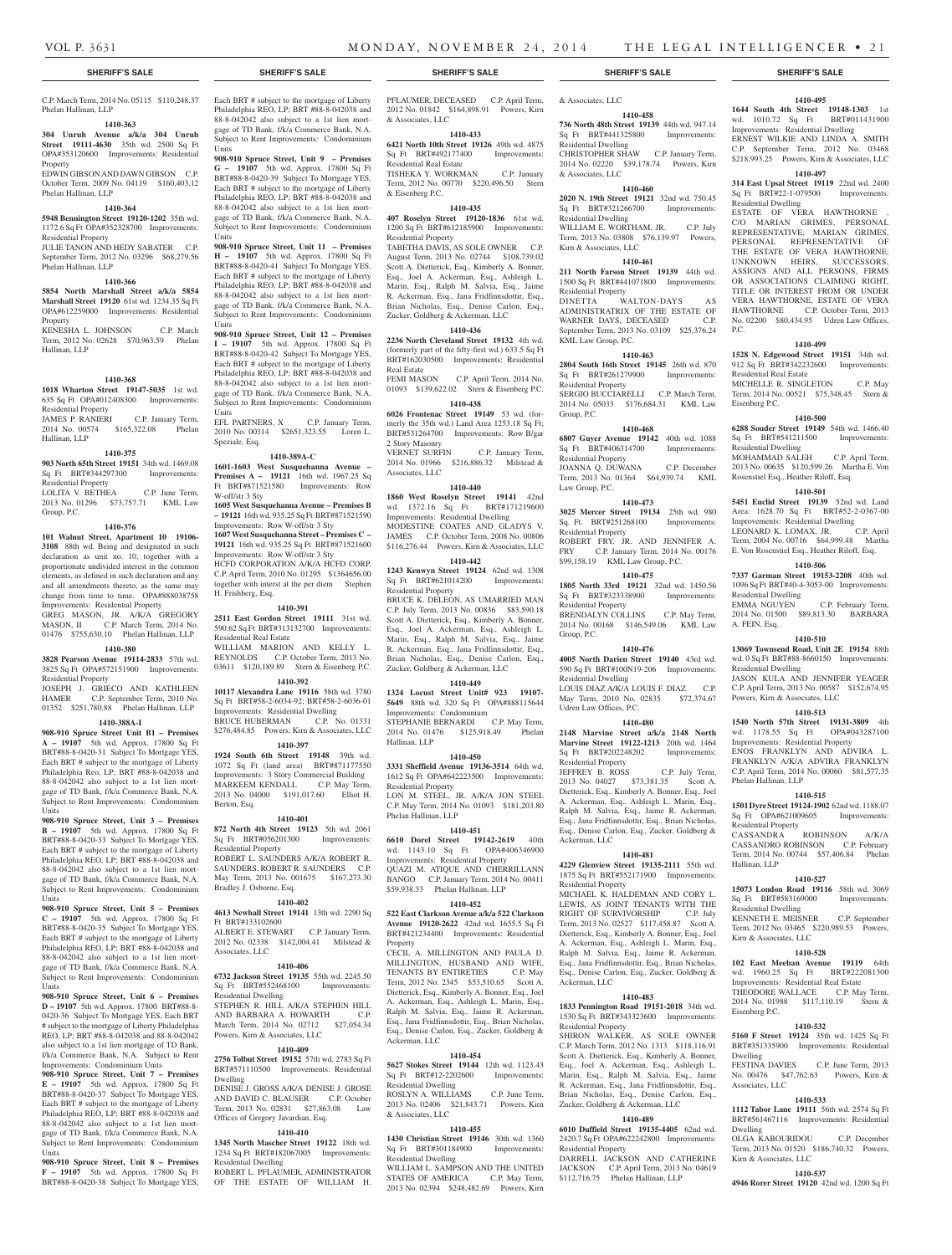#### C.P. March Term, 2014 No. 05115 \$110,248.37 Phelan Hallinan, LLP

## **1410-363**

**304 Unruh Avenue a/k/a 304 Unruh Street 19111-4630** 35th wd. 2500 Sq Ft OPA#353120600 Improvements: Residential

Property EDWIN GIBSON AND DAWN GIBSON C.P. October Term, 2009 No. 04119 \$160,403.12 Phelan Hallinan, LLP

## **1410-364**

**5948 Bennington Street 19120-1202** 35th wd. 1172.6 Sq Ft OPA#352328700 Improvements:

Residential Property JULIE TANON AND HEDY SABATER C.P.

#### September Term, 2012 No. 03296 \$68,279.56 Phelan Hallinan, LLP

## **1410-366**

**5854 North Marshall Street a/k/a 5854 Marshall Street 19120** 61st wd. 1234.35 Sq Ft OPA#612259000 Improvements: Residential Property

KENESHA L. JOHNSON C.P. March Term, 2012 No. 02628 \$70,963.59 Phelan Hallinan, LLP

## **1410-368**

**1018 Wharton Street 19147-5035** 1st wd. 635 Sq Ft OPA#012408300 Improvements: Residential Property<br>JAMES P. RANIERI C.P. January Term,

2014 No. 00574 \$165,322.08 Phelan Hallinan, LLP

## **1410-375**

**903 North 65th Street 19151** 34th wd. 1469.08 Sq Ft BRT#344297300 Improvements: Residential Property<br>LOLITA V. BETHEA

C.P. June Term, 2013 No. 01296 \$73,757.71 KML Law Group, P.C.

### **1410-376**

**101 Walnut Street, Apartment 10 19106- 3108** 88th wd. Being and designated in such declaration as unit no. 10, together with a proportionate undivided interest in the common elements, as defined in such declaration and any and all amendments thereto, as the same may change from time to time. OPA#888038758 Improvements: Residential Property

GREG MASON, JR. A/K/A GREGORY MASON, II C.P. March Term, 2014 No. 01476 \$755,630.10 Phelan Hallinan, LLP

#### **1410-380**

**3828 Pearson Avenue 19114-2833** 57th wd. 3825 Sq Ft OPA#572151900 Improvements:

Residential Property JOSEPH J. GRIECO AND KATHLEEN C.P. September Term, 2010 No. 01352 \$251,780.88 Phelan Hallinan, LLP

## **1410-388A-I**

**908-910 Spruce Street Unit B1 – Premises A – 19107** 5th wd. Approx. 17800 Sq Ft BRT#88-8-0420-31 Subject To Mortgage YES, Each BRT # subject to the mortgage of Liberty Philadelphia Reo, LP; BRT #88-8-042038 and 88-8-042042 also subject to a 1st lien mortgage of TD Bank, f/k/a Commerce Bank, N.A. Subject to Rent Improvements: Condominium Units

**908-910 Spruce Street, Unit 3 – Premises B – 19107** 5th wd. Approx. 17800 Sq Ft BRT#88-8-0420-33 Subject To Mortgage YES, Each BRT # subject to the mortgage of Liberty Philadelphia REO, LP; BRT #88-8-042038 and 88-8-042042 also subject to a 1st lien mortgage of TD Bank, f/k/a Commerce Bank, N.A. Subject to Rent Improvements: Condominium Units

#### **908-910 Spruce Street, Unit 5 – Premises C – 19107** 5th wd. Approx. 17800 Sq Ft BRT#88-8-0420-35 Subject To Mortgage YES, Each BRT # subject to the mortgage of Liberty Philadelphia REO, LP; BRT #88-8-042038 and 88-8-042042 also subject to a 1st lien mortgage of TD Bank, f/k/a Commerce Bank, N.A.

Subject to Rent Improvements: Condominium Units **908-910 Spruce Street, Unit 6 – Premises D – 19107** 5th wd. Approx. 17800 BRT#88-8- 0420-36 Subject To Mortgage YES, Each BRT # subject to the mortgage of Liberty Philadelphia REO, LP; BRT #88-8-042038 and 88-8-042042 abject to a 1st lien mortgage of TD Ba f/k/a Commerce Bank, N.A. Subject to Rent Improvements: Condominium Units

**908-910 Spruce Street, Unit 7 – Premises E – 19107** 5th wd. Approx. 17800 Sq Ft BRT#88-8-0420-37 Subject To Mortgage YES, Each BRT # subject to the mortgage of Liberty Philadelphia REO, LP; BRT #88-8-042038 and 88-8-042042 also subject to a 1st lien mortgage of TD Bank, f/k/a Commerce Bank, N.A. Subject to Rent Improvements: Condominium **Units** 

**908-910 Spruce Street, Unit 8 – Premises F – 19107** 5th wd. Approx. 17800 Sq Ft BRT#88-8-0420-38 Subject To Mortgage YES, Each BRT # subject to the mortgage of Liberty Philadelphia REO, LP; BRT #88-8-042038 and 88-8-042042 also subject to a 1st lien mortgage of TD Bank, f/k/a Commerce Bank, N.A. Subject to Rent Improvements: Condominium Units

**908-910 Spruce Street, Unit 9 – Premises G – 19107** 5th wd. Approx. 17800 Sq Ft BRT#88-8-0420-39 Subject To Mortgage YES, Each BRT # subject to the mortgage of Liberty Philadelphia REO, LP; BRT #88-8-042038 and 88-8-042042 also subject to a 1st lien mortgage of TD Bank, f/k/a Commerce Bank, N.A. Subject to Rent Improvements: Condominium Units

**908-910 Spruce Street, Unit 11 – Premises H – 19107** 5th wd. Approx. 17800 Sq Ft BRT#88-8-0420-41 Subject To Mortgage YES, Each BRT # subject to the mortgage of Liberty Philadelphia REO, LP; BRT #88-8-042038 and 88-8-042042 also subject to a 1st lien mortgage of TD Bank, f/k/a Commerce Bank, N.A. Subject to Rent Improvements: Condominium Units

**908-910 Spruce Street, Unit 12 – Premises I – 19107** 5th wd. Approx. 17800 Sq Ft BRT#88-8-0420-42 Subject To Mortgage YES, Each BRT # subject to the mortgage of Liberty Philadelphia REO, LP; BRT #88-8-042038 and 88-8-042042 also subject to a 1st lien mortgage of TD Bank, f/k/a Commerce Bank, N.A. Subject to Rent Improvements: Condominium Units

EFL PARTNERS, X C.P. January Term, 2010 No. 00314 \$2651,323.55 Loren L. Speziale, Esq.

## **1410-389A-C**

**1601-1603 West Susquehanna Avenue – Premises A – 19121** 16th wd. 1967.25 Sq Ft BRT#871521580 Improvements: Row W-off/str 3 Sty

## **1605 West Susquehanna Avenue – Premises B – 19121** 16th wd. 935.25 Sq Ft BRT#871521590

Improvements: Row W-off/str 3 Sty **1607 West Susquehanna Street – Premises C – 19121** 16th wd. 935.25 Sq Ft BRT#871521600 Improvements: Row W-off/str 3 Sty HCFD CORPORATION A/K/A HCFD CORP. C.P. April Term, 2010 No. 01295 \$1364656.00 together with interst at the per diem Stephen H. Frishberg, Esq.

## **1410-391**

**2511 East Gordon Street 19111** 31st wd. 590.62 Sq Ft BRT#313132700 Improvements: Residential Real Estate WILLIAM MARION AND KELLY L. REYNOLDS C.P. October Term, 2013 No. 03611 \$120,189.89 Stern & Eisenberg P.C.

#### **1410-392**

**10117 Alexandra Lane 19116** 58th wd. 3780 Sq Ft BRT#58-2-6034-92; BRT#58-2-6036-01 Improvements: Residential Dwelling BRUCE HUBERMAN C.P. No. 01331 \$276,484.85 Powers, Kirn & Associates, LLC

## **1410-397**

**1924 South 6th Street 19148** 39th wd. 1072 Sq Ft (land area) BRT#871177550 Improvements: 3 Story Commercial Building MARKEEM KENDALL C.P. May Term, 2013 No. 04000 \$191,017.60 Elliot H. Berton, Esq.

## **1410-401**

**872 North 4th Street 19123** 5th wd. 2061 Sq Ft BRT#056201300 Improvements: Residential Property

ROBERT L. SAUNDERS A/K/A ROBERT R. SAUNDERS, ROBERT R. SAUNDERS C.P. May Term, 2013 No. 001675 \$167,273.30 Bradley J. Osborne, Esq.

#### **1410-402**

**4613 Newhall Street 19141** 13th wd. 2290 Sq Ft BRT#133102600

ALBERT E. STEWART C.P. January Term, 2012 No. 02338 \$142,004.41 Milstead & Associates, LLC

#### **1410-406**

**6732 Jackson Street 19135** 55th wd. 2245.50 Sq Ft BRT#552468100 Improvements: Residential Dwelling

STEPHEN R. HILL A/K/A STEPHEN HILL AND BARBARA A. HOWARTH C.P. March Term, 2014 No. 02712 \$27,054.34 Powers, Kirn & Associates, LLC

#### **1410-409**

**2756 Tolbut Street 19152** 57th wd. 2783 Sq Ft BRT#571110500 Improvements: Residential Dwelling DENISE J. GROSS A/K/A DENISE J. GROSE

## AND DAVID C. BLAUSER C.P. October Term, 2013 No. 02831 \$27,863.08 Law Offices of Gregory Javardian, Esq. **1410-410 1345 North Mascher Street 19122** 18th wd.

1234 Sq Ft BRT#182067005 Improvements: Residential Dwelling

ROBERT L. PFLAUMER, ADMINISTRATOR OF THE ESTATE OF WILLIAM H.

PFLAUMER, DECEASED C.P. April Term, 2012 No. 01842 \$164,898.91 Powers, Kirn & Associates, LLC

### **1410-433**

**6421 North 10th Street 19126** 49th wd. 4875 Sq Ft BRT#492177400 Improvements: Residential Real Estate

TISHEKA Y. WORKMAN C.P. January Term, 2012 No. 00770 \$220,496.50 Stern & Eisenberg P.C.

## **1410-435**

**407 Roselyn Street 19120-1836** 61st wd. 1200 Sq Ft BRT#612185900 Improvements: Residential Property

TABETHA DAVIS, AS SOLE OWNER C.P. August Term, 2013 No. 02744 \$108,739.02 Scott A. Dietterick, Esq., Kimberly A. Bonner, Esq., Joel A. Ackerman, Esq., Ashleigh L. Marin, Esq., Ralph M. Salvia, Esq., Jaime R. Ackerman, Esq., Jana Fridfinnsdottir, Esq., Brian Nicholas, Esq., Denise Carlon, Esq., Zucker, Goldberg & Ackerman, LLC

### **1410-436**

**2236 North Cleveland Street 19132** 4th wd. (formerly part of the fifty-first wd.) 633.5 Sq Ft BRT#162030500 Improvements: Residential Real Estate FEMI MASON C.P. April Term, 2014 No.

01093 \$139,622.02 Stern & Eisenberg P.C. **1410-438**

## **6026 Frontenac Street 19149** 53 wd. (formerly the 35th wd.) Land Area 1253.18 Sq Ft: BRT#531264700 Improvements: Row B/gar

2 Story Masonry C.P. January Term, 2014 No. 01966 \$216,886.32 Milstead & Associates, LLC

## **1410-440**

**1860 West Roselyn Street 19141** 42nd wd. 1372.16 Sq Ft BRT#171219600 Improvements: Residential Dwelling MODESTINE COATES AND GLADYS V. JAMES C.P. October Term, 2008 No. 00806 \$116,276.44 Powers, Kirn & Associates, LLC

**1410-442 1243 Kenwyn Street 19124** 62nd wd. 1308

Sq Ft BRT#621014200 Improvements: Residential Property BRUCE K. DELEON, AS UMARRIED MAN C.P. July Term, 2013 No. 00836 \$83,590.18 Scott A. Dietterick, Esq., Kimberly A. Bonner, Esq., Joel A. Ackerman, Esq., Ashleigh L. Marin, Esq., Ralph M. Salvia, Esq., Jaime R. Ackerman, Esq., Jana Fridfinnsdottir, Esq., Brian Nicholas, Esq., Denise Carlon, Esq., Zucker, Goldberg & Ackerman, LLC

## **1410-449**

**1324 Locust Street Unit# 923 19107- 5649** 88th wd. 320 Sq Ft OPA#888115644 Improvements: Condominium STEPHANIE BERNARDI C.P. May Term,<br>2014 No. 01476 \$125,918.49 Phelan 2014 No. 01476 \$125,918.49

## **1410-450**

Hallinan, LLP

**3331 Sheffield Avenue 19136-3514** 64th wd. 1612 Sq Ft OPA#642223500 Improvements: Residential Property LON M. STEEL, JR. A/K/A JON STEEL C.P. May Term, 2014 No. 01093 \$181,203.80 Phelan Hallinan, LLP

## **1410-451**

**6610 Dorel Street 19142-2619** 40th wd. 1143.10 Sq Ft OPA#406346900 Improvements: Residential Property QUAZI M. ATIQUE AND CHERRILLANN BANGO C.P. January Term, 2014 No. 00411 \$59,938.33 Phelan Hallinan, LLP

#### **1410-452**

**522 East Clarkson Avenue a/k/a 522 Clarkson Avenue 19120-2622** 42nd wd. 1655.5 Sq Ft BRT#421234400 Improvements: Residential Property

CECIL A. MILLINGTON AND PAULA D. MILLINGTON, HUSBAND AND WIFE,<br>TENANTS BY ENTIRETIES C.P. May TENANTS BY ENTIRETIES Term, 2012 No. 2345 \$53,510.65 Scott A. Dietterick, Esq., Kimberly A. Bonner, Esq., Joel A. Ackerman, Esq., Ashleigh L. Marin, Esq., Ralph M. Salvia, Esq., Jaime R. Ackerman, Esq., Jana Fridfinnsdottir, Esq., Brian Nicholas, Esq., Denise Carlon, Esq., Zucker, Goldberg & Ackerman, LLC

## **1410-454**

& Associates, LLC

**5627 Stokes Street 19144** 12th wd. 1123.43 Sq Ft BRT#12-2202600 Improvements: Residential Dwelling ROSLYN A. WILLIAMS C.P. June Term, 2013 No. 02406 \$21,843.71 Powers, Kirn

## **1410-455**

**1430 Christian Street 19146** 30th wd. 1360 Sq Ft BRT#301184900 Improvements: Residential Dwelling WILLIAM L. SAMPSON AND THE UNITED

STATES OF AMERICA C.P. May Term, 2013 No. 02394 \$248,482.69 Powers, Kirn

# & Associates, LLC

**1410-458 736 North 48th Street 19139** 44th wd. 947.14 Sq Ft BRT#441325800 Improvements: Residential Dwelling CHRISTOPHER SHAW C.P. January Term, 2014 No. 02220 \$39,178.74 Powers, Kirn

**1410-495 1644 South 4th Street 19148-1303** 1st wd. 1010.72 Sq Ft BRT#011431900 Improvements: Residential Dwelling ERNEST WILKIE AND LINDA A. SMITH C.P. September Term, 2012 No. 03468 \$218,993.25 Powers, Kirn & Associates, LLC **1410-497 314 East Upsal Street 19119** 22nd wd. 2400 Sq Ft BRT#22-1-079500 Improvements:

ESTATE OF VERA HAWTHORNE C/O MARIAN GRIMES, PERSONAL REPRESENTATIVE; MARIAN GRIMES, PERSONAL REPRESENTATIVE OF THE ESTATE OF VERA HAWTHORNE; UNKNOWN HEIRS, SUCCESSORS, ASSIGNS AND ALL PERSONS, FIRMS OR ASSOCIATIONS CLAIMING RIGHT TITLE OR INTEREST FROM OR UNDER VERA HAWTHORNE, ESTATE OF VERA HAWTHORNE C.P. October Term, 2013 No. 02200 \$80,434.95 Udren Law Offices,

**1410-499 1528 N. Edgewood Street 19151** 34th wd. 912 Sq Ft BRT#342232600 Improvements:

MICHELLE R. SINGLETON C.P. May Term, 2014 No. 00521 \$75,348.45 Stern &

**1410-500 6288 Souder Street 19149** 54th wd. 1466.40 Sq Ft BRT#541211500 Improvements:

MOHAMMAD SALEH C.P. April Term, 2013 No. 00635 \$120,599.26 Martha E. Von Rosenstiel Esq., Heather Riloff, Esq. **1410-501 5451 Euclid Street 19139** 52nd wd. Land Area: 1628.70 Sq Ft BRT#52-2-0367-00 Improvements: Residential Dwelling<br>LEONARD K. LOMAX, JR. C.P. April

Term, 2004 No. 00716 \$64,999.48 Martha E. Von Rosenstiel Esq., Heather Riloff, Esq. **1410-506 7337 Garman Street 19153-2208** 40th wd. 1096 Sq Ft BRT#40-4-3053-00 Improvements:

EMMA NGUYEN C.P. February Term, 2014 No. 01500 \$89,813.30 BARBARA

**1410-510 13069 Townsend Road, Unit 2E 19154** 88th wd. 0 Sq Ft BRT#88-8660150 Improvements:

JASON KULA AND JENNIFER YEAGER C.P. April Term, 2013 No. 00587 \$152,674.95

**1410-513 1540 North 57th Street 19131-3809** 4th wd. 1178.55 Sq Ft OPA#043287100 Improvements: Residential Property ENOS FRANKLYN AND ADVIRA L. FRANKLYN A/K/A ADVIRA FRANKLYN C.P. April Term, 2014 No. 00060 \$81,577.35

**1410-515 1501 Dyre Street 19124-1902** 62nd wd. 1188.07 Sq Ft OPA#621009605 Improvements:

CASSANDRA ROBINSON A/K/A CASSANDRO ROBINSON C.P. February Term, 2014 No. 00744 \$57,406.84 Phelan

**1410-527 15073 London Road 19116** 58th wd. 3069 Sq Ft BRT#583169000 Improvements:

KENNETH E. MEISNER C.P. September Term, 2012 No. 03465 \$220,989.53 Powers,

**1410-528 102 East Meehan Avenue 19119** 64th wd. 1960.25 Sq Ft BRT#222081300 Improvements: Residential Real Estate THEODORE WALLACE C.P. May Term, 2014 No. 01988 \$117,110.19 Stern &

**1410-532 5160 F Street 19124** 35th wd. 1425 Sq Ft BRT#351335900 Improvements: Residential

FESTINA DAVIES C.P. June Term, 2013 No. 00476 \$47,762.63 Powers, Kirn &

**1410-533 1112 Tabor Lane 19111** 56th wd. 2574 Sq Ft BRT#561467116 Improvements: Residential

OLGA KABOURIDOU C.P. December Term, 2013 No. 01520 \$186,740.32 Powers,

**1410-537 4946 Rorer Street 19120** 42nd wd. 1200 Sq Ft

Residential Dwelling

Residential Real Estate

Residential Dwelling

LEONARD K. LOMAX, JR.

Residential Dwelling

Residential Dwelling

Phelan Hallinan, LLP

Residential Property

Residential Dwelling

Kirn & Associates, LLC

Hallinan, LLP

Eisenberg P.C.

Dwelling

Dwelling

Associates, LLC

Kirn & Associates, LLC

Powers, Kirn & Associates, LLC

A. FEIN, Esq.

Eisenberg P.C.

P.C.

& Associates, LLC **1410-460**

#### **2020 N. 19th Street 19121** 32nd wd. 750.45 Sq Ft BRT#321266700 Improvements:

Residential Dwelling WILLIAM E. WORTHAM, JR. C.P. July Term, 2013 No. 03808 \$76,139.97 Powers, Kirn & Associates, LLC

## **1410-461 211 North Farson Street 19139** 44th wd.

1500 Sq Ft BRT#441071800 Improvements: Residential Property DINETTA WALTON-DAYS AS ADMINISTRATRIX OF THE ESTATE OF WARNER DAYS, DECEASED C.P. WARNER DAYS, DECEASED September Term, 2013 No. 03109 \$25,376.24 KML Law Group, P.C.

## **1410-463**

Residential Property

Residential Property

Residential Property

Residential Property

Residential Dwelling

Udren Law Offices, P.C.

Residential Property<br>JEFFREY B. ROSS

Ackerman, LLC

Residential Property

Ackerman, LLC

Residential Property

Residential Property

Group, P.C.

Law Group, P.C.

Group, P.C.

**2804 South 16th Street 19145** 26th wd. 870 Sq Ft BRT#261279900 Improvements:

SERGIO BUCCIARELLI C.P. March Term, 2014 No. 05033 \$176,684.31 KML Law

**1410-468 6807 Guyer Avenue 19142** 40th wd. 1088 Sq Ft BRT#406314700 Improvements:

JOANNA Q. DUWANA C.P. December Term, 2013 No. 01364 \$64,939.74 KML

**1410-473 3025 Mercer Street 19134** 25th wd. 980 Sq. Ft. BRT#251268100 Improvements:

ROBERT FRY, JR. AND JENNIFER A. FRY C.P. January Term, 2014 No. 00176 \$99,158.19 KML Law Group, P.C. **1410-475 1805 North 33rd 19121** 32nd wd. 1450.56 Sq Ft BRT#323338900 Improvements:

BRENDALYN COLLINS C.P. May Term, 2014 No. 00168 \$146,549.06 KML Law

**1410-476 4005 North Darien Street 19140** 43rd wd. 590 Sq Ft BRT#100N19-206 Improvements:

LOUIS DIAZ A/K/A LOUIS F. DIAZ C.P. May Term, 2010 No. 02835 \$72,374.67

**1410-480 2148 Marvine Street a/k/a 2148 North Marvine Street 19122-1213** 20th wd. 1464 Sq Ft BRT#202248202 Improvements:

2013 No. 04027 \$73,381.35 Scott A. Dietterick, Esq., Kimberly A. Bonner, Esq., Joel A. Ackerman, Esq., Ashleigh L. Marin, Esq., Ralph M. Salvia, Esq., Jaime R. Ackerman, Esq., Jana Fridfinnsdottir, Esq., Brian Nicholas, Esq., Denise Carlon, Esq., Zucker, Goldberg &

**1410-481 4229 Glenview Street 19135-2111** 55th wd. 1875 Sq Ft BRT#552171900 Improvements:

MICHAEL K. HALDEMAN AND CORY L. LEWIS, AS JOINT TENANTS WITH THE RIGHT OF SURVIVORSHIP C.P. July RIGHT OF SURVIVORSHIP C.P. July Term, 2013 No. 02527 \$117,458.87 Scott A. Dietterick, Esq., Kimberly A. Bonner, Esq., Joel A. Ackerman, Esq., Ashleigh L. Marin, Esq., Ralph M. Salvia, Esq., Jaime R. Ackerman, Esq., Jana Fridfinnsdottir, Esq., Brian Nicholas, Esq., Denise Carlon, Esq., Zucker, Goldberg &

**1410-483 1833 Pennington Road 19151-2018** 34th wd. 1530 Sq Ft BRT#343323600 Improvements:

SHIRON WALKER, AS SOLE OWNER C.P. March Term, 2012 No. 1313 \$118,116.91 Scott A. Dietterick, Esq., Kimberly A. Bonner, Esq., Joel A. Ackerman, Esq., Ashleigh L. Marin, Esq., Ralph M. Salvia, Esq., Jaime R. Ackerman, Esq., Jana Fridfinnsdottir, Esq., Brian Nicholas, Esq., Denise Carlon, Esq., Zucker, Goldberg & Ackerman, LLC **1410-489 6010 Duffield Street 19135-4405** 62nd wd. 2420.7 Sq Ft OPA#622242800 Improvements:

DARRELL JACKSON AND CATHERINE JACKSON C.P. April Term, 2013 No. 04619 \$112,716.75 Phelan Hallinan, LLP

C.P. July Term,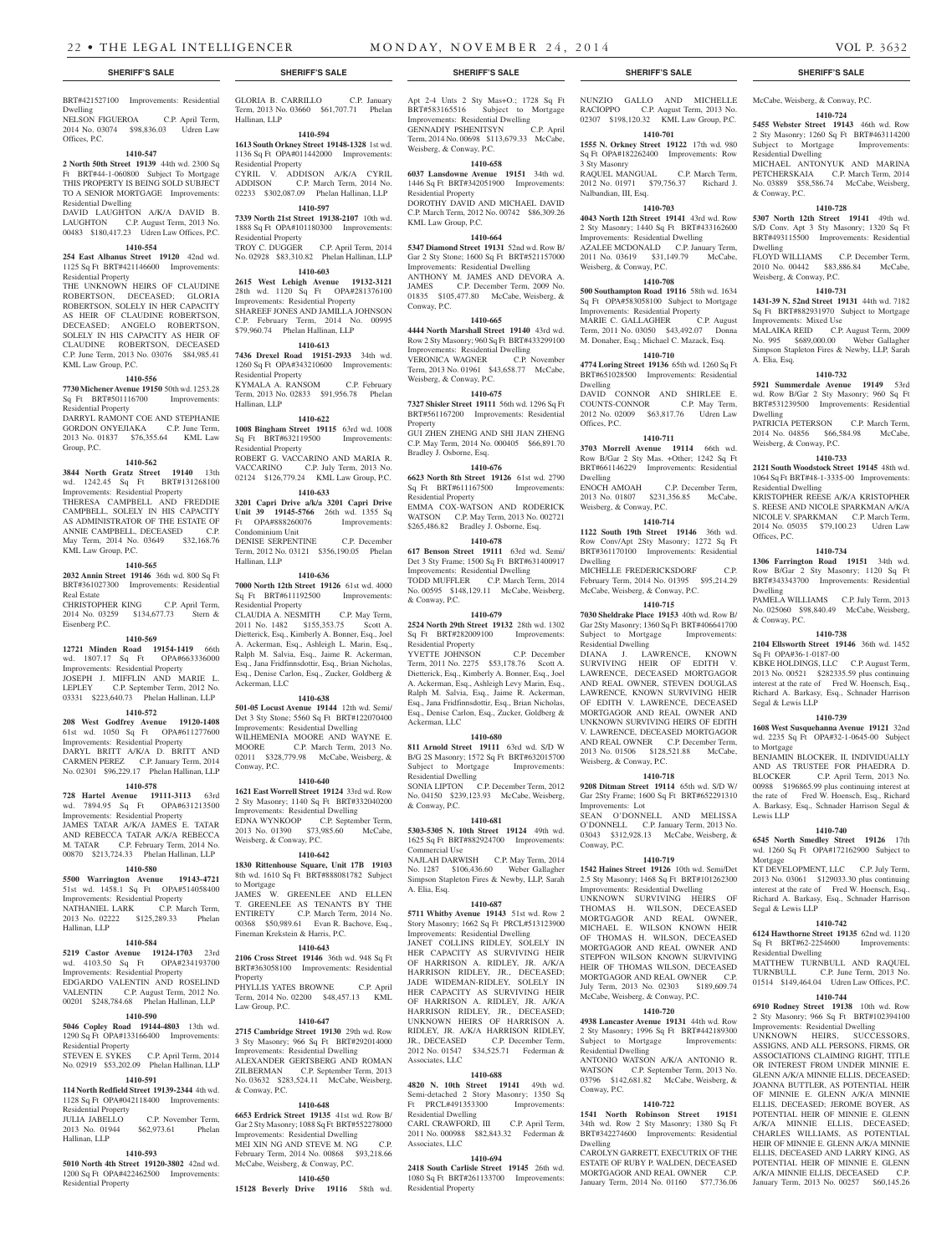**1410-724 5455 Webster Street 19143** 46th wd. Row 2 Sty Masonry; 1260 Sq Ft BRT#463114200 Subject to Mortgage Improvements:

MICHAEL ANTONYUK AND MARINA PETCHERSKAIA C.P. March Term, 2014 No. 03889 \$58,586.74 McCabe, Weisberg,

**1410-728 5307 North 12th Street 19141** 49th wd. S/D Conv. Apt 3 Sty Masonry; 1320 Sq Ft BRT#493115500 Improvements: Residential

FLOYD WILLIAMS C.P. December Term, 2010 No. 00442 \$83,886.84 McCabe,

**1410-731 1431-39 N. 52nd Street 19131** 44th wd. 7182 Sq Ft BRT#882931970 Subject to Mortgage

MALAIKA REID C.P. August Term, 2009 No. 995 \$689,000.00 Weber Gallagher Simpson Stapleton Fires & Newby, LLP, Sarah

**1410-732 5921 Summerdale Avenue 19149** 53rd wd. Row B/Gar 2 Sty Masonry; 960 Sq Ft BRT#531239500 Improvements: Residential

PATRICIA PETERSON C.P. March Term, 2014 No. 04856 \$66,584.98 McCabe,

**1410-733 2121 South Woodstock Street 19145** 48th wd. 1064 Sq Ft BRT#48-1-3335-00 Improvements:

KRISTOPHER REESE A/K/A KRISTOPHER S. REESE AND NICOLE SPARKMAN A/K/A NICOLE V. SPARKMAN C.P. March Term, 2014 No. 05035 \$79,100.23 Udren Law

**1410-734 1306 Farrington Road 19151** 34th wd. Row B/Gar 2 Sty Masonry; 1120 Sq Ft BRT#343343700 Improvements: Residential

PAMELA WILLIAMS C.P. July Term, 2013 No. 025060 \$98,840.49 McCabe, Weisberg,

**1410-738 2104 Ellsworth Street 19146** 36th wd. 1452

KBKE HOLDINGS, LLC C.P. August Term, 2013 No. 00521 \$282335.59 plus continuing interest at the rate of Fred W. Hoensch, Esq., Richard A. Barkasy, Esq., Schnader Harrison

**1410-739 1608 West Susquehanna Avenue 19121** 32nd wd. 2235 Sq Ft OPA#32-1-0645-00 Subject

BENJAMIN BLOCKER, II, INDIVIDUALLY AND AS TRUSTEE FOR PHAEDRA D. BLOCKER C.P. April Term, 2013 No. 00988 \$196865.99 plus continuing interest at the rate of Fred W. Hoensch, Esq., Richard A. Barkasy, Esq., Schnader Harrison Segal &

**1410-740 6545 North Smedley Street 19126** 17th wd. 1260 Sq Ft OPA#172162900 Subject to

KT DEVELOPMENT, LLC C.P. July Term, 2013 No. 03061 \$129033.30 plus continuing interest at the rate of Fred W. Hoensch, Esq., Richard A. Barkasy, Esq., Schnader Harrison

**1410-742 6124 Hawthorne Street 19135** 62nd wd. 1120<br>Sq. Ft. BRT#62-2254600 Improvements:

MATTHEW TURNBULL AND RAQUEL TURNBULL C.P. June Term, 2013 No.

01514 \$149,464.04 Udren Law Offices, P.C. **1410-744 6910 Rodney Street 19138** 10th wd. Row 2 Sty Masonry; 966 Sq Ft BRT#102394100 Improvements: Residential Dwelling UNKNOWN HEIRS, SUCCESSORS, ASSIGNS, AND ALL PERSONS, FIRMS, OR ASSOCIATIONS CLAIMING RIGHT, TITLE OR INTEREST FROM UNDER MINNIE E. GLENN A/K/A MINNIE ELLIS, DECEASED; JOANNA BUTTLER, AS POTENTIAL HEIR OF MINNIE E. GLENN A/K/A MINNIE ELLIS, DECEASED; JEROME BOYER, AS POTENTIAL HEIR OF MINNIE E. GLENN A/K/A MINNIE ELLIS, DECEASED; CHARLES WILLIAMS, AS POTENTIAL HEIR OF MINNIE E. GLENN A/K/A MINNIE ELLIS, DECEASED AND LARRY KING, AS POTENTIAL HEIR OF MINNIE E. GLENN A/K/A MINNIE ELLIS, DECEASED C.P. January Term, 2013 No. 00257 \$60,145.26

C.P. June Term, 2013 No.

Residential Dwelling

Weisberg, & Conway, P.C.

Improvements: Mixed Use

Weisberg, & Conway, P.C.

Residential Dwelling

Offices, P.C.

Dwelling

& Conway, P.C.

Sq Ft OPA#36-1-0187-00

Segal & Lewis LLP

to Mortgage

Lewis LLP

Mortgage

Segal & Lewis LLP

Sq Ft BRT#62-2254600 Residential Dwelling

& Conway, P.C.

Dwelling

A. Elia, Esq.

Dwelling

### **SHERIFF'S SALE SHERIFF'S SALE SHERIFF'S SALE SHERIFF'S SALE SHERIFF'S SALE**

# BRT#421527100 Improvements: Residential

Dwelling NELSON FIGUEROA C.P. April Term, 2014 No. 03074 \$98,836.03 Udren Law Offices, P.C.

#### **1410-547**

**2 North 50th Street 19139** 44th wd. 2300 Sq Ft BRT#44-1-060800 Subject To Mortgage THIS PROPERTY IS BEING SOLD SUBJECT TO A SENIOR MORTGAGE Improvements: Residential Dwelling DAVID LAUGHTON A/K/A DAVID B.

LAUGHTON C.P. August Term, 2013 No. 00483 \$180,417.23 Udren Law Offices, P.C.

## **1410-554**

**254 East Albanus Street 19120** 42nd wd. 1125 Sq Ft BRT#421146600 Improvements: Residential Property

THE UNKNOWN HEIRS OF CLAUDINE ROBERTSON, DECEASED; GLORIA ROBERTSON, SOLELY IN HER CAPACITY AS HEIR OF CLAUDINE ROBERTSON, DECEASED; ANGELO ROBERTSON, SOLELY IN HIS CAPACITY AS HEIR OF CLAUDINE ROBERTSON, DECEASED C.P. June Term, 2013 No. 03076 \$84,985.41 KML Law Group, P.C.

## **1410-556**

**7730 Michener Avenue 19150** 50th wd. 1253.28 Sq Ft BRT#501116700 Improvements: Residential Property DARRYL RAMONT COE AND STEPHANIE GORDON ONYEJIAKA C.P. June Term, 2013 No. 01837 \$76,355.64 KML Law

#### **1410-562**

Group, P.C.

**3844 North Gratz Street 19140** 13th wd. 1242.45 Sq Ft BRT#131268100 Improvements: Residential Property THERESA CAMPBELL AND FREDDIE CAMPBELL, SOLELY IN HIS CAPACITY AS ADMINISTRATOR OF THE ESTATE OF ANNIE CAMPBELL, DECEASED C.P. May Term, 2014 No. 03649 \$32,168.76 KML Law Group, P.C.

## **1410-565**

**2032 Annin Street 19146** 36th wd. 800 Sq Ft BRT#361027300 Improvements: Residential Real Estate

CHRISTOPHER KING C.P. April Term, 2014 No. 03259 \$134,677.73 Stern & Eisenberg P.C.

#### **1410-569**

**12721 Minden Road 19154-1419** 66th wd. 1807.17 Sq Ft OPA#663336000 Improvements: Residential Property JOSEPH J. MIFFLIN AND MARIE L. LEPLEY C.P. September Term, 2012 No. 03331 \$223,640.73 Phelan Hallinan, LLP

## **1410-572**

**208 West Godfrey Avenue 19120-1408**  61st wd. 1050 Sq Ft OPA#611277600 Improvements: Residential Property DARYL BRITT A/K/A D. BRITT AND CARMEN PEREZ C.P. January Term, 2014 No. 02301 \$96,229.17 Phelan Hallinan, LLP

## **1410-578**

**728 Hartel Avenue 19111-3113** 63rd wd. 7894.95 Sq Ft OPA#631213500 Improvements: Residential Property JAMES TATAR A/K/A JAMES E. TATAR AND REBECCA TATAR A/K/A REBECCA M. TATAR C.P. February Term, 2014 No. 00870 \$213,724.33 Phelan Hallinan, LLP

## **1410-580**

**5500 Warrington Avenue 19143-4721**  51st wd. 1458.1 Sq Ft OPA#514058400 Improvements: Residential Property NATHANIEL LARK C.P. March Term,

2013 No. 02222 \$125,289.33 Phelan Hallinan, LLP **1410-584**

**5219 Castor Avenue 19124-1703** 23rd wd. 4103.50 Sq Ft Improvements: Residential Property EDGARDO VALENTIN AND ROSELIND VALENTIN C.P. August Term, 2012 No. 00201 \$248,784.68 Phelan Hallinan, LLP

# **1410-590**

**5046 Copley Road 19144-4803** 13th wd. 1290 Sq Ft OPA#133166400 Improvements: ers<br>tial Property STEVEN E. SYKES C.P. April Term, 2014

## No. 02919 \$53,202.09 Phelan Hallinan, LLP **1410-591**

**114 North Redfield Street 19139-2344** 4th wd. 1128 Sq Ft OPA#042118400 Improvements:

Residential Property C.P. November Term, 2013 No. 01944 \$62,973.61 Phelan

## **1410-593**

Hallinan, LLP

**5010 North 4th Street 19120-3802** 42nd wd. 1200 Sq Ft OPA#422462500 Improvements: Residential Property

GLORIA B. CARRILLO C.P. January Term, 2013 No. 03660 \$61,707.71 Phelan Hallinan, LLP

## **1410-594**

**1613 South Orkney Street 19148-1328** 1st wd. 1136 Sq Ft OPA#011442000 Improvements: Residential Property CYRIL V. ADDISON A/K/A CYRIL<br>ADDISON C.P. March Term 2014 No C.P. March Term, 2014 No. 02233 \$302,087.09 Phelan Hallinan, LLP

## **1410-597**

**7339 North 21st Street 19138-2107** 10th wd. 1888 Sq Ft OPA#101180300 Improvements: Residential Property TROY C. DUGGER C.P. April Term, 2014 No. 02928 \$83,310.82 Phelan Hallinan, LLP

## **1410-603**

**2615 West Lehigh Avenue 19132-3121**  28th wd. 1120 Sq Ft OPA#281376100 Improvements: Residential Property SHAREEF JONES AND JAMILLA JOHNSON C.P. February Term, 2014 No. 00995 \$79,960.74 Phelan Hallinan, LLP

## **1410-613**

**7436 Drexel Road 19151-2933** 34th wd. 1260 Sq Ft OPA#343210600 Improvements: Residential Property KYMALA A. RANSOM C.P. February Term, 2013 No. 02833 \$91,956.78 Phelan Hallinan, LLP

## **1410-622**

**1008 Bingham Street 19115** 63rd wd. 1008 Sq Ft BRT#632119500 Improvements: Residential Property ROBERT G. VACCARINO AND MARIA R.<br>VACCARINO C.P. July Term, 2013 No. C.P. July Term, 2013 No. 02124 \$126,779.24 KML Law Group, P.C.

#### **1410-633**

**3201 Capri Drive a/k/a 3201 Capri Drive Unit 39 19145-5766** 26th wd. 1355 Sq Ft OPA#888260076 Improvements: Condominium Unit DENISE SERPENTINE C.P. December Term, 2012 No. 03121 \$356,190.05 Phelan Hallinan, LLP

## **1410-636**

**7000 North 12th Street 19126** 61st wd. 4000 Sq Ft BRT#611192500 Improvements: Residential Property CLAUDIA A. NESMITH C.P. May Term, 2011 No. 1482 \$155,353.75 Scott A. Dietterick, Esq., Kimberly A. Bonner, Esq., Joel A. Ackerman, Esq., Ashleigh L. Marin, Esq., Ralph M. Salvia, Esq., Jaime R. Ackerman, Esq., Jana Fridfinnsdottir, Esq., Brian Nicholas, Esq., Denise Carlon, Esq., Zucker, Goldberg & Ackerman, LLC

#### **1410-638**

**501-05 Locust Avenue 19144** 12th wd. Semi/ Det 3 Sty Stone; 5560 Sq Ft BRT#122070400 Improvements: Residential Dwelling WILHEMENIA MOORE AND WAYNE E. MOORE C.P. March Term, 2013 No. 02011 \$328,779.98 McCabe, Weisberg, & Conway, P.C.

## **1410-640**

**1621 East Worrell Street 19124** 33rd wd. Row 2 Sty Masonry; 1140 Sq Ft BRT#332040200 Improvements: Residential Dwelling EDNA WYNKOOP C.P. September Term, 2013 No. 01390 \$73,985.60 McCabe, Weisberg, & Conway, P.C.

### **1410-642**

**1830 Rittenhouse Square, Unit 17B 19103**  8th wd. 1610 Sq Ft BRT#888081782 Subject to Mortgage JAMES W. GREENLEE AND ELLEN T. GREENLEE AS TENANTS BY THE ENTIRETY C.P. March Term, 2014 No. 00368 \$50,989.61 Evan R. Bachove, Esq., Fineman Krekstein & Harris, P.C.

## **1410-643**

**2106 Cross Street 19146** 36th wd. 948 Sq Ft BRT#363058100 Improvements: Residential **Property** 

## PHYLLIS YATES BROWNE C.P. April Term, 2014 No. 02200 \$48,457.13 KML Law Group, P.C.

## **1410-647**

**2715 Cambridge Street 19130** 29th wd. Row 3 Sty Masonry; 966 Sq Ft BRT#292014000 Improvements: Residential Dwelling ALEXANDER GERTSBERG AND ROMAN ZILBERMAN C.P. September Term, 2013 No. 03632 \$283,524.11 McCabe, Weisberg, & Conway, P.C.

#### **1410-648**

**6653 Erdrick Street 19135** 41st wd. Row B/ Gar 2 Sty Masonry; 1088 Sq Ft BRT#552278000 Improvements: Residential Dwelling MEI XIN NG AND STEVE M. NG February Term, 2014 No. 00868 \$93,218.66 McCabe, Weisberg, & Conway, P.C.

## **1410-650**

**15128 Beverly Drive 19116** 58th wd.

Apt 2-4 Unts 2 Sty Mas+O.; 1728 Sq Ft BRT#583165516 Subject to Mortgage Improvements: Residential Dwelling<br>GENNADIY PSHENITSYN C.P. April GENNADIY PSHENITSYN Term, 2014 No. 00698 \$113,679.33 McCabe,

## Weisberg, & Conway, P.C. **1410-658**

**6037 Lansdowne Avenue 19151** 34th wd. 1446 Sq Ft BRT#342051900 Improvements: Residential Property DOROTHY DAVID AND MICHAEL DAVID C.P. March Term, 2012 No. 00742 \$86,309.26 KML Law Group, P.C.

## **1410-664**

**5347 Diamond Street 19131** 52nd wd. Row B/ Gar 2 Sty Stone; 1600 Sq Ft BRT#521157000 Improvements: Residential Dwelling ANTHONY M. JAMES AND DEVORA A. JAMES C.P. December Term, 2009 No. 01835 \$105,477.80 McCabe, Weisberg, & Conway, P.C.

#### **1410-665**

**4444 North Marshall Street 19140** 43rd wd. Row 2 Sty Masonry; 960 Sq Ft BRT#433299100 Improvements: Residential Dwelling VERONICA WAGNER C.P. November Term, 2013 No. 01961 \$43,658.77 McCabe, Weisberg, & Conway, P.C.

#### **1410-675**

**7327 Shisler Street 19111** 56th wd. 1296 Sq Ft BRT#561167200 Improvements: Residential Property GUI ZHEN ZHENG AND SHI JIAN ZHENG C.P. May Term, 2014 No. 000405 \$66,891.70 Bradley J. Osborne, Esq.

## **1410-676**

**6623 North 8th Street 19126** 61st wd. 2790 Sq Ft BRT#611167500 Improvements: Residential Property EMMA COX-WATSON AND RODERICK WATSON C.P. May Term, 2013 No. 002721 \$265,486.82 Bradley J. Osborne, Esq.

## **1410-678**

**617 Benson Street 19111** 63rd wd. Semi/ Det 3 Sty Frame; 1500 Sq Ft BRT#631400917 Improvements: Residential Dwelling TODD MUFFLER C.P. March Term, 2014 No. 00595 \$148,129.11 McCabe, Weisberg, & Conway, P.C.

## **1410-679**

**2524 North 29th Street 19132** 28th wd. 1302 Sq Ft BRT#282009100 Improvements: Residential Property YVETTE JOHNSON C.P. December Term, 2011 No. 2275 \$53,178.76 Scott A.

Dietterick, Esq., Kimberly A. Bonner, Esq., Joel A. Ackerman, Esq., Ashleigh Levy Marin, Esq., Ralph M. Salvia, Esq., Jaime R. Ackerman, Esq., Jana Fridfinnsdottir, Esq., Brian Nicholas, Esq., Denise Carlon, Esq., Zucker, Goldberg & Ackerman, LLC

#### **1410-680**

**811 Arnold Street 19111** 63rd wd. S/D W B/G 2S Masonry; 1572 Sq Ft BRT#632015700 Subject to Mortgage Improvements: Residential Dwelling SONIA LIPTON C.P. December Term, 2012 No. 04150 \$239,123.93 McCabe, Weisberg, & Conway, P.C.

#### **1410-681**

**5303-5305 N. 10th Street 19124** 49th wd. 1625 Sq Ft BRT#882924700 Improvements: Commercial Use NAJLAH DARWISH C.P. May Term, 2014

No. 1287 \$106,436.60 Weber Gallagher Simpson Stapleton Fires & Newby, LLP, Sarah A. Elia, Esq.

#### **1410-687**

**5711 Whitby Avenue 19143** 51st wd. Row 2 Story Masonry; 1662 Sq Ft PRCL#513123900 Improvements: Residential Dwelling

JANET COLLINS RIDLEY, SOLELY IN HER CAPACITY AS SURVIVING HEIR OF HARRISON A. RIDLEY, JR. A/K/A HARRISON RIDLEY, JR., DECEASED; JADE WIDEMAN-RIDLEY, SOLELY IN HER CAPACITY AS SURVIVING HEIR OF HARRISON A. RIDLEY, JR. A/K/A HARRISON RIDLEY, JR., DECEASED; UNKNOWN HEIRS OF HARRISON A. RIDLEY, JR. A/K/A HARRISON RIDLEY, JR., DECEASED C.P. December Term, 2012 No. 01547 \$34,525.71 Federman & Associates, LLC

### **1410-688**

**4820 N. 10th Street 19141** 49th wd. Semi-detached 2 Story Masonry; 1350 Sq Ft PRCL#491353300 Improvements: Residential Dwelling CARL CRAWFORD, III C.P. April Term, 2011 No. 000988 \$82,843.32 Federman &

## **1410-694**

Associates, LLC

**2418 South Carlisle Street 19145** 26th wd. 1080 Sq Ft BRT#261133700 Improvements: Residential Property

## NUNZIO GALLO AND MICHELLE McCabe, Weisberg, & Conway, P.C. RACIOPPO C.P. August Term, 2013 No. 02307 \$198,120.32 KML Law Group, P.C.

**1410-701 1555 N. Orkney Street 19122** 17th wd. 980 Sq Ft OPA#182262400 Improvements: Row 3 Sty Masonry

RAQUEL MANGUAL C.P. March Term, 2012 No. 01971 \$79,756.37 Richard J. Nalbandian, III, Esq.

### **1410-703 4043 North 12th Street 19141** 43rd wd. Row 2 Sty Masonry; 1440 Sq Ft BRT#433162600

**1410-708 500 Southampton Road 19116** 58th wd. 1634 Sq Ft OPA#583058100 Subject to Mortgage Improvements: Residential Property<br>MARIE C. GALLAGHER C.P. August

Term, 2011 No. 03050 \$43,492.07 Donna M. Donaher, Esq.; Michael C. Mazack, Esq. **1410-710 4774 Loring Street 19136** 65th wd. 1260 Sq Ft BRT#651028500 Improvements: Residential

DAVID CONNOR AND SHIRLEE E. COUNTS-CONNOR C.P. May Term, 2012 No. 02009 \$63,817.76 Udren Law

**1410-711 3703 Morrell Avenue 19114** 66th wd. Row B/Gar 2 Sty Mas. +Other; 1242 Sq Ft BRT#661146229 Improvements: Residential

2013 No. 01807 \$231,356.85 McCabe,

**1410-714 1122 South 19th Street 19146** 36th wd. Row Conv/Apt 2Sty Masonry; 1272 Sq Ft BRT#361170100 Improvements: Residential

MICHELLE FREDERICKSDORF C.P. February Term, 2014 No. 01395 \$95,214.29 McCabe, Weisberg, & Conway, P.C. **1410-715 7030 Sheldrake Place 19153** 40th wd. Row B/ Gar 2Sty Masonry; 1360 Sq Ft BRT#406641700<br>Subject to Mortgage Improvements:

DIANA J. LAWRENCE, KNOWN SURVIVING HEIR OF EDITH V. LAWRENCE, DECEASED MORTGAGOR AND REAL OWNER, STEVEN DOUGLAS LAWRENCE, KNOWN SURVIVING HEIR OF EDITH V. LAWRENCE, DECEASED MORTGAGOR AND REAL OWNER AND UNKNOWN SURVIVING HEIRS OF EDITH V. LAWRENCE, DECEASED MORTGAGOR AND REAL OWNER C.P. December Term, 2013 No. 01506 \$128,521.88 McCabe,

**1410-718 9208 Ditman Street 19114** 65th wd. S/D W/ Gar 2Sty Frame; 1600 Sq Ft BRT#652291310

SEAN O'DONNELL AND MELISSA O'DONNELL C.P. January Term, 2013 No. 03043 \$312,928.13 McCabe, Weisberg, &

**1410-719 1542 Haines Street 19126** 10th wd. Semi/Det 2.5 Sty Masonry; 1468 Sq Ft BRT#101262300 Improvements: Residential Dwelling UNKNOWN SURVIVING HEIRS OF THOMAS H. WILSON, DECEASED MORTGAGOR AND REAL OWNER, MICHAEL E. WILSON KNOWN HEIR OF THOMAS H. WILSON, DECEASED MORTGAGOR AND REAL OWNER AND STEPFON WILSON KNOWN SURVIVING HEIR OF THOMAS WILSON, DECEASED MORTGAGOR AND REAL OWNER C.P. July Term, 2013 No. 02303 \$189,609.74 McCabe, Weisberg, & Conway, P.C. **1410-720 4938 Lancaster Avenue 19131** 44th wd. Row 2 Sty Masonry; 1996 Sq Ft BRT#442189300 Subject to Mortgage Improvements:

ANTONIO WATSON A/K/A ANTONIO R. WATSON C.P. September Term, 2013 No. 03796 \$142,681.82 McCabe, Weisberg, &

**1410-722 1541 North Robinson Street 19151**  34th wd. Row 2 Sty Masonry; 1380 Sq Ft BRT#342274600 Improvements: Residential

CAROLYN GARRETT, EXECUTRIX OF THE ESTATE OF RUBY P. WALDEN, DECEASED MORTGAGOR AND REAL OWNER C.P. January Term, 2014 No. 01160 \$77,736.06

C.P. December Term,

Improvements: Residential Dwelling AZALEE MCDONALD C.P. January Term, 2011 No. 03619 \$31,149.79 McCabe,

Weisberg, & Conway, P.C.

MARIE C. GALLAGHER

Dwelling

Offices, P.C.

Dwelling

Dwelling<br>ENOCH AMOAH

Weisberg, & Conway, P.C.

Subject to Mortgage Residential Dwelling

Weisberg, & Conway, P.C.

Improvements: Lot

Residential Dwelling

 $Convav$ ,  $PC$ .

Dwelling

Conway, P.C.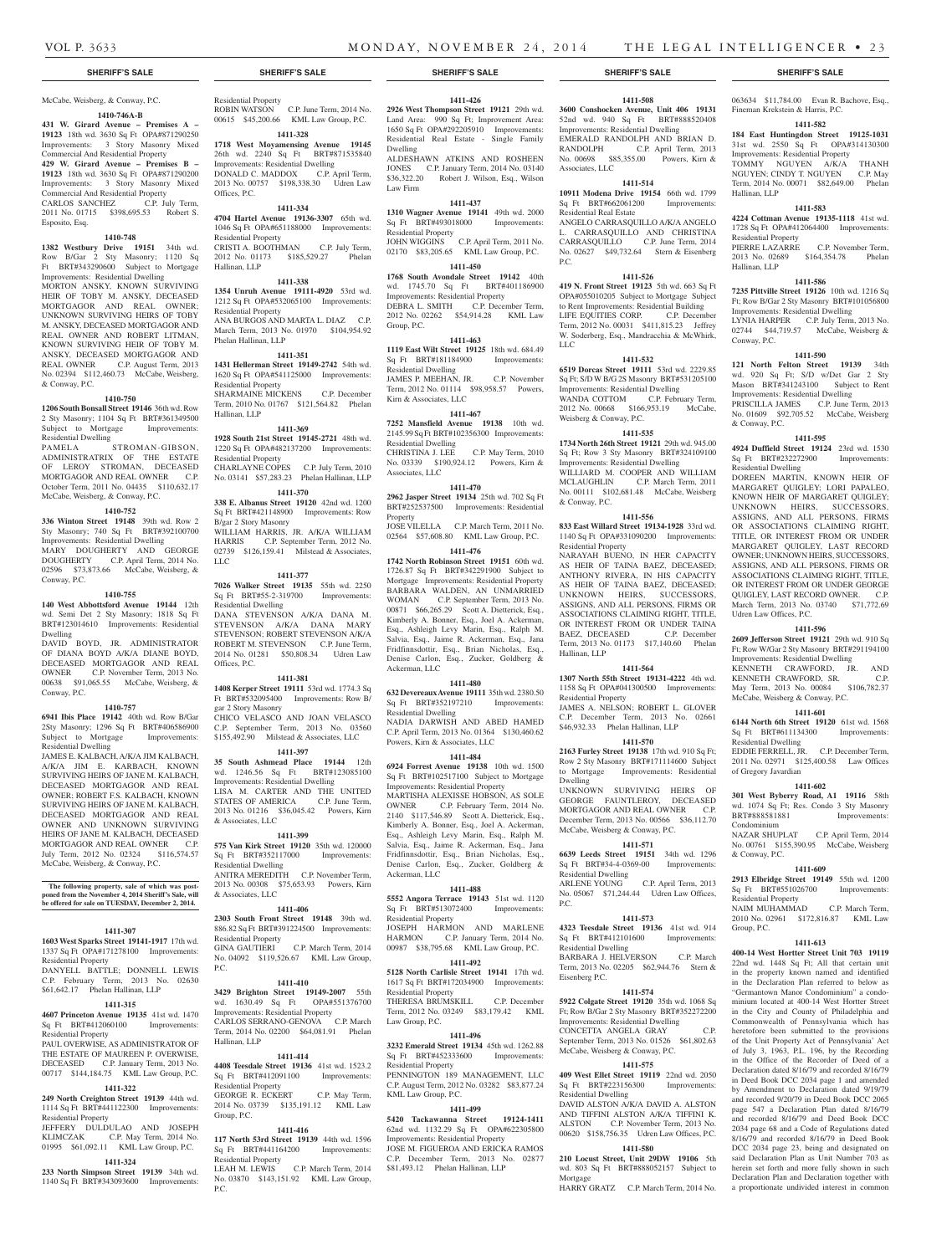# McCabe, Weisberg, & Conway, P.C.

**1410-746A-B 431 W. Girard Avenue – Premises A – 19123** 18th wd. 3630 Sq Ft OPA#871290250 Improvements: 3 Story Masonry Mixed Commercial And Residential Property **429 W. Girard Avenue – Premises B –** 

**19123** 18th wd. 3630 Sq Ft OPA#871290200 Improvements: 3 Story Masonry Mixed Commercial And Residential Property CARLOS SANCHEZ C.P. July Term, 2011 No. 01715 \$398,695.53 Robert S. Esposito, Esq.

## **1410-748**

**1382 Westbury Drive 19151** 34th wd. Row B/Gar 2 Sty Masonry; 1120 Sq Ft BRT#343290600 Subject to Mortgage Improvements: Residential Dwelling

MORTON ANSKY, KNOWN SURVIVING HEIR OF TOBY M. ANSKY, DECEASED MORTGAGOR AND REAL OWNER: UNKNOWN SURVIVING HEIRS OF TOBY M. ANSKY, DECEASED MORTGAGOR AND REAL OWNER AND ROBERT LITMAN, KNOWN SURVIVING HEIR OF TOBY M. ANSKY, DECEASED MORTGAGOR AND REAL OWNER C.P. August Term, 2013 No. 02394 \$112,460.73 McCabe, Weisberg, & Conway, P.C.

#### **1410-750**

**1206 South Bonsall Street 19146** 36th wd. Row 2 Sty Masonry; 1104 Sq Ft BRT#361349500 Subject to Mortgage Improvements: Residential Dwelling

PAMELA STROMAN-GIBSON, ADMINISTRATRIX OF THE ESTATE OF LEROY STROMAN, DECEASED MORTGAGOR AND REAL OWNER C.P. October Term, 2011 No. 04435 \$110,632.17 McCabe, Weisberg, & Conway, P.C.

#### **1410-752**

**336 Winton Street 19148** 39th wd. Row 2 Sty Masonry; 740 Sq Ft BRT#392100700 Improvements: Residential Dwelling MARY DOUGHERTY AND GEORGE DOUGHERTY C.P. April Term, 2014 No. 02596 \$73,873.66 McCabe, Weisberg, & Conway, P.C.

#### **1410-755**

**140 West Abbottsford Avenue 19144** 12th wd. Semi Det 2 Sty Masonry; 1818 Sq Ft BRT#123014610 Improvements: Residential Dwelling DAVID BOYD, JR. ADMINISTRATOR

OF DIANA BOYD A/K/A DIANE BOYD, DECEASED MORTGAGOR AND REAL OWNER C.P. November Term, 2013 No. 00638 \$91,065.55 McCabe, Weisberg, & Conway, P.C.

## **1410-757**

**6941 Ibis Place 19142** 40th wd. Row B/Gar 2Sty Masonry; 1296 Sq Ft BRT#406586900 Subject to Mortgage Improvements: Residential Dwelling

JAMES E. KALBACH, A/K/A JIM KALBACH, A/K/A JIM E. KARBACH, KNOWN SURVIVING HEIRS OF JANE M. KALBACH, DECEASED MORTGAGOR AND REAL OWNER; ROBERT F.S. KALBACH, KNOWN SURVIVING HEIRS OF JANE M. KALBACH, DECEASED MORTGAGOR AND REAL OWNER AND UNKNOWN SURVIVING HEIRS OF JANE M. KALBACH, DECEASED MORTGAGOR AND REAL OWNER C.P. July Term, 2012 No. 02324 \$116,574.57 McCabe, Weisberg, & Conway, P.C.

#### **The following property, sale of which was postponed from the November 4, 2014 Sheriff's Sale, will be offered for sale on TUESDAY, December 2, 2014.**

### **1411-307**

**1603 West Sparks Street 19141-1917** 17th wd. 1337 Sq Ft OPA#171278100 Improvements: Residential Property

DANYELL BATTLE; DONNELL LEWIS C.P. February Term, 2013 No. 02630 \$61,642.17 Phelan Hallinan, LLP

#### **1411-315**

**4607 Princeton Avenue 19135** 41st wd. 1470 Sq Ft BRT#412060100 Improvements: Residential Property PAUL OVERWISE, AS ADMINISTRATOR OF

THE ESTATE OF MAUREEN P. OVERWISE, DECEASED C.P. January Term, 2013 No. 00717 \$144,184.75 KML Law Group, P.C. **1411-322**

**249 North Creighton Street 19139** 44th wd. 1114 Sq Ft BRT#441122300 Improvements: Residential Property JEFFERY DULDULAO AND JOSEPH

KLIMCZAK C.P. May Term, 2014 No. 01995 \$61,092.11 KML Law Group, P.C.

# **1411-324**

**233 North Simpson Street 19139** 34th wd. 1140 Sq Ft BRT#343093600 Improvements:

# Residential Property

ROBIN WATSON C.P. June Term, 2014 No. 00615 \$45,200.66 KML Law Group, P.C. **1411-328**

## **1718 West Moyamensing Avenue 19145**  26th wd. 2240 Sq Ft BRT#871535840 Improvements: Residential Dwelling

DONALD C. MADDOX C.P. April Term, 2013 No. 00757 \$198,338.30 Udren Law Offices, P.C. **1411-334**

# **4704 Hartel Avenue 19136-3307** 65th wd.

1046 Sq Ft OPA#651188000 Improvements: Residential Property CRISTI A. BOOTHMAN C.P. July Term, 2012 No. 01173 \$185,529.27 Phelan Hallinan, LLP

## **1411-338**

**1354 Unruh Avenue 19111-4920** 53rd wd. 1212 Sq Ft OPA#532065100 Improvements: Residential Property ANA BURGOS AND MARTA L. DIAZ C.P. March Term, 2013 No. 01970 \$104,954.92

## Phelan Hallinan, LLP **1411-351**

**1431 Hellerman Street 19149-2742** 54th wd. 1620 Sq Ft OPA#541125000 Improvements: Residential Property SHARMAINE MICKENS C.P. December Term, 2010 No. 01767 \$121,564.82 Phelan Hallinan, LLP

## **1411-369**

**1928 South 21st Street 19145-2721** 48th wd. 1220 Sq Ft OPA#482137200 Improvements: Residential Property CHARLAYNE COPES C.P. July Term, 2010

No. 03141 \$57,283.23 Phelan Hallinan, LLP **1411-370 338 E. Albanus Street 19120** 42nd wd. 1200

Sq Ft BRT#421148900 Improvements: Row B/gar 2 Story Masonry WILLIAM HARRIS, JR. A/K/A WILLIAM HARRIS C.P. September Term, 2012 No. 02739 \$126,159.41 Milstead & Associates, LLC

## **1411-377**

**7026 Walker Street 19135** 55th wd. 2250 Sq Ft BRT#55-2-319700 Improvements: Residential Dwelling DANA STEVENSON A/K/A DANA M.

STEVENSON A/K/A DANA MARY STEVENSON; ROBERT STEVENSON A/K/A ROBERT M. STEVENSON C.P. June Term, 2014 No. 01281 \$50,808.34 Udren Law Offices, P.C.

## **1411-381**

**1408 Kerper Street 19111** 53rd wd. 1774.3 Sq Ft BRT#532095400 Improvements: Row B/ gar 2 Story Masonry CHICO VELASCO AND JOAN VELASCO C.P. September Term, 2013 No. 03560 \$155,492.90 Milstead & Associates, LLC

## **1411-397**

**35 South Ashmead Place 19144** 12th wd. 1246.56 Sq Ft BRT#123085100 Improvements: Residential Dwelling LISA M. CARTER AND THE UNITED STATES OF AMERICA C.P. June Term, 2013 No. 01216 \$36,045.42 Powers, Kirn & Associates, LLC

## **1411-399**

**575 Van Kirk Street 19120** 35th wd. 120000 Sq Ft BRT#352117000 Improvements: Residential Dwelling ANITRA MEREDITH C.P. November Term, 2013 No. 00308 \$75,653.93 Powers, Kirn & Associates, LLC

## **1411-406**

**2303 South Front Street 19148** 39th wd. 886.82 Sq Ft BRT#391224500 Improvements: Residential Property GINA GAUTIERI C.P. March Term, 2014 No. 04092 \$119,526.67 KML Law Group,

## **1411-410**

P.C.

**3429 Brighton Street 19149-2007** 55th wd. 1630.49 Sq Ft OPA#551376700 Improvements: Residential Property CARLOS SERRANO-GENOVA C.P. March Term, 2014 No. 02200 \$64,081.91 Phelan Hallinan, LLP

## **1411-414**

**4408 Teesdale Street 19136** 41st wd. 1523.2 Sq Ft BRT#412091100 Improvements: Residential Property GEORGE R. ECKERT C.P. May Term,

2014 No. 03739 \$135,191.12 KML Law Group, P.C. **1411-416**

**117 North 53rd Street 19139** 44th wd. 1596 Sq Ft BRT#441164200 Improvements: Residential Property<br>LEAH M. LEWIS

C.P. March Term, 2014 No. 03870 \$143,151.92 KML Law Group, P.C.

### **1411-426**

**2926 West Thompson Street 19121** 29th wd. Land Area: 990 Sq Ft; Improvement Area: 1650 Sq Ft OPA#292205910 Improvements: Residential Real Estate - Single Family Dwelling ALDESHAWN ATKINS AND ROSHEEN

JONES C.P. January Term, 2014 No. 03140 \$36,322.20 Robert J. Wilson, Esq., Wilson Law Firm

## **1411-437 1310 Wagner Avenue 19141** 49th wd. 2000 Sq Ft BRT#493018000 Improvements:

Residential Property JOHN WIGGINS C.P. April Term, 2011 No. 02170 \$83,205.65 KML Law Group, P.C.

## **1411-450**

**1768 South Avondale Street 19142** 40th<br>wd. 1745.70 Sq Ft BRT#401186900 wd. 1745.70 Sq Ft Improvements: Residential Property DEBRA L. SMITH C.P. December Term, 2012 No. 02262 \$54,914.28 KML Law Group, P.C.

## **1411-463**

**1119 East Wilt Street 19125** 18th wd. 684.49 Sq Ft BRT#181184900 Improvements: Residential Dwelling JAMES P. MEEHAN, JR. C.P. November Term, 2012 No. 01114 \$98,958.57 Powers, Kirn & Associates, LLC

### **1411-467**

**7252 Mansfield Avenue 19138** 10th wd. 2145.99 Sq Ft BRT#102356300 Improvements: Residential Dwelling<br>CHRISTINA J. LEE C.P. May Term, 2010 No. 03339 \$190,924.12 Powers, Kirn & Associates, LLC

## **1411-470**

**2962 Jasper Street 19134** 25th wd. 702 Sq Ft BRT#252537500 Improvements: Residential Property

JOSE VILELLA C.P. March Term, 2011 No. 02564 \$57,608.80 KML Law Group, P.C. **1411-476**

### **1742 North Robinson Street 19151** 60th wd. 1726.87 Sq Ft BRT#342291900 Subject to Mortgage Improvements: Residential Property BARBARA WALDEN, AN UNMARRIED<br>WOMAN C.P. September Term, 2013 No. C.P. September Term, 2013 No. 00871 \$66,265.29 Scott A. Dietterick, Esq., Kimberly A. Bonner, Esq., Joel A. Ackerman, Esq., Ashleigh Levy Marin, Esq., Ralph M. Salvia, Esq., Jaime R. Ackerman, Esq., Jana Fridfinnsdottir, Esq., Brian Nicholas, Esq., Denise Carlon, Esq., Zucker, Goldberg &

## **1411-480**

Ackerman, LLC

**632 Devereaux Avenue 19111** 35th wd. 2380.50 Sq Ft BRT#352197210 Improvements: Residential Dwelling NADIA DARWISH AND ABED HAMED

C.P. April Term, 2013 No. 01364 \$130,460.62 Powers, Kirn & Associates, LLC **1411-484 6924 Forrest Avenue 19138** 10th wd. 1500 Sq Ft BRT#102517100 Subject to Mortgage Improvements: Residential Property MARTISHA ALEXISSE HOBSON, AS SOLE OWNER C.P. February Term, 2014 No. 2140 \$117,546.89 Scott A. Dietterick, Esq., Kimberly A. Bonner, Esq., Joel A. Ackerman,

Esq., Ashleigh Levy Marin, Esq., Ralph M. Salvia, Esq., Jaime R. Ackerman, Esq., Jana Fridfinnsdottir, Esq., Brian Nicholas, Esq., Denise Carlon, Esq., Zucker, Goldberg & Ackerman, LLC

# **1411-488**

**5552 Angora Terrace 19143** 51st wd. 1120 Sq Ft BRT#513072400 Improvements: Residential Property JOSEPH HARMON AND MARLENE HARMON C.P. January Term, 2014 No. 00987 \$38,795.68 KML Law Group, P.C.

## **1411-492**

**5128 North Carlisle Street 19141** 17th wd. 1617 Sq Ft BRT#172034900 Improvements: Residential Property THERESA BRUMSKILL C.P. December Term, 2012 No. 03249 \$83,179.42 KML Law Group, P.C.

## **1411-496**

**3232 Emerald Street 19134** 45th wd. 1262.88 Sq Ft BRT#452333600 Improvements: Residential Property

PENNINGTON 189 MANAGEMENT, LLC C.P. August Term, 2012 No. 03282 \$83,877.24 KML Law Group, P.C.

## **1411-499**

**5420 Tackawanna Street 19124-1411**  62nd wd. 1132.29 Sq Ft OPA#622305800 Improvements: Residential Property JOSE M. FIGUEROA AND ERICKA RAMOS C.P. December Term, 2013 No. 02877 \$81,493.12 Phelan Hallinan, LLP

## **1411-508**

063634 \$11,784.00 Evan R. Bachove, Esq.,

**1411-582 184 East Huntingdon Street 19125-1031**  31st wd. 2550 Sq Ft OPA#314130300 Improvements: Residential Property TOMMY NGUYEN A/K/A THANH NGUYEN; CINDY T. NGUYEN C.P. May Term, 2014 No. 00071 \$82,649.00 Phelan

**1411-583 4224 Cottman Avenue 19135-1118** 41st wd. 1728 Sq Ft OPA#412064400 Improvements:

PIERRE LAZARRE C.P. November Term, 2013 No. 02689 \$164,354.78 Phelan

**1411-586 7235 Pittville Street 19126** 10th wd. 1216 Sq Ft; Row B/Gar 2 Sty Masonry BRT#101056800 Improvements: Residential Dwelling LYNIA HARPER C.P. July Term, 2013 No. 02744 \$44,719.57 McCabe, Weisberg &

**1411-590 121 North Felton Street 19139** 34th wd. 920 Sq Ft; S/D w/Det Gar 2 Sty Mason BRT#341243100 Subject to Rent Improvements: Residential Dwelling PRISCILLA JAMES C.P. June Term, 2013 No. 01609 \$92,705.52 McCabe, Weisberg

**1411-595 4924 Duffield Street 19124** 23rd wd. 1530 Sq Ft BRT#232272900 Improvements:

DOREEN MARTIN, KNOWN HEIR OF MARGARET QUIGLEY; LORI PAPALEO, KNOWN HEIR OF MARGARET QUIGLEY; UNKNOWN HEIRS, SUCCESSORS, ASSIGNS, AND ALL PERSONS, FIRMS OR ASSOCIATIONS CLAIMING RIGHT, TITLE, OR INTEREST FROM OR UNDER MARGARET QUIGLEY, LAST RECORD OWNER; UNKNOWN HEIRS, SUCCESSORS, ASSIGNS, AND ALL PERSONS, FIRMS OR ASSOCIATIONS CLAIMING RIGHT, TITLE, OR INTEREST FROM OR UNDER GEORGE QUIGLEY, LAST RECORD OWNER. C.P. March Term, 2013 No. 03740 \$71,772.69

**1411-596 2609 Jefferson Street 19121** 29th wd. 910 Sq Ft; Row W/Gar 2 Sty Masonry BRT#291194100 Improvements: Residential Dwelling KENNETH CRAWFORD, JR. AND KENNETH CRAWFORD, SR. C.P. May Term, 2013 No. 00084 \$106,782.37 McCabe, Weisberg & Conway, P.C. **1411-601 6144 North 6th Street 19120** 61st wd. 1568<br> **Sq** Ft BRT#611134300 Improvements:

EDDIE FERRELL, JR. C.P. December Term, 2011 No. 02971 \$125,400.58 Law Offices

**1411-602 301 West Byberry Road, A1 19116** 58th wd. 1074 Sq Ft; Res. Condo 3 Sty Masonry BRT#888581881 Improvements:

NAZAR SHUPLAT C.P. April Term, 2014 No. 00761 \$155,390.95 McCabe, Weisberg

**1411-609 2913 Elbridge Street 19149** 55th wd. 1200 Sq Ft BRT#551026700 Improvements:

NAIM MUHAMMAD C.P. March Term, 2010 No. 02961 \$172,816.87 KML Law

**1411-613 400-14 West Hortter Street Unit 703 19119**  22nd wd. 1448 Sq Ft; All that certain unit in the property known named and identified in the Declaration Plan referred to below as "Germantown Manor Condominium" a condominium located at 400-14 West Hortter Street in the City and County of Philadelphia and Commonwealth of Pennsylvania which has heretofore been submitted to the provisions of the Unit Property Act of Pennsylvania' Act of July 3, 1963, P.L. 196, by the Recording in the Office of the Recorder of Deed of a Declaration dated 8/16/79 and recorded 8/16/79 in Deed Book DCC 2034 page 1 and amended by Amendment to Declaration dated 9/19/79 and recorded 9/20/79 in Deed Book DCC 2065 page 547 a Declaration Plan dated 8/16/79 and recorded 8/16/79 and Deed Book DCC 2034 page 68 and a Code of Regulations dated 8/16/79 and recorded 8/16/79 in Deed Book DCC 2034 page 23, being and designated on said Declaration Plan as Unit Number 703 as herein set forth and more fully shown in such Declaration Plan and Declaration together with a proportionate undivided interest in common

Fineman Krekstein & Harris, P.C.

Hallinan, LLP

Residential Property

Hallinan, LLP

Conway, P.C.

& Conway, P.C.

Residential Dwelling

Udren Law Offices, P.C.

Sq Ft BRT#611134300 Residential Dwelling

of Gregory Javardian

Condominium

& Conway, P.C.

Residential Property

Group, P.C.

**3600 Conshocken Avenue, Unit 406 19131**  52nd wd. 940 Sq Ft BRT#888520408 Improvements: Residential Dwelling EMERALD RANDOLPH AND BRIAN D. RANDOLPH C.P. April Term, 2013 No. 00698 \$85,355.00 Powers, Kirn & Associates, LLC

## **1411-514**

**10911 Modena Drive 19154** 66th wd. 1799 Sq Ft BRT#662061200 Improvements: Residential Real Estate ANGELO CARRASQUILLO A/K/A ANGELO L. CARRASQUILLO AND CHRISTINA CARRASQUILLO C.P. June Term, 2014 No. 02627 \$49,732.64 Stern & Eisenberg P.C.

#### **1411-526**

**419 N. Front Street 19123** 5th wd. 663 Sq Ft OPA#055010205 Subject to Mortgage Subject to Rent Improvements: Residential Building LIFE EQUITIES CORP. C.P. December Term, 2012 No. 00031 \$411,815.23 Jeffrey W. Soderberg, Esq., Mandracchia & McWhirk, LLC

**6519 Dorcas Street 19111** 53rd wd. 2229.85 Sq Ft; S/D W B/G 2S Masonry BRT#531205100 Improvements: Residential Dwelling WANDA COTTOM C.P. February Term, 2012 No. 00668 \$166,953.19 McCabe,

**1411-535 1734 North 26th Street 19121** 29th wd. 945.00 Sq Ft; Row 3 Sty Masonry BRT#324109100 Improvements: Residential Dwelling WILLIARD M. COOPER AND WILLIAM MCLAUGHLIN C.P. March Term, 2011 No. 00111 \$102,681.48 McCabe, Weisberg

**1411-556 833 East Willard Street 19134-1928** 33rd wd. 1140 Sq Ft OPA#331090200 Improvements:

NARAYAH BUENO, IN HER CAPACITY AS HEIR OF TAINA BAEZ, DECEASED; ANTHONY RIVERA, IN HIS CAPACITY AS HEIR OF TAINA BAEZ, DECEASED; UNKNOWN HEIRS, SUCCESSORS, ASSIGNS, AND ALL PERSONS, FIRMS OR ASSOCIATIONS CLAIMING RIGHT, TITLE, OR INTEREST FROM OR UNDER TAINA<br>BAEZ, DECEASED C.P. December

Term, 2013 No. 01173 \$17,140.60 Phelan

**1411-564 1307 North 55th Street 19131-4222** 4th wd. 1158 Sq Ft OPA#041300500 Improvements:

JAMES A. NELSON; ROBERT L. GLOVER C.P. December Term, 2013 No. 02661 \$46,932.33 Phelan Hallinan, LLP **1411-570 2163 Furley Street 19138** 17th wd. 910 Sq Ft; Row 2 Sty Masonry BRT#171114600 Subject

UNKNOWN SURVIVING HEIRS OF GEORGE FAUNTLEROY, DECEASED MORTGAGOR AND REAL OWNER C.P. December Term, 2013 No. 00566 \$36,112.70 McCabe, Weisberg & Conway, P.C. **1411-571 6639 Leeds Street 19151** 34th wd. 1296 Sq Ft BRT#34-4-0369-00 Improvements:

ARLENE YOUNG C.P. April Term, 2013 No. 05067 \$71,244.44 Udren Law Offices,

**1411-573 4323 Teesdale Street 19136** 41st wd. 914 Sq Ft BRT#412101600 Improvements:

BARBARA J. HELVERSON C.P. March Term, 2013 No. 02205 \$62,944.76 Stern &

**1411-574 5922 Colgate Street 19120** 35th wd. 1068 Sq Ft; Row B/Gar 2 Sty Masonry BRT#352272200 Improvements: Residential Dwelling CONCETTA ANGELA GRAY C.P. September Term, 2013 No. 01526 \$61,802.63

**1411-575 409 West Ellet Street 19119** 22nd wd. 2050 Sq Ft BRT#223156300 Improvements:

DAVID ALSTON A/K/A DAVID A. ALSTON AND TIFFINI ALSTON A/K/A TIFFINI K. ALSTON C.P. November Term, 2013 No. 00620 \$158,756.35 Udren Law Offices, P.C. **1411-580 210 Locust Street, Unit 29DW 19106** 5th wd. 803 Sq Ft BRT#888052157 Subject to

HARRY GRATZ C.P. March Term, 2014 No.

McCabe, Weisberg & Conway, P.C.

Improvements: Residential

#### **1411-532**

Weisberg & Conway, P.C.

& Conway, P.C.

Residential Property

BAEZ, DECEASED

Hallinan, LLP

Dwelling

Residential Property

Residential Dwelling

Residential Dwelling

Residential Dwelling

Mortgage

Eisenberg P.C.

P.C.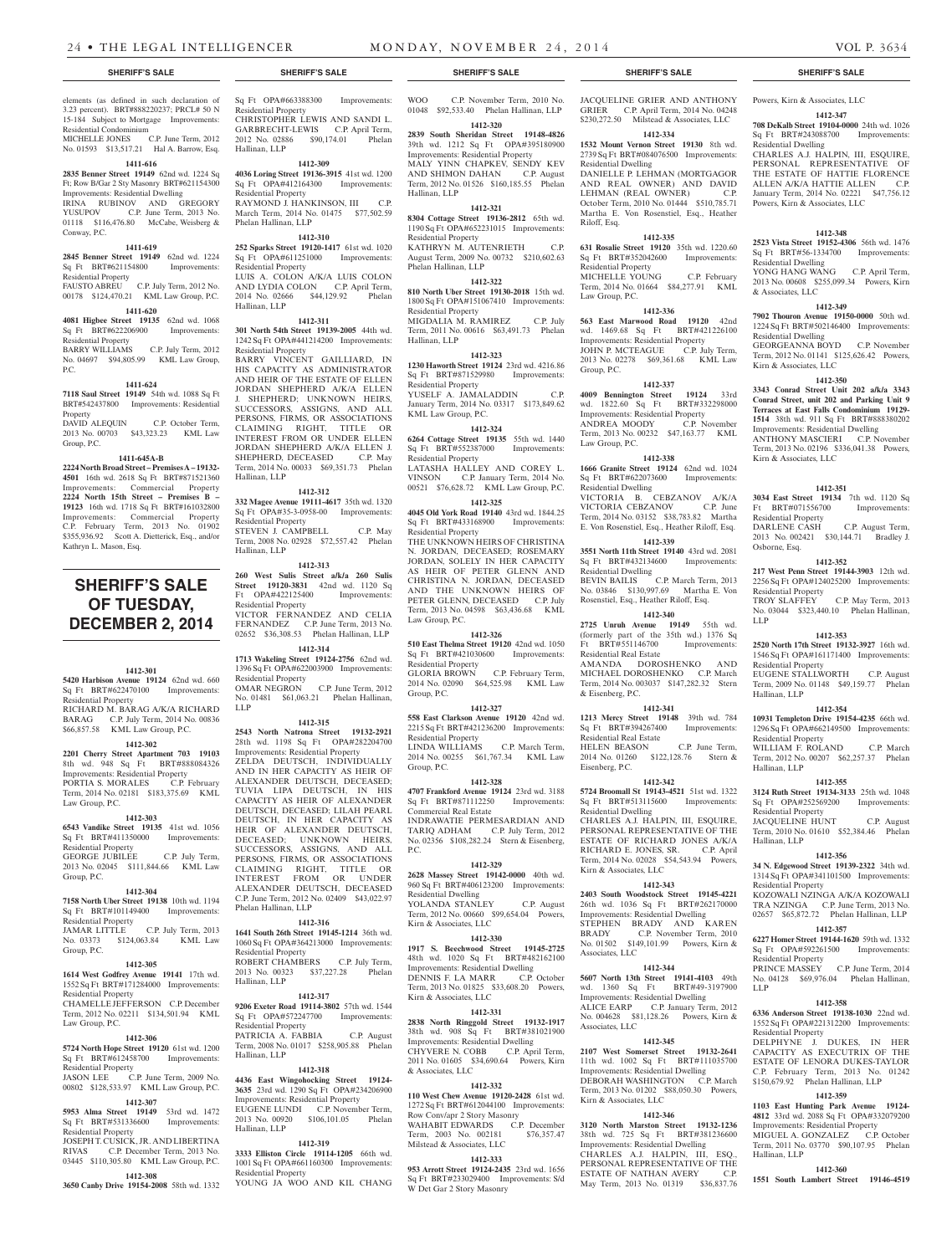elements (as defined in such declaration of 3.23 percent). BRT#888220237; PRCL# 50 N 15-184 Subject to Mortgage Improvements: Residential Condominium MICHELLE JONES C.P. June Term, 2012

No. 01593 \$13,517.21 Hal A. Barrow, Esq. **1411-616**

## **2835 Benner Street 19149** 62nd wd. 1224 Sq

Ft; Row B/Gar 2 Sty Masonry BRT#621154300 Improvements: Residential Dwelling IRINA RUBINOV AND GREGORY YUSUPOV C.P. June Term, 2013 No. 01118 \$116,476.80 McCabe, Weisberg & Conway, P.C.

## **1411-619**

**2845 Benner Street 19149** 62nd wd. 1224 Sq Ft BRT#621154800 Improvements: Residential Property

FAUSTO ABREU C.P. July Term, 2012 No. 00178 \$124,470.21 KML Law Group, P.C.

## **1411-620 4081 Higbee Street 19135** 62nd wd. 1068 Sq Ft BRT#622206900 Improvements:

Residential Property BARRY WILLIAMS C.P. July Term, 2012 No. 04697 \$94,805.99 KML Law Group,

## **1411-624**

P.C.

Group, P.C.

**7118 Saul Street 19149** 54th wd. 1088 Sq Ft BRT#542437800 Improvements: Residential Property DAVID ALEQUIN C.P. October Term, 2013 No. 00703 \$43,323.23 KML Law

### **1411-645A-B**

**2224 North Broad Street – Premises A – 19132- 4501** 16th wd. 2618 Sq Ft BRT#871521360 Improvements: Commercial Property **2224 North 15th Street – Premises B – 19123** 16th wd. 1718 Sq Ft BRT#161032800 Improvements: Commercial Property C.P. February Term, 2013 No. 01902 \$355,936.92 Scott A. Dietterick, Esq., and/or Kathryn L. Mason, Esq.

# **SHERIFF'S SALE OF TUESDAY, December 2, 2014**

### **1412-301**

**5420 Harbison Avenue 19124** 62nd wd. 660 Sq Ft BRT#622470100 Improvements: Residential Property RICHARD M. BARAG A/K/A RICHARD

BARAG C.P. July Term, 2014 No. 00836 \$66,857.58 KML Law Group, P.C.

## **1412-302**

**2201 Cherry Street Apartment 703 19103**  8th wd. 948 Sq Ft BRT#888084326 Improvements: Residential Property PORTIA S. MORALES C.P. February Term, 2014 No. 02181 \$183,375.69 KML Law Group, P.C.

#### **1412-303**

**6543 Vandike Street 19135** 41st wd. 1056 Sq Ft BRT#411350000 Improvements: Residential Property GEORGE JUBILEE C.P. July Term, 2013 No. 02045 \$111,844.66 KML Law

### **1412-304**

Group, P.C.

**7158 North Uber Street 19138** 10th wd. 1194 Sq Ft BRT#101149400 Improvements: Residential Property<br>JAMAR LITTLE JAMAR LITTLE C.P. July Term, 2013

No. 03373 \$124,063.84 KML Law Group, P.C.

## **1412-305**

**1614 West Godfrey Avenue 19141** 17th wd. 1552 Sq Ft BRT#171284000 Improvements: Residential Property

CHAMELLE JEFFERSON C.P. December Term, 2012 No. 02211 \$134,501.94 KML Law Group, P.C.

## **1412-306**

**5724 North Hope Street 19120** 61st wd. 1200 Sq Ft BRT#612458700 Improvements: Residential Property<br>IASON LEE C

## C.P. June Term, 2009 No. 00802 \$128,533.97 KML Law Group, P.C.

## **1412-307**

**5953 Alma Street 19149** 53rd wd. 1472 Sq Ft BRT#531336600 Improvements: Residential Property JOSEPH T. CUSICK, JR. AND LIBERTINA RIVAS C.P. December Term, 2013 No.

# 03445 \$110,305.80 KML Law Group, P.C.

**1412-308 3650 Canby Drive 19154-2008** 58th wd. 1332

Sq Ft OPA#663388300 Improvements: Residential Property CHRISTOPHER LEWIS AND SANDI L. GARBRECHT-LEWIS C.P. April Term,<br>2012 No. 02886 \$90.174.01 Phelan 2012 No. 02886 \$90,174.01

## Hallinan, LLP **1412-309**

**4036 Loring Street 19136-3915** 41st wd. 1200 Sq Ft OPA#412164300 Improvements: Residential Property

RAYMOND J. HANKINSON, III C.P. March Term, 2014 No. 01475 \$77,502.59 Phelan Hallinan, LLP

# **1412-310**

**252 Sparks Street 19120-1417** 61st wd. 1020 Sq Ft OPA#611251000 Improvements: Residential Property LUIS A. COLON A/K/A LUIS COLON AND LYDIA COLON C.P. April Term, 2014 No. 02666 \$44,129.92 Phelan Hallinan, LLP

## **1412-311**

**301 North 54th Street 19139-2005** 44th wd. 1242 Sq Ft OPA#441214200 Improvements: Residential Property

BARRY VINCENT GAILLIARD, IN HIS CAPACITY AS ADMINISTRATOR AND HEIR OF THE ESTATE OF ELLEN JORDAN SHEPHERD A/K/A ELLEN J. SHEPHERD; UNKNOWN HEIRS, SUCCESSORS, ASSIGNS, AND ALL PERSONS, FIRMS, OR ASSOCIATIONS CLAIMING RIGHT, TITLE OR INTEREST FROM OR UNDER ELLEN JORDAN SHEPHERD A/K/A ELLEN J. SHEPHERD, DECEASED C.P. May Term, 2014 No. 00033 \$69,351.73 Phelan Hallinan, LLP

## **1412-312**

**332 Magee Avenue 19111-4617** 35th wd. 1320 Sq Ft OPA#35-3-0958-00 Improvements: Residential Property STEVEN J. CAMPBELL C.P. May Term, 2008 No. 02928 \$72,557.42 Phelan Hallinan, LLP

**1412-313**

**260 West Sulis Street a/k/a 260 Sulis Street 19120-3831** 42nd wd. 1120 Sq<br>Ft OPA#422125400 Improvements: Improvements: Residential Property VICTOR FERNANDEZ AND CELIA FERNANDEZ C.P. June Term, 2013 No. 02652 \$36,308.53 Phelan Hallinan, LLP **1412-314**

**1713 Wakeling Street 19124-2756** 62nd wd. 1396 Sq Ft OPA#622003900 Improvements: Residential Property OMAR NEGRON C.P. June Term, 2012 No. 01481 \$61,063.21 Phelan Hallinan, LLP

## **1412-315**

## **2543 North Natrona Street 19132-2921**  28th wd. 1198 Sq Ft OPA#282204700

Improvements: Residential Property ZELDA DEUTSCH, INDIVIDUALLY AND IN HER CAPACITY AS HEIR OF ALEXANDER DEUTSCH, DECEASED; TUVIA LIPA DEUTSCH, IN HIS CAPACITY AS HEIR OF ALEXANDER DEUTSCH, DECEASED; LILAH PEARL DEUTSCH, IN HER CAPACITY AS HEIR OF ALEXANDER DEUTSCH, DECEASED; UNKNOWN HEIRS, SUCCESSORS, ASSIGNS, AND ALL PERSONS, FIRMS, OR ASSOCIATIONS CLAIMING RIGHT, TITLE OR INTEREST FROM OR UNDER ALEXANDER DEUTSCH, DECEASED C.P. June Term, 2012 No. 02409 \$43,022.97 Phelan Hallinan, LLP

## **1412-316**

**1641 South 26th Street 19145-1214** 36th wd. 1060 Sq Ft OPA#364213000 Improvements: Residential Property ROBERT CHAMBERS C.P. July Term, 2013 No. 00323 \$37,227.28 Phelan Hallinan, LLP

## **1412-317**

**9206 Exeter Road 19114-3802** 57th wd. 1544 Sq Ft OPA#572247700 Improvements: Residential Property PATRICIA A. FABBIA C.P. August 01017 \$258,905.88 Hallinan, LLP

### **1412-318**

**4436 East Wingohocking Street 19124- 3635** 23rd wd. 1290 Sq Ft OPA#234206900 Improvements: Residential Property EUGENE LUNDI C.P. November Term, 2013 No. 00920 \$106,101.05 Phelan Hallinan, LLP

## **1412-319**

**3333 Elliston Circle 19114-1205** 66th wd. 1001 Sq Ft OPA#661160300 Improvements: Residential Property YOUNG JA WOO AND KIL CHANG

WOO C.P. November Term, 2010 No. 01048 \$92,533.40 Phelan Hallinan, LLP **1412-320**

**2839 South Sheridan Street 19148-4826**  39th wd. 1212 Sq Ft OPA#395180900

Improvements: Residential Property MALY YINN CHAPKEV, SENDY KEV<br>AND SHIMON DAHAN C.P. August AND SHIMON DAHAN Term, 2012 No. 01526 \$160,185.55 Phelan Hallinan, LLP

#### **1412-321 8304 Cottage Street 19136-2812** 65th wd.

1190 Sq Ft OPA#652231015 Improvements: Residential Property KATHRYN M. AUTENRIETH C.P. August Term, 2009 No. 00732 \$210,602.63 Phelan Hallinan, LLP

## **1412-322**

**810 North Uber Street 19130-2018** 15th wd. 1800 Sq Ft OPA#151067410 Improvements: Residential Property

MIGDALIA M. RAMIREZ C.P. July Term, 2011 No. 00616 \$63,491.73 Phelan Hallinan, LLP

## **1412-323**

**1230 Haworth Street 19124** 23rd wd. 4216.86 Sq Ft BRT#871529980 Improvements: Residential Property YUSELF A. JAMALADDIN January Term, 2014 No. 03317 \$173,849.62 KML Law Group, P.C.

## **1412-324**

**6264 Cottage Street 19135** 55th wd. 1440 Sq Ft BRT#552387000 Improvements: Residential Property LATASHA HALLEY AND COREY L. VINSON C.P. January Term, 2014 No. 00521 \$76,628.72 KML Law Group, P.C.

## **1412-325**

**4045 Old York Road 19140** 43rd wd. 1844.25 Sq Ft BRT#433168900 Improvements: Residential Property THE UNKNOWN HEIRS OF CHRISTINA N. JORDAN, DECEASED; ROSEMARY JORDAN, SOLELY IN HER CAPACITY AS HEIR OF PETER GLENN AND CHRISTINA N. JORDAN, DECEASED AND THE UNKNOWN HEIRS OF PETER GLENN, DECEASED C.P. July Term, 2013 No. 04598 \$63,436.68 KML Law Group, P.C.

## **1412-326**

**510 East Thelma Street 19120** 42nd wd. 1050 Sq Ft BRT#421030600 Improvements: Residential Property GLORIA BROWN C.P. February Term, 2014 No. 02090 \$64,525.98 KML Law Group, P.C.

## **1412-327**

**558 East Clarkson Avenue 19120** 42nd wd. 2215 Sq Ft BRT#421236200 Improvements: Residential Property LINDA WILLIAMS C.P. March Term, 2014 No. 00255 \$61,767.34 KML Law Group, P.C.

## **1412-328**

**4707 Frankford Avenue 19124** 23rd wd. 3188 Sq Ft BRT#871112250 Improvements: Commercial Real Estate INDRAWATIE PERMESARDIAN AND TARIQ ADHAM C.P. July Term, 2012 No. 02356 \$108,282.24 Stern & Eisenberg, P.C.

## **1412-329**

**2628 Massey Street 19142-0000** 40th wd. 960 Sq Ft BRT#406123200 Improvements: Residential Dwelling YOLANDA STANLEY C.P. August Term, 2012 No. 00660 \$99,654.04 Powers, Kirn & Associates, LLC

## **1412-330**

**1917 S. Beechwood Street 19145-2725**  48th wd. 1020 Sq Ft BRT#482162100 Improvements: Residential Dwelling<br>DENNIS E LA MARR CP October DENNIS F. LA MARR Term, 2013 No. 01825 \$33,608.20 Powers, Kirn & Associates, LLC

## **1412-331**

**2838 North Ringgold Street 19132-1917**  38th wd. 908 Sq Ft BRT#381021900 Improvements: Residential Dwelling CHYVERE N. COBB C.P. April Term, 2011 No. 01605 \$34,690.64 Powers, Kirn & Associates, LLC

### **1412-332**

**110 West Chew Avenue 19120-2428** 61st wd. 1272 Sq Ft BRT#612044100 Improvements: Row Conv/apr 2 Story Masonry WAHABIT EDWARDS C.P. December Term, 2003 No. 002181 \$76,357.47 Milstead & Associates, LLC

## **1412-333**

**953 Arrott Street 19124-2435** 23rd wd. 1656 Sq Ft BRT#233029400 Improvements: S/d W Det Gar 2 Story Masonry

## **SHERIFF'S SALE SHERIFF'S SALE SHERIFF'S SALE SHERIFF'S SALE SHERIFF'S SALE**

JACQUELINE GRIER AND ANTHONY GRIER C.P. April Term, 2014 No. 04248 \$230,272.50 Milstead & Associates, LLC

Powers, Kirn & Associates, LLC **1412-347 708 DeKalb Street 19104-0000** 24th wd. 1026 Sq Ft BRT#243088700 Improvements:

Powers, Kirn & Associates, LLC

CHARLES A.J. HALPIN, III, ESQUIRE, PERSONAL REPRESENTATIVE OF THE ESTATE OF HATTIE FLORENCE ALLEN A/K/A HATTIE ALLEN C.P. January Term, 2014 No. 02221 \$47,756.12

**1412-348 2523 Vista Street 19152-4306** 56th wd. 1476 Sq Ft BRT#56-1334700 Improvements:

YONG HANG WANG C.P. April Term, 2013 No. 00608 \$255,099.34 Powers, Kirn

**1412-349 7902 Thouron Avenue 19150-0000** 50th wd. 1224 Sq Ft BRT#502146400 Improvements:

GEORGEANNA BOYD C.P. November Term, 2012 No. 01141 \$125,626.42 Powers,

**1412-350 3343 Conrad Street Unit 202 a/k/a 3343 Conrad Street, unit 202 and Parking Unit 9 Terraces at East Falls Condominium 19129- 1514** 38th wd. 911 Sq Ft BRT#888380202 Improvements: Residential Dwelling ANTHONY MASCIERI C.P. November Term, 2013 No. 02196 \$336,041.38 Powers,

**1412-351 3034 East Street 19134** 7th wd. 1120 Sq Ft BRT#071556700 Improvements:

2013 No. 002421 \$30,144.71 Bradley J.

**1412-352 217 West Penn Street 19144-3903** 12th wd. 2256 Sq Ft OPA#124025200 Improvements:

TROY SLAFFEY C.P. May Term, 2013 No. 03044 \$323,440.10 Phelan Hallinan,

**1412-353 2520 North 17th Street 19132-3927** 16th wd. 1546 Sq Ft OPA#161171400 Improvements:

EUGENE STALLWORTH C.P. August Term, 2009 No. 01148 \$49,159.77 Phelan

**1412-354 10931 Templeton Drive 19154-4235** 66th wd. 1296 Sq Ft OPA#662149500 Improvements:

WILLIAM F. ROLAND C.P. March Term, 2012 No. 00207 \$62,257.37 Phelan

**1412-355 3124 Ruth Street 19134-3133** 25th wd. 1048 Sq Ft OPA#252569200 Improvements:

JACQUELINE HUNT C.P. August Term, 2010 No. 01610 \$52,384.46 Phelan

**1412-356 34 N. Edgewood Street 19139-2322** 34th wd. 1314 Sq Ft OPA#341101500 Improvements:

KOZOWALI NZINGA A/K/A KOZOWALI TRA NZINGA C.P. June Term, 2013 No. 02657 \$65,872.72 Phelan Hallinan, LLP **1412-357 6227 Homer Street 19144-1620** 59th wd. 1332 Sq Ft OPA#592261500 Improvements:

PRINCE MASSEY C.P. June Term, 2014 No. 04128 \$69,976.04 Phelan Hallinan,

**1412-358 6336 Anderson Street 19138-1030** 22nd wd. 1552 Sq Ft OPA#221312200 Improvements:

DELPHYNE J. DUKES, IN HER CAPACITY AS EXECUTRIX OF THE ESTATE OF LENORA DUKES-TAYLOR C.P. February Term, 2013 No. 01242 \$150,679.92 Phelan Hallinan, LLP **1412-359 1103 East Hunting Park Avenue 19124- 4812** 33rd wd. 2088 Sq Ft OPA#332079200 Improvements: Residential Property MIGUEL A. GONZALEZ C.P. October Term, 2011 No. 03770 \$90,107.95 Phelan

**1412-360 1551 South Lambert Street 19146-4519** 

C.P. August Term,

Residential Dwelling

Residential Dwelling

& Associates, LLC

Residential Dwelling

Kirn & Associates, LLC

Kirn & Associates, LLC

Residential Property<br>DARLENE CASH

Residential Property

Residential Property

Residential Property

Residential Property

Residential Property

Residential Property

Residential Property

Hallinan, LLP

LLP

Hallinan, LLP

Hallinan, LLP

Hallinan, LLP

Osborne, Esq.

LLP

## **1412-334**

**1532 Mount Vernon Street 19130** 8th wd. 2739 Sq Ft BRT#084076500 Improvements: Residential Dwelling DANIELLE P. LEHMAN (MORTGAGOR AND REAL OWNER) AND DAVID LEHMAN (REAL OWNER) C.P. October Term, 2010 No. 01444 \$510,785.71 Martha E. Von Rosenstiel, Esq., Heather Riloff, Esq.

## **1412-335**

**631 Rosalie Street 19120** 35th wd. 1220.60 Sq Ft BRT#352042600 Improvements: Residential Property MICHELLE YOUNG C.P. February Term, 2014 No. 01664 \$84,277.91 KML

Law Group, P.C. **1412-336**

**563 East Marwood Road 19120** 42nd wd. 1469.68 Sq Ft BRT#421226100 Improvements: Residential Property JOHN P. MCTEAGUE C.P. July Term, 2013 No. 02278 \$69,361.68 KML Law Group, P.C.

**1412-337 4009 Bennington Street 19124** 33rd wd. 1822.60 Sq Ft BRT#332298000 Improvements: Residential Property ANDREA MOODY C.P. November Term, 2013 No. 00232 \$47,163.77 KML

**1412-338 1666 Granite Street 19124** 62nd wd. 1024 Sq Ft BRT#622073600 Improvements:

VICTORIA B. CEBZANOV A/K/A VICTORIA CEBZANOV C.P. June Term, 2014 No. 03152 \$38,783.82 Martha E. Von Rosenstiel, Esq., Heather Riloff, Esq. **1412-339 3551 North 11th Street 19140** 43rd wd. 2081 Sq Ft BRT#432134600 Improvements:

BEVIN BAILIS C.P. March Term, 2013 No. 03846 \$130,997.69 Martha E. Von Rosenstiel, Esq., Heather Riloff, Esq. **1412-340 2725 Unruh Avenue 19149** 55th wd. (formerly part of the 35th wd.) 1376 Sq Ft BRT#551146700 Improvements:

AMANDA DOROSHENKO AND MICHAEL DOROSHENKO C.P. March Term, 2014 No. 003037 \$147,282.32 Stern

**1412-341 1213 Mercy Street 19148** 39th wd. 784 Sq Ft BRT#394267400 Improvements:

HELEN BEASON C.P. June Term, 2014 No. 01260 \$122,128.76 Stern &

**1412-342 5724 Broomall St 19143-4521** 51st wd. 1322 Sq Ft BRT#513115600 Improvements:

CHARLES A.J. HALPIN, III, ESQUIRE, PERSONAL REPRESENTATIVE OF THE ESTATE OF RICHARD JONES A/K/A RICHARD E. JONES, SR. C.P. April Term, 2014 No. 02028 \$54,543.94 Powers,

**1412-343 2403 South Woodstock Street 19145-4221**  26th wd. 1036 Sq Ft BRT#262170000 Improvements: Residential Dwelling STEPHEN BRADY AND KAREN BRADY C.P. November Term, 2010 No. 01502 \$149,101.99 Powers, Kirn &

**1412-344 5607 North 13th Street 19141-4103** 49th wd. 1360 Sq Ft BRT#49-3197900 Improvements: Residential Dwelling ALICE EARP C.P. January Term, 2012 No. 004628 \$81,128.26 Powers, Kirn &

**1412-345 2107 West Somerset Street 19132-2641**  11th wd. 1002 Sq Ft BRT#111035700 Improvements: Residential Dwelling DEBORAH WASHINGTON C.P. March Term, 2013 No. 01202 \$88,050.30 Powers,

**1412-346 3120 North Marston Street 19132-1236**  38th wd. 725 Sq Ft BRT#381236600 Improvements: Residential Dwelling CHARLES A.J. HALPIN, III, ESQ., PERSONAL REPRESENTATIVE OF THE ESTATE OF NATHAN AVERY C.P. May Term, 2013 No. 01319 \$36,837.76

Law Group, P.C.

Residential Dwelling

Residential Dwelling

Residential Real Estate

& Eisenberg, P.C.

Residential Real Estate

Eisenberg, P.C.

Residential Dwelling

Kirn & Associates, LLC

Associates, LLC

Associates, LLC

Kirn & Associates, LLC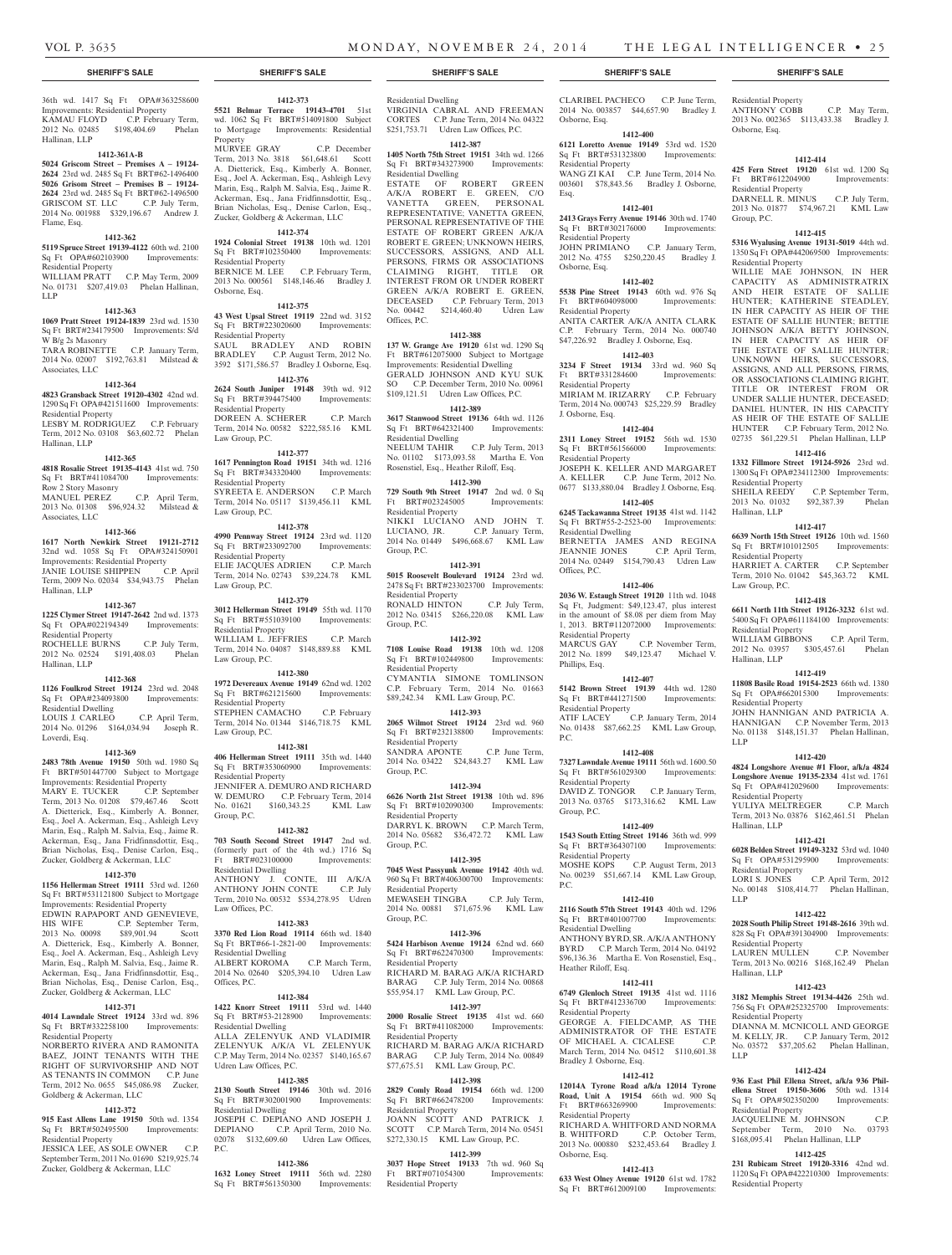## 36th wd. 1417 Sq Ft OPA#363258600 Improvements: Residential Property KAMAU FLOYD C.P. February Term,<br>2012 No. 02485 \$198,404.69 Phelan 2012 No. 02485 \$198,404.69 Hallinan, LLP

#### **1412-361A-B**

**5024 Griscom Street – Premises A – 19124- 2624** 23rd wd. 2485 Sq Ft BRT#62-1496400 **5026 Grisom Street – Premises B – 19124- 2624** 23rd wd. 2485 Sq Ft BRT#62-1496500 GRISCOM ST. LLC C.P. July Term, 2014 No. 001988 \$329,196.67 Andrew J. Flame, Esq.

## **1412-362**

**5119 Spruce Street 19139-4122** 60th wd. 2100 Sq Ft OPA#602103900 Improvements: Residential Property

WILLIAM PRATT C.P. May Term, 2009 No. 01731 \$207,419.03 Phelan Hallinan, LLP

#### **1412-363**

**1069 Pratt Street 19124-1839** 23rd wd. 1530 Sq Ft BRT#234179500 Improvements: S/d W B/g 2s Masonry TARA ROBINETTE C.P. January Term,

2014 No. 02007 \$192,763.81 Milstead & Associates, LLC

## **1412-364**

**4823 Gransback Street 19120-4302** 42nd wd. 1290 Sq Ft OPA#421511600 Improvements: Residential Property LESBY M. RODRIGUEZ C.P. February

Term, 2012 No. 03108 \$63,602.72 Phelan Hallinan, LLP

## **1412-365**

**4818 Rosalie Street 19135-4143** 41st wd. 750 Sq Ft BRT#411084700 Improvements:

Row 2 Story Masonry MANUEL PEREZ C.P. April Term, 2013 No. 01308 \$96,924.32 Milstead & Associates, LLC

#### **1412-366**

**1617 North Newkirk Street 19121-2712**  32nd wd. 1058 Sq Ft OPA#324150901 Improvements: Residential Property JANIE LOUISE SHIPPEN C.P. April Term, 2009 No. 02034 \$34,943.75 Phelan Hallinan, LLP

#### **1412-367**

**1225 Clymer Street 19147-2642** 2nd wd. 1373 Sq Ft OPA#022194349 Improvements: Residential Property ROCHELLE BURNS C.P. July Term, 2012 No. 02524 \$191,408.03 Phelan

## **1412-368**

Hallinan, LLP

**1126 Foulkrod Street 19124** 23rd wd. 2048 Sq Ft OPA#234093800 Improvements: Residential Dwelling LOUIS J. CARLEO C.P. April Term, 2014 No. 01296 \$164,034.94 Joseph R. **1972 Devereaux Avenue 19149** 62nd wd. 1202 Sq Ft BRT#621215600 Improvements: Residential Property STEPHEN CAMACHO C.P. February Term, 2014 No. 01344 \$146,718.75 KML Law Group, P.C.

## Loverdi, Esq. **1412-369**

**2483 78th Avenue 19150** 50th wd. 1980 Sq Ft BRT#501447700 Subject to Mortgage Improvements: Residential Property MARY E. TUCKER C.P. September Term, 2013 No. 01208 \$79,467.46 Scott A. Dietterick, Esq., Kimberly A. Bonner, Esq., Joel A. Ackerman, Esq., Ashleigh Levy Marin, Esq., Ralph M. Salvia, Esq., Jaime R. Ackerman, Esq., Jana Fridfinnsdottir, Esq., Brian Nicholas, Esq., Denise Carlon, Esq., Zucker, Goldberg & Ackerman, LLC

## **1412-370**

**1156 Hellerman Street 19111** 53rd wd. 1260 Sq Ft BRT#531121800 Subject to Mortgage Improvements: Residential Property EDWIN RAPAPORT AND GENEVIEVE,<br>HIS WIFE C.P. September Term, HIS WIFE C.P. September Term, 2013 No. 00098 \$89,901.94 Scott A. Dietterick, Esq., Kimberly A. Bonner, Esq., Joel A. Ackerman, Esq., Ashleigh Levy Marin, Esq., Ralph M. Salvia, Esq., Jaime R. Ackerman, Esq., Jana Fridfinnsdottir, Esq., Brian Nicholas, Esq., Denise Carlon, Esq., Zucker, Goldberg & Ackerman, LLC

## **1412-371**

**4014 Lawndale Street 19124** 33rd wd. 896 Sq Ft BRT#332258100 Improvements: Residential Property

NORBERTO RIVERA AND RAMONITA BAEZ, JOINT TENANTS WITH THE RIGHT OF SURVIVORSHIP AND NOT AS TENANTS IN COMMON C.P. June Term, 2012 No. 0655 \$45,086.98 Zucker, Goldberg & Ackerman, LLC

## **1412-372**

**915 East Allens Lane 19150** 50th wd. 1354 Sq Ft BRT#502495500 Improvements: Residential Property

JESSICA LEE, AS SOLE OWNER C.P. September Term, 2011 No. 01690 \$219,925.74 Zucker, Goldberg & Ackerman, LLC

**1412-373 5521 Belmar Terrace 19143-4701** 51st wd. 1062 Sq Ft BRT#514091800 Subject to Mortgage Improvements: Residential

MURVEE GRAY C.P. December Term, 2013 No. 3818 \$61,648.61 Scott A. Dietterick, Esq., Kimberly A. Bonner, Esq., Joel A. Ackerman, Esq., Ashleigh Levy Marin, Esq., Ralph M. Salvia, Esq., Jaime R. Ackerman, Esq., Jana Fridfinnsdottir, Esq., Brian Nicholas, Esq., Denise Carlon, Esq., Zucker, Goldberg & Ackerman, LLC **1412-374 1924 Colonial Street 19138** 10th wd. 1201 Sq Ft BRT#102350400 Improvements:

BERNICE M. LEE C.P. February Term, 2013 No. 000561 \$148,146.46 Bradley J.

**1412-375 43 West Upsal Street 19119** 22nd wd. 3152 Sq Ft BRT#223020600 Improvements:

SAUL BRADLEY AND ROBIN BRADLEY C.P. August Term, 2012 No. 3592 \$171,586.57 Bradley J. Osborne, Esq. **1412-376 2624 South Juniper 19148** 39th wd. 912 Sq Ft BRT#394475400 Improvements:

DOREEN A. SCHERER C.P. March Term, 2014 No. 00582 \$222,585.16 KML

**1412-377 1617 Pennington Road 19151** 34th wd. 1216 Sq Ft BRT#343320400 Improvements:

SYREETA E. ANDERSON C.P. March Term, 2014 No. 05117 \$139,456.11 KML

**1412-378 4990 Pennway Street 19124** 23rd wd. 1120 Sq Ft BRT#233092700 Improvements:

ELIE JACQUES ADRIEN C.P. March Term, 2014 No. 02743 \$39,224.78 KML

**1412-379 3012 Hellerman Street 19149** 55th wd. 1170 Sq Ft BRT#551039100 Improvements:

WILLIAM L. JEFFRIES C.P. March Term, 2014 No. 04087 \$148,889.88 KML

**1412-380**

**1412-381 406 Hellerman Street 19111** 35th wd. 1440 Sq Ft BRT#353060900 Improvements:

JENNIFER A. DEMURO AND RICHARD W. DEMURO C.P. February Term, 2014 No. 01621 \$160,343.25 KML Law

**1412-382 703 South Second Street 19147** 2nd wd. (formerly part of the 4th wd.) 1716 Sq Ft BRT#023100000 Improvements:

ANTHONY J. CONTE, III A/K/A ANTHONY JOHN CONTE C.P. July Term, 2010 No. 00532 \$534,278.95 Udren

**1412-383 3370 Red Lion Road 19114** 66th wd. 1840 Sq Ft BRT#66-1-2821-00 Improvements:

ALBERT KOROMA C.P. March Term, 2014 No. 02640 \$205,394.10 Udren Law

**1412-384 1422 Knorr Street 19111** 53rd wd. 1440 Sq Ft BRT#53-2128900 Improvements:

ALLA ZELENYUK AND VLADIMIR ZELENYUK A/K/A VL ZELENYUK C.P. May Term, 2014 No. 02357 \$140,165.67

**1412-385 2130 South Street 19146** 30th wd. 2016 Sq Ft BRT#302001900 Improvements:

JOSEPH C. DEPIANO AND JOSEPH J. DEPIANO C.P. April Term, 2010 No. 02078 \$132,609.60 Udren Law Offices,

**1412-386 1632 Loney Street 19111** 56th wd. 2280 Sq Ft BRT#561350300 Improvements:

Property<br>MURVEE GRAY

Residential Property

Residential Property

Residential Property

Residential Property

Law Group, P.C.

Residential Property

Law Group, P.C.

Residential Property

Residential Property

Residential Dwelling

Law Offices, P.C.

Residential Dwelling

Residential Dwelling

Udren Law Offices, P.C.

Residential Dwelling

 $PC<sub>c</sub>$ 

Offices, P.C.

Group, P.C.

Law Group, P.C.

Law Group, P.C.

Osborne, Esq.

Residential Dwelling VIRGINIA CABRAL AND FREEMAN CORTES C.P. June Term, 2014 No. 04322 \$251,753.71 Udren Law Offices, P.C.

### **1412-387**

**1405 North 75th Street 19151** 34th wd. 1266 Sq Ft BRT#343273900 Improvements: Residential Dwelling ESTATE OF ROBERT GREEN

A/K/A ROBERT E. GREEN, C/O VANETTA GREEN, PERSONAL REPRESENTATIVE; VANETTA GREEN, PERSONAL REPRESENTATIVE OF THE ESTATE OF ROBERT GREEN A/K/A ROBERT E. GREEN; UNKNOWN HEIRS, SUCCESSORS, ASSIGNS, AND ALL PERSONS, FIRMS OR ASSOCIATIONS CLAIMING RIGHT, TITLE OR INTEREST FROM OR UNDER ROBERT GREEN A/K/A ROBERT E. GREEN, DECEASED C.P. February Term, 2013 No. 00442 \$214,460.40 Udren Law Offices, P.C.

## **1412-388**

**137 W. Grange Ave 19120** 61st wd. 1290 Sq Ft BRT#612075000 Subject to Mortgage Improvements: Residential Dwelling GERALD JOHNSON AND KYU SUK SO C.P. December Term, 2010 No. 00961 \$109,121.51 Udren Law Offices, P.C.

## **1412-389**

**3617 Stanwood Street 19136** 64th wd. 1126 Sq Ft BRT#642321400 Improvements: Residential Dwelling NEELUM TAHIR C.P. July Term, 2013 No. 01102 \$173,093.58 Martha E. Von

Rosenstiel, Esq., Heather Riloff, Esq.

**1412-390 729 South 9th Street 19147** 2nd wd. 0 Sq Ft BRT#023245005 Residential Property NIKKI LUCIANO AND JOHN T. LUCIANO, JR. C.P. January Term, 2014 No. 01449 \$496,668.67 KML Law Group, P.C.

#### **1412-391**

**5015 Roosevelt Boulevard 19124** 23rd wd. 2478 Sq Ft BRT#233023700 Improvements: Residential Property RONALD HINTON C.P. July Term,

2012 No. 03415 \$266,220.08 KML Law Group, P.C. **1412-392**

**7108 Louise Road 19138** 10th wd. 1208 Sq Ft BRT#102449800 Improvements: Residential Property CYMANTIA SIMONE TOMLINSON C.P. February Term, 2014 No. 01663 \$89,242.34 KML Law Group, P.C.

## **1412-393**

**2065 Wilmot Street 19124** 23rd wd. 960 Sq Ft BRT#232138800 Improvements: Residential Property SANDRA APONTE C.P. June Term, 2014 No. 03422 \$24,843.27 KML Law Group, P.C.

### **1412-394**

**6626 North 21st Street 19138** 10th wd. 896 Sq Ft BRT#102090300 Improvements: Residential Property DARRYL K. BROWN C.P. March Term, 2014 No. 05682 \$36,472.72 KML Law Group, P.C.

## **1412-395**

**7045 West Passyunk Avenue 19142** 40th wd. 960 Sq Ft BRT#406300700 Improvements: Residential Property MEWASEH TINGBA C.P. July Term, 2014 No. 00881 \$71,675.96 KML Law Group, P.C.

### **1412-396**

**5424 Harbison Avenue 19124** 62nd wd. 660 Sq Ft BRT#622470300 Improvements: Residential Property RICHARD M. BARAG A/K/A RICHARD BARAG C.P. July Term, 2014 No. 00868 \$55,954.17 KML Law Group, P.C.

### **1412-397**

**2000 Rosalie Street 19135** 41st wd. 660 Sq Ft BRT#411082000 Improvements: Residential Property RICHARD M. BARAG A/K/A RICHARD BARAG C.P. July Term, 2014 No. 00849

\$77,675.51 KML Law Group, P.C. **1412-398**

**2829 Comly Road 19154** 66th wd. 1200 Sq Ft BRT#662478200 Improvements: Residential Property JOANN SCOTT AND PATRICK J. SCOTT C.P. March Term, 2014 No. 05451 \$272,330.15 KML Law Group, P.C.

## **1412-399**

**3037 Hope Street 19133** 7th wd. 960 Sq Ft BRT#071054300 Improvements: Residential Property

## **SHERIFF'S SALE SHERIFF'S SALE SHERIFF'S SALE SHERIFF'S SALE SHERIFF'S SALE**

CLARIBEL PACHECO C.P. June Term, 2014 No. 003857 \$44,657.90 Bradley J. Osborne, Esq.

## **1412-400**

**6121 Loretto Avenue 19149** 53rd wd. 1520 Sq Ft BRT#531323800 Improvements: Residential Property WANG ZI KAI C.P. June Term, 2014 No. 003601 \$78,843.56 Bradley J. Osborne, Esq.

## **1412-401**

**2413 Grays Ferry Avenue 19146** 30th wd. 1740 Sq Ft BRT#302176000 Improvements: Residential Property JOHN PRIMIANO C.P. January Term, 2012 No. 4755 \$250,220.45 Bradley J. Osborne, Esq.

## **1412-402**

**5538 Pine Street 19143** 60th wd. 976 Sq<br>Ft BRT#604098000 Improvements: Ft BRT#604098000 Residential Property

ANITA CARTER A/K/A ANITA CLARK C.P. February Term, 2014 No. 000740 \$47,226.92 Bradley J. Osborne, Esq.

# **1412-403**

**3234 F Street 19134** 33rd wd. 960 Sq Ft BRT#331284600 Improvements: Residential Property MIRIAM M. IRIZARRY C.P. February Term, 2014 No. 000743 \$25,229.59 Bradley J. Osborne, Esq.

## **1412-404**

**2311 Loney Street 19152** 56th wd. 1530 Sq Ft BRT#561566000 Improvements: Residential Property JOSEPH K. KELLER AND MARGARET A. KELLER C.P. June Term, 2012 No. 0677 \$133,880.04 Bradley J. Osborne, Esq.

## **1412-405**

**6245 Tackawanna Street 19135** 41st wd. 1142 Sq Ft BRT#55-2-2523-00 Improvements: Residential Dwelling BERNETTA JAMES AND REGINA JEANNIE JONES C.P. April Term, 2014 No. 02449 \$154,790.43 Udren Law Offices, P.C.

## **1412-406**

**2036 W. Estaugh Street 19120** 11th wd. 1048 Sq Ft, Judgment: \$49,123.47, plus interest in the amount of \$8.08 per diem from May<br>1, 2013. BRT#112072000 Improvements: 1, 2013. BRT#112072000 Improvements: Residential Property MARCUS GAY C.P. November Term, MARCUS GAY C.P. November Term,<br>2012 No. 1899 \$49,123.47 Michael V. Phillips, Esq.

# **1412-407**

**5142 Brown Street 19139** 44th wd. 1280 Sq Ft BRT#441271500 Improvements: Residential Property ATIF LACEY C.P. January Term, 2014 No. 01438 \$87,662.25 KML Law Group, P.C.

## **1412-408**

**7327 Lawndale Avenue 19111** 56th wd. 1600.50 Sq Ft BRT#561029300 Improvements: Residential Property DAVID Z. TONGOR C.P. January Term, 2013 No. 03765 \$173,316.62 KML Law Group, P.C.

## **1412-409**

**1543 South Etting Street 19146** 36th wd. 999 Sq Ft BRT#364307100 Improvements: Residential Property MOSHE KOPS C.P. August Term, 2013 MOSHE KOPS C.P. August Term, 2013<br>No. 00239 \$51,667.14 KML Law Group, P.C.

### **1412-410**

**2116 South 57th Street 19143** 40th wd. 1296 Sq Ft BRT#401007700 Improvements: Residential Dwelling

ANTHONY BYRD, SR. A/K/A ANTHONY BYRD C.P. March Term, 2014 No. 04192 \$96,136.36 Martha E. Von Rosenstiel, Esq., Heather Riloff, Esq.

## **1412-411**

**6749 Glenloch Street 19135** 41st wd. 1116 Sq Ft BRT#412336700 Improvements: Residential Property

GEORGE A. FIELDCAMP, AS THE ADMINISTRATOR OF THE ESTATE OF MICHAEL A. CICALESE C.P. March Term, 2014 No. 04512 \$110,601.38 Bradley J. Osborne, Esq.

## **1412-412**

**12014A Tyrone Road a/k/a 12014 Tyrone Road, Unit A 19154** 66th wd. 900 Sq Ft BRT#663269900 Improvements: Residential Property RICHARD A. WHITFORD AND NORMA B. WHITFORD C.P. October Term, 2013 No. 000880 \$232,453.64 Bradley J.

#### **1412-413**

Osborne, Esq.

**633 West Olney Avenue 19120** 61st wd. 1782 Sq Ft BRT#612009100 Improvements:

# Residential Property

ANTHONY COBB C.P. May Term, 2013 No. 002365 \$113,433.38 Bradley J. Osborne, Esq.

## **1412-414**

Group, P.C.

Residential Property

Residential Property

Residential Property

Law Group, P.C.

Residential Property

Residential Property

Residential Property

Hallinan, LLP

Residential Property

Residential Property

Residential Property

Residential Property

Residential Property

**JACQUELINE M. JOHNSON** September Term, 2010 No. 03793 \$168,095.41 Phelan Hallinan, LLP **1412-425 231 Rubicam Street 19120-3316** 42nd wd. 1120 Sq Ft OPA#422210300 Improvements:

Hallinan, LLP

Hallinan, LLP

LLP

LLP

LLP

Hallinan, LLP

**425 Fern Street 19120** 61st wd. 1200 Sq Ft BRT#612204900 Improvements: Residential Property DARNELL R. MINUS C.P. July Term, 2013 No. 01877 \$74,967.21 KML Law

**1412-415 5316 Wyalusing Avenue 19131-5019** 44th wd. 1350 Sq Ft OPA#442069500 Improvements:

WILLIE MAE JOHNSON, IN HER CAPACITY AS ADMINISTRATRIX AND HEIR ESTATE OF SALLIE HUNTER; KATHERINE STEADLEY, IN HER CAPACITY AS HEIR OF THE ESTATE OF SALLIE HUNTER; BETTIE JOHNSON A/K/A BETTY JOHNSON, IN HER CAPACITY AS HEIR OF THE ESTATE OF SALLIE HUNTER; UNKNOWN HEIRS, SUCCESSORS, ASSIGNS, AND ALL PERSONS, FIRMS, OR ASSOCIATIONS CLAIMING RIGHT, TITLE OR INTEREST FROM OR UNDER SALLIE HUNTER, DECEASED; DANIEL HUNTER, IN HIS CAPACITY AS HEIR OF THE ESTATE OF SALLIE HUNTER C.P. February Term, 2012 No. 02735 \$61,229.51 Phelan Hallinan, LLP **1412-416 1332 Fillmore Street 19124-5926** 23rd wd. 1300 Sq Ft OPA#234112300 Improvements:

SHEILA REEDY C.P. September Term, 2013 No. 01032 \$92,387.39 Phelan

**1412-417 6639 North 15th Street 19126** 10th wd. 1560 Sq Ft BRT#101012505 Improvements:

HARRIET A. CARTER C.P. September Term, 2010 No. 01042 \$45,363.72 KML

**1412-418 6611 North 11th Street 19126-3232** 61st wd. 5400 Sq Ft OPA#611184100 Improvements:

WILLIAM GIBBONS C.P. April Term, 2012 No. 03957 \$305,457.61 Phelan

**1412-419 11808 Basile Road 19154-2523** 66th wd. 1380 Sq Ft OPA#662015300 Improvements:

JOHN HANNIGAN AND PATRICIA A. HANNIGAN C.P. November Term, 2013 No. 01138 \$148,151.37 Phelan Hallinan,

**1412-420 4824 Longshore Avenue #1 Floor, a/k/a 4824 Longshore Avenue 19135-2334** 41st wd. 1761 Sq Ft OPA#412029600 Improvements:

YULIYA MELTREGER C.P. March Term, 2013 No. 03876 \$162,461.51 Phelan

**1412-421 6028 Belden Street 19149-3232** 53rd wd. 1040 Sq Ft OPA#531295900 Improvements:

LORI S. JONES C.P. April Term, 2012 No. 00148 \$108,414.77 Phelan Hallinan,

**1412-422 2028 South Philip Street 19148-2616** 39th wd. 828 Sq Ft OPA#391304900 Improvements:

LAUREN MULLEN C.P. November Term, 2013 No. 00216 \$168,162.49 Phelan

**1412-423 3182 Memphis Street 19134-4426** 25th wd. 756 Sq Ft OPA#252325700 Improvements:

DIANNA M. MCNICOLL AND GEORGE M. KELLY, JR. C.P. January Term, 2012 No. 03572 \$37,205.62 Phelan Hallinan,

**1412-424 936 East Phil Ellena Street, a/k/a 936 Philellena Street 19150-3606** 50th wd. 1314 Sq Ft OPA#502350200 Improvements: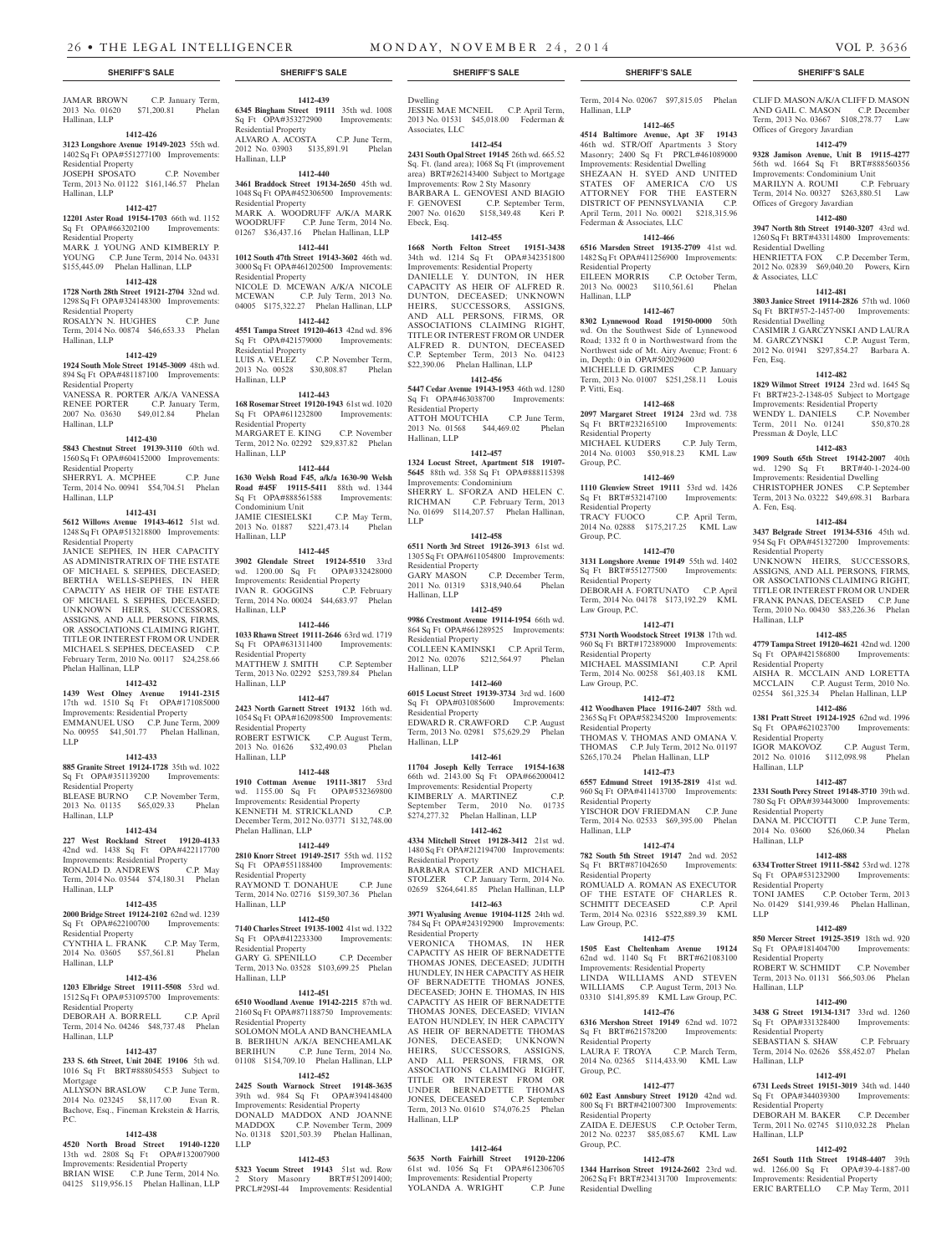#### JAMAR BROWN C.P. January Term, 2013 No. 01620 \$71,200.81 Phelan Hallinan, LLP

#### **1412-426**

## **3123 Longshore Avenue 19149-2023** 55th wd. 1402 Sq Ft OPA#551277100 Improvements:

Residential Property JOSEPH SPOSATO C.P. November Term, 2013 No. 01122 \$161,146.57 Phelan Hallinan, LLP

#### **1412-427**

**12201 Aster Road 19154-1703** 66th wd. 1152 Sq Ft OPA#663202100 Improvements: Residential Property MARK J. YOUNG AND KIMBERLY P. YOUNG C.P. June Term, 2014 No. 04331

## \$155,445.09 Phelan Hallinan, LLP **1412-428**

**1728 North 28th Street 19121-2704** 32nd wd. 1298 Sq Ft OPA#324148300 Improvements: Residential Property

ROSALYN N. HUGHES C.P. June Term, 2014 No. 00874 \$46,653.33 Phelan Hallinan, LLP

#### **1412-429**

**1924 South Mole Street 19145-3009** 48th wd. 894 Sq Ft OPA#481187100 Improvements: Residential Property

VANESSA R. PORTER A/K/A VANESSA RENEE PORTER C.P. January Term, 2007 No. 03630 \$49,012.84 Phelan Hallinan, LLP

#### **1412-430**

**5843 Chestnut Street 19139-3110** 60th wd. 1560 Sq Ft OPA#604152000 Improvements: Residential Property

SHERRYL A. MCPHEE C.P. June Term, 2014 No. 00941 \$54,704.51 Phelan Hallinan, LLP

#### **1412-431**

**5612 Willows Avenue 19143-4612** 51st wd. 1248 Sq Ft OPA#513218800 Improvements: Residential Property

JANICE SEPHES, IN HER CAPACITY AS ADMINISTRATRIX OF THE ESTATE OF MICHAEL S. SEPHES, DECEASED; BERTHA WELLS-SEPHES, IN HER CAPACITY AS HEIR OF THE ESTATE OF MICHAEL S. SEPHES, DECEASED; UNKNOWN HEIRS, SUCCESSORS, ASSIGNS, AND ALL PERSONS, FIRMS, OR ASSOCIATIONS CLAIMING RIGHT TITLE OR INTEREST FROM OR UNDER MICHAEL S. SEPHES, DECEASED C.P. February Term, 2010 No. 00117 \$24,258.66 Phelan Hallinan, LLP

## **1412-432**

**1439 West Olney Avenue 19141-2315**  17th wd. 1510 Sq Ft OPA#171085000 Improvements: Residential Property EMMANUEL USO C.P. June Term, 2009

No. 00955 \$41,501.77 Phelan Hallinan, LLP **1412-433 885 Granite Street 19124-1728** 35th wd. 1022

Sq Ft OPA#351139200 Improvements: Residential Property BLEASE BURNO C.P. November Term, 2013 No. 01135 \$65,029.33 Phelan Hallinan, LLP

## **1412-434**

**227 West Rockland Street 19120-4133**  42nd wd. 1438 Sq Ft OPA#422117700 Improvements: Residential Property<br>RONALD D. ANDREWS C.P. May RONALD D. ANDREWS Term, 2014 No. 03544 \$74,180.31 Phelan Hallinan, LLP

#### **1412-435**

**2000 Bridge Street 19124-2102** 62nd wd. 1239 Sq Ft OPA#622100700 Improvements: Residential Property CYNTHIA L. FRANK C.P. May Term,

2014 No. 03605 \$57,561.81 Phelan Hallinan, LLP

## **1412-436**

**1203 Elbridge Street 19111-5508** 53rd wd. 1512 Sq Ft OPA#531095700 Improvements: Residential Property

DEBORAH A. BORRELL C.P. April Term, 2014 No. 04246 \$48,737.48 Phelan Hallinan, LLP

## **1412-437**

**233 S. 6th Street, Unit 204E 19106** 5th wd. 1016 Sq Ft BRT#888054553 Subject to Mortgage

ALLYSON BRASLOW C.P. June Term, 2014 No. 023245 \$8,117.00 Evan R. Bachove, Esq., Fineman Krekstein & Harris, P.C.

## **1412-438**

**4520 North Broad Street 19140-1220**  13th wd. 2808 Sq Ft OPA#132007900 Improvements: Residential Property BRIAN WISE C.P. June Term, 2014 No. 04125 \$119,956.15 Phelan Hallinan, LLP

**1412-439 6345 Bingham Street 19111** 35th wd. 1008 Sq Ft OPA#353272900 Improvements: Residential Property ALVARO A. ACOSTA C.P. June Term, 2012 No. 03903 \$135,891.91 Phelan Hallinan, LLP

# **1412-440**

**3461 Braddock Street 19134-2650** 45th wd. 1048 Sq Ft OPA#452306500 Improvements: Residential Property MARK A. WOODRUFF A/K/A MARK WOODRUFF C.P. June Term, 2014 No. 01267 \$36,437.16 Phelan Hallinan, LLP

## **1412-441**

**1012 South 47th Street 19143-3602** 46th wd. 3000 Sq Ft OPA#461202500 Improvements: Residential Property NICOLE D. MCEWAN A/K/A NICOLE<br>MCEWAN CP July Term 2013 No C.P. July Term, 2013 No. 04005 \$175,322.27 Phelan Hallinan, LLP **1412-442**

## **4551 Tampa Street 19120-4613** 42nd wd. 896

Sq Ft OPA#421579000 Improvements: Residential Property<br>LUIS A. VELEZ C.P. November Term,<br>\$30,808.87 Phelan 2013 No. 00528 Hallinan, LLP

## **1412-443**

**168 Rosemar Street 19120-1943** 61st wd. 1020 Sq Ft OPA#611232800 Improvements: Residential Property MARGARET E. KING C.P. November Term, 2012 No. 02292 \$29,837.82 Phelan Hallinan, LLP

## **1412-444**

**1630 Welsh Road F45, a/k/a 1630-90 Welsh Road #45F 19115-5411** 88th wd. 1344 Sq Ft OPA#888561588 Improvements: Condominium Unit JAMIE CIESIELSKI C.P. May Term, 2013 No. 01887 \$221,473.14 Phelan Hallinan, LLP

#### **1412-445**

**3902 Glendale Street 19124-5510** 33rd wd. 1200.00 Sq Ft OPA#332428000 Improvements: Residential Property<br>IVAN R. GOGGINS C.P. February IVAN R. GOGGINS Term, 2014 No. 00024 \$44,683.97 Phelan Hallinan, LLP

## **1412-446**

**1033 Rhawn Street 19111-2646** 63rd wd. 1719 Sq Ft OPA#631311400 Improvements: Residential Property MATTHEW J. SMITH C.P. September Term, 2013 No. 02292 \$253,789.84 Phelan Hallinan, LLP

#### **1412-447 2423 North Garnett Street 19132** 16th wd. 1054 Sq Ft OPA#162098500 Improvements:

Residential Property ROBERT ESTWICK C.P. August Term, 2013 No. 01626 \$32,490.03 Phelan Hallinan, LLP

## **1412-448**

**1910 Cottman Avenue 19111-3817** 53rd wd. 1155.00 Sq Ft OPA#532369800 Improvements: Residential Property KENNETH M. STRICKLAND C.P. December Term, 2012 No. 03771 \$132,748.00 Phelan Hallinan, LLP

## **1412-449**

**2810 Knorr Street 19149-2517** 55th wd. 1152 Sq Ft OPA#551188400 Improvements: Residential Property RAYMOND T. DONAHUE C.P. June Term, 2014 No. 02716 \$159,307.36 Phelan Hallinan, LLP

### **1412-450**

**7140 Charles Street 19135-1002** 41st wd. 1322 Sq Ft OPA#412233300 Improvements: Residential Property GARY G. SPENILLO C.P. December Term, 2013 No. 03528 \$103,699.25 Phelan Hallinan, LLP

## **1412-451**

**6510 Woodland Avenue 19142-2215** 87th wd. 2160 Sq Ft OPA#871188750 Improvements: Residential Property SOLOMON MOLA AND BANCHEAMLA

B. BERIHUN A/K/A BENCHEAMLAK BERIHUN C.P. June Term, 2014 No. 01108 \$154,709.10 Phelan Hallinan, LLP **1412-452**

## **2425 South Warnock Street 19148-3635**

39th wd. 984 Sq Ft OPA#394148400 Improvements: Residential Property DONALD MADDOX AND JOANNE MADDOX C.P. November Term, 2009 No. 01318 \$201,503.39 Phelan Hallinan, LLP

## **1412-453**

**5323 Yocum Street 19143** 51st wd. Row 2 Story Masonry BRT#512091400; PRCL#29SI-44 Improvements: Residential

Dwelling JESSIE MAE MCNEIL C.P. April Term, 2013 No. 01531 \$45,018.00 Federman & Associates, LLC

## **1412-454**

**2431 South Opal Street 19145** 26th wd. 665.52 Sq. Ft. (land area); 1068 Sq Ft (improvement area) BRT#262143400 Subject to Mortgage Improvements: Row 2 Sty Masonry BARBARA L. GENOVESI AND BIAGIO<br>F. GENOVESI C.P. September Term, C.P. September Term, 2007 No. 01620 \$158,349.48 Keri P. Ebeck, Esq.

## **1412-455**

**1668 North Felton Street 19151-3438**  34th wd. 1214 Sq Ft OPA#342351800 Improvements: Residential Property DANIELLE Y. DUNTON, IN HER CAPACITY AS HEIR OF ALFRED R. DUNTON, DECEASED; UNKNOWN HEIRS, SUCCESSORS, ASSIGNS, AND ALL PERSONS, FIRMS, OR ASSOCIATIONS CLAIMING RIGHT, TITLE OR INTEREST FROM OR UNDER ALFRED R. DUNTON, DECEASED C.P. September Term, 2013 No. 04123 \$22,390.06 Phelan Hallinan, LLP

## **1412-456**

**5447 Cedar Avenue 19143-1953** 46th wd. 1280 Sq Ft OPA#463038700 Improvements: Residential Property ATTOH MOUTCHIA C.P. June Term, 2013 No. 01568 \$44,469.02 Phelan Hallinan, LLP

## **1412-457**

**1324 Locust Street, Apartment 518 19107- 5645** 88th wd. 358 Sq Ft OPA#888115398 Improvements: Condominium SHERRY L. SFORZA AND HELEN C. RICHMAN C.P. February Term, 2013 No. 01699 \$114,207.57 Phelan Hallinan, LLP

## **1412-458**

**6511 North 3rd Street 19126-3913** 61st wd. 1305 Sq Ft OPA#611054800 Improvements: Residential Property GARY MASON C.P. December Term, 2011 No. 01319 \$318,940.64 Phelan Hallinan, LLP

## **1412-459**

**9986 Crestmont Avenue 19114-1954** 66th wd. 864 Sq Ft OPA#661289525 Improvements: Residential Property COLLEEN KAMINSKI C.P. April Term, 2012 No. 02076 \$212,564.97 Phelan Hallinan, LLP

#### **1412-460 6015 Locust Street 19139-3734** 3rd wd. 1600 Sq Ft OPA#031085600 Improvements: Residential Property EDWARD R. CRAWFORD C.P. August Term, 2013 No. 02981 \$75,629.29 Phelan Hallinan, LLP

**1412-461 11704 Joseph Kelly Terrace 19154-1638**  66th wd. 2143.00 Sq Ft OPA#662000412 Improvements: Residential Property KIMBERLY A. MARTINEZ C.P. September Term, 2010 No. 01735 \$274,277.32 Phelan Hallinan, LLP

## **1412-462**

**4334 Mitchell Street 19128-3412** 21st wd. 1480 Sq Ft OPA#212194700 Improvements: Residential Property BARBARA STOLZER AND MICHAEL STOLZER C.P. January Term, 2014 No. 02659 \$264,641.85 Phelan Hallinan, LLP

# **1412-463**

**3971 Wyalusing Avenue 19104-1125** 24th wd. 784 Sq Ft OPA#243192900 Improvements: Residential Property

VERONICA THOMAS, IN HER CAPACITY AS HEIR OF BERNADETTE THOMAS JONES, DECEASED; JUDITH HUNDLEY, IN HER CAPACITY AS HEIR OF BERNADETTE THOMAS JONES, DECEASED; JOHN E. THOMAS, IN HIS CAPACITY AS HEIR OF BERNADETTE THOMAS JONES, DECEASED; VIVIAN EATON HUNDLEY, IN HER CAPACITY AS HEIR OF BERNADETTE THOMAS JONES, DECEASED; UNKNOWN HEIRS, SUCCESSORS, ASSIGNS, AND ALL PERSONS, FIRMS, OR ASSOCIATIONS CLAIMING RIGHT, TITLE OR INTEREST FROM OR UNDER BERNADETTE THOMAS JONES, DECEASED C.P. September Term, 2013 No. 01610 \$74,076.25 Phelan Hallinan, LLP

#### **1412-464 5635 North Fairhill Street 19120-2206**

61st wd. 1056 Sq Ft OPA#612306705 Improvements: Residential Property<br>
YOLANDA A. WRIGHT C.P. June YOLANDA A. WRIGHT

## **SHERIFF'S SALE SHERIFF'S SALE SHERIFF'S SALE SHERIFF'S SALE SHERIFF'S SALE**

Term, 2014 No. 02067 \$97,815.05 Phelan Hallinan, LLP

CLIF D. MASON A/K/A CLIFF D. MASON AND GAIL C. MASON C.P. December Term, 2013 No. 03667 \$108,278.77 Law

**1412-479 9328 Jamison Avenue, Unit B 19115-4277**  56th wd. 1664 Sq Ft BRT#888560356 Improvements: Condominium Unit MARILYN A. ROUMI C.P. February Term, 2014 No. 00327 \$263,880.51 Law

**1412-480 3947 North 8th Street 19140-3207** 43rd wd. 1260 Sq Ft BRT#433114800 Improvements:

HENRIETTA FOX C.P. December Term, 2012 No. 02839 \$69,040.20 Powers, Kirn

**1412-481 3803 Janice Street 19114-2826** 57th wd. 1060 Sq Ft BRT#57-2-1457-00 Improvements:

CASIMIR J. GARCZYNSKI AND LAURA M. GARCZYNSKI C.P. August Term, 2012 No. 01941 \$297,854.27 Barbara A.

**1412-482 1829 Wilmot Street 19124** 23rd wd. 1645 Sq Ft BRT#23-2-1348-05 Subject to Mortgage Improvements: Residential Property WENDY L. DANIELS C.P. November Term, 2011 No. 01241 \$50,870.28

**1412-483 1909 South 65th Street 19142-2007** 40th wd. 1290 Sq Ft BRT#40-1-2024-00 Improvements: Residential Dwelling CHRISTOPHER JONES C.P. September Term, 2013 No. 03222 \$49,698.31 Barbara

**1412-484 3437 Belgrade Street 19134-5316** 45th wd. 954 Sq Ft OPA#451327200 Improvements:

UNKNOWN HEIRS, SUCCESSORS, ASSIGNS, AND ALL PERSONS, FIRMS, OR ASSOCIATIONS CLAIMING RIGHT TITLE OR INTEREST FROM OR UNDER FRANK PANAS, DECEASED C.P. June Term, 2010 No. 00430 \$83,226.36 Phelan

**1412-485 4779 Tampa Street 19120-4621** 42nd wd. 1200 Sq Ft OPA#421586800 Improvements:

AISHA R. MCCLAIN AND LORETTA MCCLAIN C.P. August Term, 2010 No. 02554 \$61,325.34 Phelan Hallinan, LLP **1412-486 1381 Pratt Street 19124-1925** 62nd wd. 1996 Sq Ft OPA#621023700 Improvements:

IGOR MAKOVOZ C.P. August Term, 2012 No. 01016 \$112,098.98 Phelan

**1412-487 2331 South Percy Street 19148-3710** 39th wd. 780 Sq Ft OPA#393443000 Improvements:

DANA M. PICCIOTTI C.P. June Term, 2014 No. 03600 \$26,060.34 Phelan

**1412-488 6334 Trotter Street 19111-5842** 53rd wd. 1278 Sq Ft OPA#531232900 Improvements:

TONI JAMES C.P. October Term, 2013 No. 01429 \$141,939.46 Phelan Hallinan,

**1412-489 850 Mercer Street 19125-3519** 18th wd. 920 Sq Ft OPA#181404700 Improvements:

ROBERT W. SCHMIDT C.P. November Term, 2013 No. 01131 \$66,503.06 Phelan

**1412-490 3438 G Street 19134-1317** 33rd wd. 1260 Sq Ft OPA#331328400 Improvements:

SEBASTIAN S. SHAW C.P. February Term, 2014 No. 02626 \$58,452.07 Phelan

**1412-491 6731 Leeds Street 19151-3019** 34th wd. 1440 Sq Ft OPA#344039300 Improvements:

DEBORAH M. BAKER C.P. December Term, 2011 No. 02745 \$110,032.28 Phelan

**1412-492 2651 South 11th Street 19148-4407** 39th wd. 1266.00 Sq Ft OPA#39-4-1887-00 Improvements: Residential Property ERIC BARTELLO C.P. May Term, 2011

Offices of Gregory Javardian

Offices of Gregory Javardian

Residential Dwelling

& Associates, LLC

Residential Dwelling

Pressman & Doyle, LLC

Fen, Esq.

A. Fen, Esq.

Residential Property

Hallinan, LLP

Residential Property

Residential Property

Residential Property

Residential Property

Residential Property

Residential Property

Residential Property

Hallinan, LLP

Hallinan, LLP

Hallinan, LLP

Hallinan, LLP

Hallinan, LLP

LLP

## **1412-465**

**4514 Baltimore Avenue, Apt 3F 19143**  46th wd. STR/Off Apartments 3 Story Masonry; 2400 Sq Ft PRCL#461089000 Improvements: Residential Dwelling SHEZAAN H. SYED AND UNITED STATES OF AMERICA C/O US ATTORNEY FOR THE EASTERN DISTRICT OF PENNSYLVANIA C.P. April Term, 2011 No. 00021 \$218,315.96 Federman & Associates, LLC

## **1412-466**

**6516 Marsden Street 19135-2709** 41st wd. 1482 Sq Ft OPA#411256900 Improvements: Residential Property EILEEN MORRIS C.P. October Term, 2013 No. 00023 \$110,561.61 Phelan Hallinan, LLP

## **1412-467**

**8302 Lynnewood Road 19150-0000** 50th wd. On the Southwest Side of Lynnewood Road; 1332 ft 0 in Northwestward from the Northwest side of Mt. Airy Avenue; Front: 6 in, Depth: 0 in OPA#502029600

MICHELLE D. GRIMES C.P. January Term, 2013 No. 01007 \$251,258.11 Louis P. Vitti, Esq.

Sq Ft BRT#232165100 Improvements:

MICHAEL KUDERS C.P. July Term, 2014 No. 01003 \$50,918.23 KML Law

**1412-469 1110 Glenview Street 19111** 53rd wd. 1426 Sq Ft BRT#532147100 Improvements:

TRACY FUOCO C.P. April Term, 2014 No. 02888 \$175,217.25 KML Law

**1412-470 3131 Longshore Avenue 19149** 55th wd. 1402 Sq Ft BRT#551277500 Improvements:

DEBORAH A. FORTUNATO C.P. April Term, 2014 No. 04178 \$173,192.29 KML

**1412-471 5731 North Woodstock Street 19138** 17th wd. 960 Sq Ft BRT#172389000 Improvements:

MICHAEL MASSIMIANI C.P. April Term, 2014 No. 00258 \$61,403.18 KML

**1412-472 412 Woodhaven Place 19116-2407** 58th wd. 2365 Sq Ft OPA#582345200 Improvements:

THOMAS V. THOMAS AND OMANA V. THOMAS C.P. July Term, 2012 No. 01197 \$265,170.24 Phelan Hallinan, LLP **1412-473 6557 Edmund Street 19135-2819** 41st wd. 960 Sq Ft OPA#411413700 Improvements:

YISCHOR DOV FRIEDMAN C.P. June Term, 2014 No. 02533 \$69,395.00 Phelan

**1412-474 782 South 5th Street 19147** 2nd wd. 2052 Sq Ft BRT#871042650 Improvements:

ROMUALD A. ROMAN AS EXECUTOR OF THE ESTATE OF CHARLES R. SCHMITT DECEASED C.P. April Term, 2014 No. 02316 \$522,889.39 KML

**1412-475 1505 East Cheltenham Avenue 19124**  62nd wd. 1140 Sq Ft BRT#621083100 Improvements: Residential Property LINDA WILLIAMS AND STEVEN WILLIAMS C.P. August Term, 2013 No. 03310 \$141,895.89 KML Law Group, P.C. **1412-476 6316 Mershon Street 19149** 62nd wd. 1072 Sq Ft BRT#621578200 Improvements:

LAURA F. TROYA C.P. March Term, 2014 No. 02365 \$114,433.90 KML Law

**1412-477 602 East Annsbury Street 19120** 42nd wd. 800 Sq Ft BRT#421007300 Improvements:

ZAIDA E. DEJESUS C.P. October Term 2012 No. 02237 \$85,085.67 KML Law

**1412-478 1344 Harrison Street 19124-2602** 23rd wd. 2062 Sq Ft BRT#234131700 Improvements:

## **1412-468 2097 Margaret Street 19124** 23rd wd. 738

Residential Property

Residential Property

Residential Property

Law Group, P.C.

Residential Property

Law Group, P.C.

Residential Property

Residential Property

Residential Property

Law Group, P.C.

Residential Property

Residential Property

Residential Dwelling

Group, P.C.

Group, P.C.

Hallinan, LLP

Group, P.C.

Group, P.C.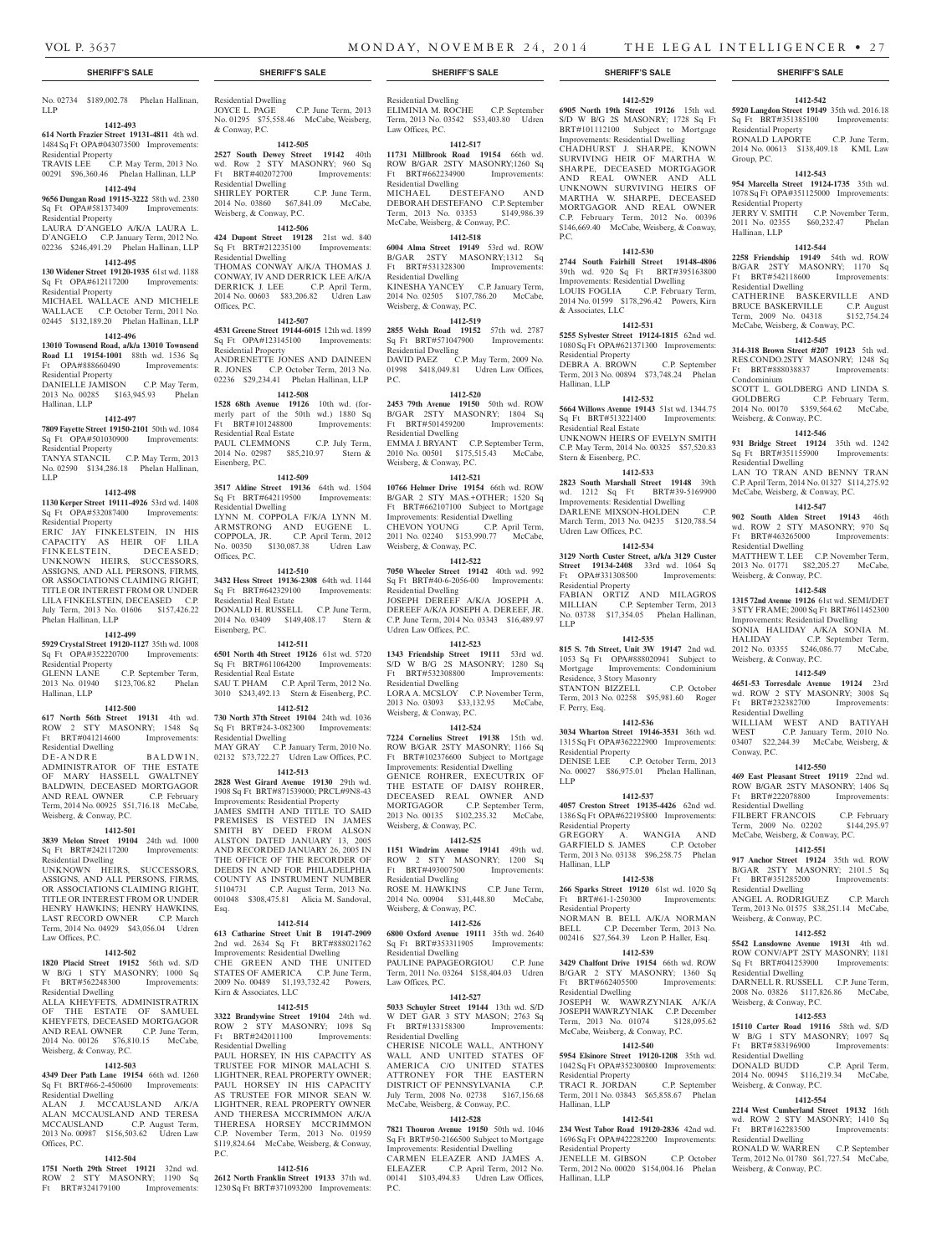No. 02734 \$189,002.78 Phelan Hallinan, LLP

# **1412-493**

**614 North Frazier Street 19131-4811** 4th wd. 1484 Sq Ft OPA#043073500 Improvements:

Residential Property TRAVIS LEE C.P. May Term, 2013 No. 00291 \$96,360.46 Phelan Hallinan, LLP

## **1412-494**

**9656 Dungan Road 19115-3222** 58th wd. 2380 Sq Ft OPA#581373409 Improvements:

#### Residential Property LAURA D'ANGELO A/K/A LAURA L.

D'ANGELO C.P. January Term, 2012 No. 02236 \$246,491.29 Phelan Hallinan, LLP

## **1412-495**

**130 Widener Street 19120-1935** 61st wd. 1188 Sq Ft OPA#612117200 Improvements: Residential Property MICHAEL WALLACE AND MICHELE

WALLACE C.P. October Term, 2011 No. 02445 \$132,189.20 Phelan Hallinan, LLP **1412-496**

## **13010 Townsend Road, a/k/a 13010 Townsend**

**Road L1 19154-1001** 88th wd. 1536 Sq Ft OPA#888660490 Improvements: Residential Property DANIELLE JAMISON C.P. May Term,

2013 No. 00285 \$163,945.93 Phelan Hallinan, LLP

## **1412-497**

**7809 Fayette Street 19150-2101** 50th wd. 1084 Sq Ft OPA#501030900 Improvements: Residential Property TANYA STANCIL C.P. May Term, 2013

No. 02590 \$134,286.18 Phelan Hallinan, LLP

#### **1412-498**

**1130 Kerper Street 19111-4926** 53rd wd. 1408 Sq Ft OPA#532087400 Improvements: Residential Property

ERIC JAY FINKELSTEIN, IN HIS CAPACITY AS HEIR OF LILA FINKELSTEIN, DECEASED; ENNELSTEIN, DECEASED;<br>UNKNOWN HEIRS, SUCCESSORS, ASSIGNS, AND ALL PERSONS, FIRMS, OR ASSOCIATIONS CLAIMING RIGHT TITLE OR INTEREST FROM OR UNDER LILA FINKELSTEIN, DECEASED C.P. July Term, 2013 No. 01606 \$157,426.22 Phelan Hallinan, LLP

#### **1412-499**

**5929 Crystal Street 19120-1127** 35th wd. 1008 Sq Ft OPA#352220700 Improvements: Residential Property

GLENN LANE C.P. September Term, 2013 No. 01940 \$123,706.82 Phelan Hallinan, LLP

#### **1412-500**

**617 North 56th Street 19131** 4th wd. ROW 2 STY MASONRY; 1548 Sq Ft BRT#041214600 Improvements: Residential Dwelling DE-ANDRE BALDWIN,

ADMINISTRATOR OF THE ESTATE OF MARY HASSELL GWALTNEY BALDWIN, DECEASED MORTGAGOR AND REAL OWNER C.P. February Term, 2014 No. 00925 \$51,716.18 McCabe, Weisberg, & Conway, P.C.

#### **1412-501**

**3839 Melon Street 19104** 24th wd. 1000 Sq Ft BRT#242117200 Improvements:

Residential Dwelling UNKNOWN HEIRS, SUCCESSORS, ASSIGNS, AND ALL PERSONS, FIRMS, OR ASSOCIATIONS CLAIMING RIGHT, TITLE OR INTEREST FROM OR UNDER HENRY HAWKINS; HENRY HAWKINS, LAST RECORD OWNER C.P. March Term, 2014 No. 04929 \$43,056.04 Udren Law Offices, P.C.

## **1412-502**

**1820 Placid Street 19152** 56th wd. S/D W B/G 1 STY MASONRY; 1000 Sq Ft BRT#562248300 Improvements:

Residential Dwelling ALLA KHEYFETS, ADMINISTRATRIX THE ESTATE OF SAMUEL KHEYFETS, DECEASED MORTGAGOR AND REAL OWNER C.P. June Term, 2014 No. 00126 \$76,810.15 McCabe, Weisberg, & Conway, P.C.

## **1412-503**

**4349 Deer Path Lane 19154** 66th wd. 1260 Sq Ft BRT#66-2-450600 Improvements: Residential Dwelling ALAN J. MCCAUSLAND A/K/A

ALAN MCCAUSLAND AND TERESA<br>MCCAUSLAND CP August Term MCCAUSLAND 2013 No. 00987 \$156,503.62 Udren Law Offices, P.C.

## **1412-504**

**1751 North 29th Street 19121** 32nd wd. ROW 2 STY MASONRY; 1190 Sq Ft BRT#324179100 Improvements:

Residential Dwelling JOYCE L. PAGE C.P. June Term, 2013 No. 01295 \$75,558.46 McCabe, Weisberg, JOYCE L. PAGE C.P. June Term, 2013<br>No. 01295 \$75,558.46 McCabe, Weisberg, & Conway, P.C. **1412-505**

## **2527 South Dewey Street 19142** 40th

wd. Row 2 STY MASONRY; 960 Sq Ft BRT#402072700 Improvements: Residential Dwelling SHIRLEY PORTER C.P. June Term,

## 2014 No. 03860 \$67,841.09 McCabe, Weisberg, & Conway, P.C.

## **1412-506**

**424 Dupont Street 19128** 21st wd. 840 Sq Ft BRT#212235100 Improvements: Residential Dwelling THOMAS CONWAY A/K/A THOMAS J.

CONWAY, IV AND DERRICK LEE A/K/A DERRICK J. LEE C.P. April Term, 2014 No. 00603 \$83,206.82 Udren Law Offices, P.C.

### **1412-507**

**4531 Greene Street 19144-6015** 12th wd. 1899 Sq Ft OPA#123145100 Improvements: Residential Property ANDRENETTE JONES AND DAINEEN<br>R. JONES C.P. October Term, 2013 No. R. JONES C.P. October Term, 2013 No.

02236 \$29,234.41 Phelan Hallinan, LLP **1412-508 1528 68th Avenue 19126** 10th wd. (for-

merly part of the 50th wd.) 1880 Sq Ft BRT#101248800 Improvements: Residential Real Estate PAUL CLEMMONS C.P. July Term, 2014 No. 02987 \$85,210.97 Stern & Eisenberg, P.C.

## **1412-509**

**3517 Aldine Street 19136** 64th wd. 1504 Sq Ft BRT#642119500 Improvements: Residential Dwelling LYNN M. COPPOLA F/K/A LYNN M. ARMSTRONG AND EUGENE L. COPPOLA, JR. C.P. April Term, 2012 No. 00350 \$130,087.38 Udren Law Offices, P.C.

#### **1412-510**

**3432 Hess Street 19136-2308** 64th wd. 1144 Sq Ft BRT#642329100 Improvements: Residential Real Estate DONALD H. RUSSELL C.P. June Term, 2014 No. 03409 \$149,408.17 Stern & Eisenberg, P.C.

## **1412-511**

**6501 North 4th Street 19126** 61st wd. 5720 Sq Ft BRT#611064200 Improvements: Residential Real Estate SAU T. PHAM C.P. April Term, 2012 No.

3010 \$243,492.13 Stern & Eisenberg, P.C. **1412-512 730 North 37th Street 19104** 24th wd. 1036

Sq Ft BRT#24-3-082300 Improvements: Residential Dwelling MAY GRAY C.P. January Term, 2010 No. 02132 \$73,722.27 Udren Law Offices, P.C.

## **1412-513**

**2828 West Girard Avenue 19130** 29th wd. 1908 Sq Ft BRT#871539000; PRCL#9N8-43 Improvements: Residential Property JAMES SMITH AND TITLE TO SAID PREMISES IS VESTED IN JAMES SMITH BY DEED FROM ALSON ALSTON DATED JANUARY 13, 2005 AND RECORDED JANUARY 26, 2005 IN THE OFFICE OF THE RECORDER OF DEEDS IN AND FOR PHILADELPHIA COUNTY AS INSTRUMENT NUMBER 51104731 C.P. August Term, 2013 No. 001048 \$308,475.81 Alicia M. Sandoval, Esq.

#### **1412-514**

**613 Catharine Street Unit B 19147-2909**  2nd wd. 2634 Sq Ft BRT#888021762 Improvements: Residential Dwelling CHE GREEN AND THE UNITED STATES OF AMERICA C.P. June Term, 2009 No. 00489 \$1,193,732.42 Powers, Kirn & Associates, LLC

## **1412-515**

**3322 Brandywine Street 19104** 24th wd. ROW 2 STY MASONRY; 1098 Sq Ft BRT#242011100 Improvements: Residential Dwelling PAUL HORSEY, IN HIS CAPACITY AS TRUSTEE FOR MINOR MALACHI S. LIGHTNER, REAL PROPERTY OWNER; PAUL HORSEY IN HIS CAPACITY AS TRUSTEE FOR MINOR SEAN W. LIGHTNER, REAL PROPERTY OWNER AND THERESA MCCRIMMON A/K/A THERESA HORSEY MCCRIMMON

# \$119,824.64 McCabe, Weisberg, & Conway, **1412-516**

P.C.

C.P. November Term, 2013 No. 01959

**2612 North Franklin Street 19133** 37th wd. 1230 Sq Ft BRT#371093200 Improvements:

Residential Dwelling ELIMINIA M. ROCHE C.P. September Term, 2013 No. 03542 \$53,403.80 Udren Law Offices, P.C.

## **1412-517**

**11731 Millbrook Road 19154** 66th wd. ROW B/GAR 2STY MASONRY;1260 Sq Ft BRT#662234900 Improvements: Residential Dwelling<br>MICHAEL DESTEFANO AND MICHAEL DESTEFANO AND DEBORAH DESTEFANO C.P. September

Term, 2013 No. 03353 \$149,986.39 McCabe, Weisberg, & Conway, P.C.

## **1412-518**

**6004 Alma Street 19149** 53rd wd. ROW B/GAR 2STY MASONRY;1312 Sq Ft BRT#531328300 Improvements: Residential Dwelling KINESHA YANCEY C.P. January Term, 2014 No. 02505 \$107,786.20 McCabe, Weisberg, & Conway, P.C.

**1412-519 2855 Welsh Road 19152** 57th wd. 2787 Sq Ft BRT#571047900 Improvements: Residential Dwelling DAVID PAEZ C.P. May Term, 2009 No. 01998 \$418,049.81 Udren Law Offices,

P.C.

**1412-520 2453 79th Avenue 19150** 50th wd. ROW B/GAR 2STY MASONRY; 1804 Sq Ft BRT#501459200 Improvements: Residential Dwelling EMMA J. BRYANT C.P. September Term, 2010 No. 00501 \$175,515.43 McCabe,

## Weisberg, & Conway, P.C. **1412-521**

**10766 Helmer Drive 19154** 66th wd. ROW B/GAR 2 STY MAS.+OTHER; 1520 Sq Ft BRT#662107100 Subject to Mortgage Improvements: Residential Dwelling CHEVON YOUNG C.P. April Term, 2011 No. 02240 \$153,990.77 McCabe, Weisberg, & Conway, P.C.

## **1412-522**

**7050 Wheeler Street 19142** 40th wd. 992 Sq Ft BRT#40-6-2056-00 Improvements: Residential Dwelling JOSEPH DEREEF A/K/A JOSEPH A. DEREEF A/K/A JOSEPH A. DEREEF, JR. C.P. June Term, 2014 No. 03343 \$16,489.97 Udren Law Offices, P.C.

### **1412-523**

**1343 Friendship Street 19111** 53rd wd. S/D W B/G 2S MASONRY; 1280 Sq Ft BRT#532308800 Improvements: Residential Dwelling LORA A. MCSLOY C.P. November Term, 2013 No. 03093 \$33,132.95 McCabe, Weisberg, & Conway, P.C.

# **1412-524**

**7224 Cornelius Street 19138** 15th wd. ROW B/GAR 2STY MASONRY; 1166 Sq Ft BRT#102376600 Subject to Mortgage Improvements: Residential Dwelling GENICE ROHRER, EXECUTRIX OF THE ESTATE OF DAISY ROHRER, DECEASED REAL OWNER AND MORTGAGOR C.P. September Term, 2013 No. 00135 \$102,235.32 McCabe, Weisberg, & Conway, P.C.

## **1412-525**

**1151 Windrim Avenue 19141** 49th wd. ROW 2 STY MASONRY; 1200 Sq Ft BRT#493007500 Improvements: Residential Dwelling ROSE M. HAWKINS C.P. June Term, 2014 No. 00904 \$31,448.80 McCabe,

## Weisberg, & Conway, P.C. **1412-526**

**6800 Oxford Avenue 19111** 35th wd. 2640 Sq Ft BRT#353311905 Improvements: Residential Dwelling PAULINE PAPAGEORGIOU C.P. June Term, 2011 No. 03264 \$158,404.03 Udren

# Law Offices, P.C. **1412-527**

**5033 Schuyler Street 19144** 13th wd. S/D W DET GAR 3 STY MASON; 2763 Sq Ft BRT#133158300 Improvements: Residential Dwelling CHERISE NICOLE WALL, ANTHONY WALL AND UNITED STATES OF AMERICA C/O UNITED STATES ATTRONEY FOR THE EASTERN DISTRICT OF PENNSYLVANIA C.P. July Term, 2008 No. 02738 \$167,156.68 McCabe, Weisberg, & Conway, P.C.

## **1412-528**

**7821 Thouron Avenue 19150** 50th wd. 1046 Sq Ft BRT#50-2166500 Subject to Mortgage Improvements: Residential Dwelling CARMEN ELEAZER AND JAMES A. ELEAZER C.P. April Term, 2012 No. 00141 \$103,494.83 Udren Law Offices, P.C.

## **1412-529**

**1412-542 5920 Langdon Street 19149** 35th wd. 2016.18 Sq Ft BRT#351385100 Improvements:

RONALD LAPORTE C.P. June Term, 2014 No. 00613 \$138,409.18 KML Law

**1412-543 954 Marcella Street 19124-1735** 35th wd. 1078 Sq Ft OPA#351125000 Improvements:

JERRY V. SMITH C.P. November Term, 2011 No. 02355 \$60,232.47 Phelan

**1412-544 2258 Friendship 19149** 54th wd. ROW B/GAR 2STY MASONRY; 1170 Sq Ft BRT#542118600 Improvements:

CATHERINE BASKERVILLE AND BRUCE BASKERVILLE C.P. August Term, 2009 No. 04318 \$152,754.24 McCabe, Weisberg, & Conway, P.C. **1412-545 314-318 Brown Street #207 19123** 5th wd. RES.CONDO.2STY MASONRY; 1248 Sq<br>Ft BRT#888038837 Improvements:

SCOTT L. GOLDBERG AND LINDA S. GOLDBERG C.P. February Term, 2014 No. 00170 \$359,564.62 McCabe,

LAN TO TRAN AND BENNY TRAN C.P. April Term, 2014 No. 01327 \$114,275.92 McCabe, Weisberg, & Conway, P.C. **1412-547 902 South Alden Street 19143** 46th wd. ROW 2 STY MASONRY; 970 Sq Ft BRT#463265000 Improvements:

MATTHEW T. LEE C.P. November Term, 2013 No. 01771 \$82,205.27 McCabe,

**1412-548 1315 72nd Avenue 19126** 61st wd. SEMI/DET 3 STY FRAME; 2000 Sq Ft BRT#611452300 Improvements: Residential Dwelling SONIA HALIDAY A/K/A SONIA M. HALIDAY C.P. September Term, 2012 No. 03355 \$246,086.77 McCabe,

**1412-549 4651-53 Torresdale Avenue 19124** 23rd wd. ROW 2 STY MASONRY; 3008 Sq Ft BRT#232382700 Improvements:

WILLIAM WEST AND BATIYAH WEST C.P. January Term, 2010 No. 03407 \$22,244.39 McCabe, Weisberg, &

**1412-550 469 East Pleasant Street 19119** 22nd wd. ROW B/GAR 2STY MASONRY; 1406 Sq Ft BRT#222078800 Improvements:

FILBERT FRANCOIS C.P. February Term, 2009 No. 02202 \$144,295.97 McCabe, Weisberg, & Conway, P.C. **1412-551 917 Anchor Street 19124** 35th wd. ROW B/GAR 2STY MASONRY; 2101.5 Sq Ft BRT#351285200 Improvements:

ANGEL A. RODRIGUEZ C.P. March Term, 2013 No. 01575 \$38,251.14 McCabe,

**1412-552 5542 Lansdowne Avenue 19131** 4th wd. ROW CONV/APT 2STY MASONRY; 1181 Sq Ft BRT#041253900 Improvements:

DARNELL R. RUSSELL C.P. June Term, 2008 No. 03826 \$117,826.86 McCabe,

**1412-553 15110 Carter Road 19116** 58th wd. S/D W B/G 1 STY MASONRY; 1097 Sq Ft BRT#583196900 Improvements:

DONALD BUDD C.P. April Term, 2014 No. 00945 \$116,219.34 McCabe.

**1412-554 2214 West Cumberland Street 19132** 16th wd. ROW 2 STY MASONRY; 1410 Sq<br>Ft BRT#162283500 Improvements:

RONALD W. WARREN C.P. September Term, 2012 No. 01780 \$61,727.54 McCabe,

Residential Property

Residential Property

Residential Dwelling

Ft BRT#888038837 Condominium

Weisberg, & Conway, P.C. **1412-546 931 Bridge Street 19124** 35th wd. 1242 Sq Ft BRT#351155900 Improvements:

Residential Dwelling

Residential Dwelling

Weisberg, & Conway, P.C.

Weisberg, & Conway, P.C.

Residential Dwelling

Residential Dwelling

Residential Dwelling

Residential Dwelling

Residential Dwelling

Weisberg, & Conway, P.C.

Ft BRT#162283500 Residential Dwelling

Weisberg, & Conway, P.C.

Weisberg, & Conway, P.C.

Weisberg, & Conway, P.C.

Conway, P.C.

Hallinan, LLP

Group, P.C.

**6905 North 19th Street 19126** 15th wd. S/D W B/G 2S MASONRY; 1728 Sq Ft BRT#101112100 Subject to Mortgage Improvements: Residential Dwelling CHADHURST J. SHARPE, KNOWN SURVIVING HEIR OF MARTHA W. SHARPE, DECEASED MORTGAGOR AND REAL OWNER AND ALL UNKNOWN SURVIVING HEIRS OF MARTHA W. SHARPE, DECEASED MORTGAGOR AND REAL OWNER C.P. February Term, 2012 No. 00396 \$146,669.40 McCabe, Weisberg, & Conway, P.C.

#### **1412-530**

**2744 South Fairhill Street 19148-4806**  39th wd. 920 Sq Ft BRT#395163800 Improvements: Residential Dwelling LOUIS FOGLIA C.P. February Term, 2014 No. 01599 \$178,296.42 Powers, Kirn & Associates, LLC

## **1412-531**

**5255 Sylvester Street 19124-1815** 62nd wd. 1080 Sq Ft OPA#621371300 Improvements: Residential Property DEBRA A. BROWN C.P. September Term, 2013 No. 00894 \$73,748.24 Phelan Hallinan, LLP

**1412-532 5664 Willows Avenue 19143** 51st wd. 1344.75 Sq Ft BRT#513221400 Improvements:

UNKNOWN HEIRS OF EVELYN SMITH C.P. May Term, 2014 No. 00325 \$57,520.83

**1412-533 2823 South Marshall Street 19148** 39th wd. 1212 Sq Ft BRT#39-5169900 Improvements: Residential Dwelling DARLENE MIXSON-HOLDEN C.P. March Term, 2013 No. 04235 \$120,788.54

**1412-534 3129 North Custer Street, a/k/a 3129 Custer Street 19134-2408** 33rd wd. 1064 Sq Ft OPA#331308500 Improvements:

FABIAN ORTIZ AND MILAGROS MILLIAN C.P. September Term, 2013 No. 03738 \$17,354.05 Phelan Hallinan,

**1412-535 815 S. 7th Street, Unit 3W 19147** 2nd wd. 1053 Sq Ft OPA#888020941 Subject to Mortgage Improvements: Condominium

STANTON BIZZELL C.P. October Term, 2013 No. 02258 \$95,981.60 Roger

**1412-536 3034 Wharton Street 19146-3531** 36th wd. 1315 Sq Ft OPA#362222900 Improvements:

DENISE LEE C.P. October Term, 2013 No. 00027 \$86,975.01 Phelan Hallinan,

**1412-537 4057 Creston Street 19135-4426** 62nd wd. 1386 Sq Ft OPA#622195800 Improvements:

GREGORY A. WANGIA AND GARFIELD S. JAMES C.P. October Term, 2013 No. 03138 \$96,258.75 Phelan

**1412-538 266 Sparks Street 19120** 61st wd. 1020 Sq Ft BRT#61-1-250300 Improvements:

NORMAN B. BELL A/K/A NORMAN BELL C.P. December Term, 2013 No. 002416 \$27,564.39 Leon P. Haller, Esq. **1412-539 3429 Chalfont Drive 19154** 66th wd. ROW B/GAR 2 STY MASONRY; 1360 Sq Ft BRT#662405500 Improvements:

JOSEPH W. WAWRZYNIAK A/K/A JOSEPH WAWRZYNIAK C.P. December Term, 2013 No. 01074 \$128,095.62 McCabe, Weisberg, & Conway, P.C. **1412-540 5954 Elsinore Street 19120-1208** 35th wd. 1042 Sq Ft OPA#352300800 Improvements:

TRACI R. JORDAN C.P. September Term, 2011 No. 03843 \$65,858.67 Phelan

**1412-541 234 West Tabor Road 19120-2836** 42nd wd. 1696 Sq Ft OPA#422282200 Improvements:

JENELLE M. GIBSON C.P. October Term, 2012 No. 00020 \$154,004.16 Phelan

Residential Real Estate

Stern & Eisenberg, P.C.

Udren Law Offices, P.C.

Residential Property

Residence, 3 Story Masonry

F. Perry, Esq.

LLP

Residential Property

Residential Property

Residential Property

Residential Dwelling

Residential Property

Residential Property

Hallinan, LLP

Hallinan, LLP

Hallinan, LLP

LLP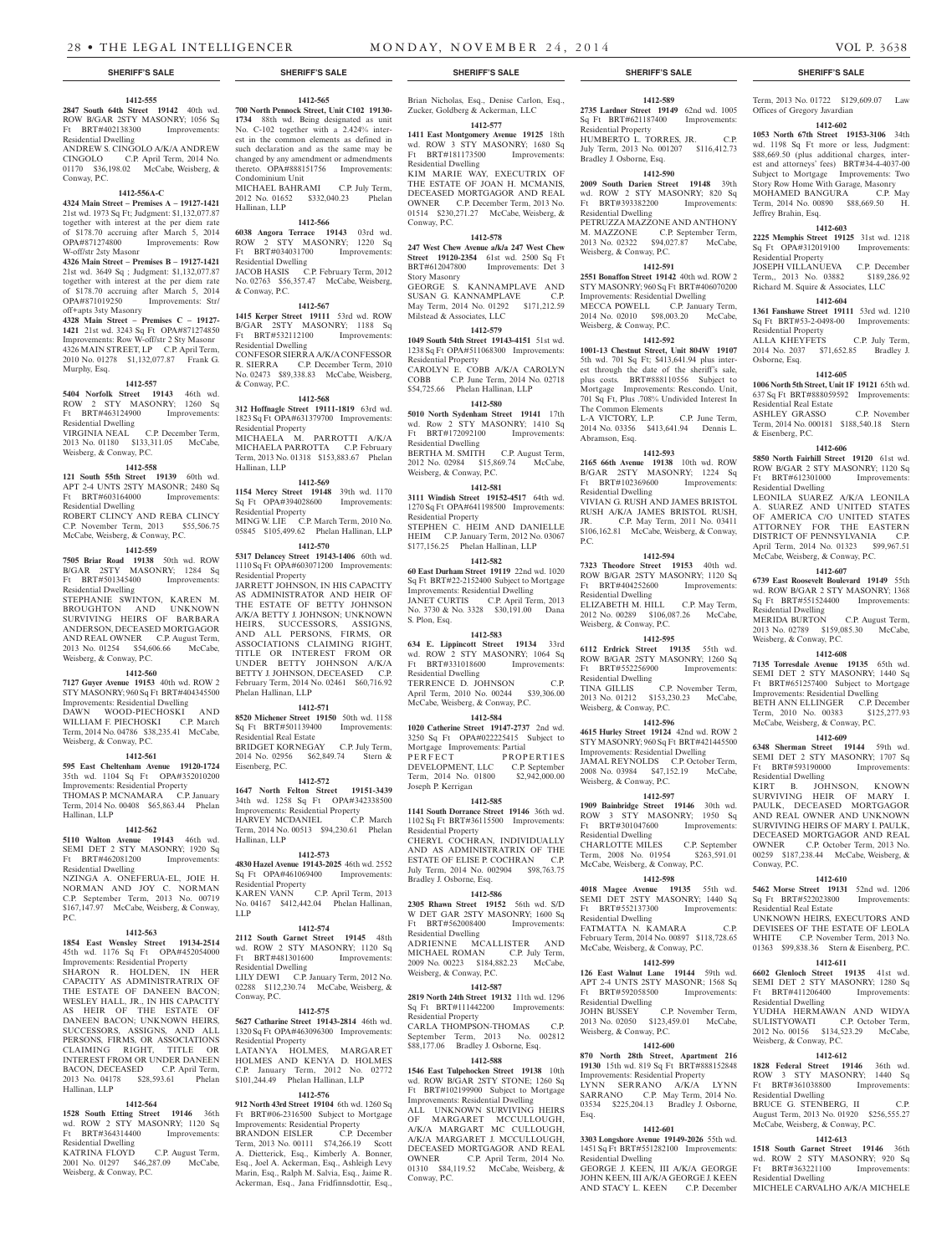Condominium Unit

Residential Dwelling

Residential Dwelling

& Conway, P.C.

Residential Property

Residential Property

Residential Property

Phelan Hallinan, LLP

Residential Real Estate

HARVEY MCDANIEL

Eisenberg, P.C.

Hallinan, LLP

LLP

Residential Property

Residential Dwelling

Residential Property

BRANDON EISLER

Conway, P.C.

Hallinan, LLP

& Conway, P.C.

Hallinan, LLP

**1412-565 700 North Pennock Street, Unit C102 19130-**

such declaration and as the same may be changed by any amendment or admendments thereto. OPA#888151756 Improvements:

MICHAEL BAHRAMI C.P. July Term, 2012 No. 01652 \$332,040.23 Phelan

**1412-566 6038 Angora Terrace 19143** 03rd wd. ROW 2 STY MASONRY; 1220 Sq Ft BRT#034031700 Improvements:

JACOB HASIS C.P. February Term, 2012 No. 02763 \$56,357.47 McCabe, Weisberg,

**1412-567 1415 Kerper Street 19111** 53rd wd. ROW B/GAR 2STY MASONRY; 1188 Sq Ft BRT#532112100 Improvements:

CONFESOR SIERRA A/K/A CONFESSOR R. SIERRA C.P. December Term, 2010 No. 02473 \$89,338.83 McCabe, Weisberg,

**1412-568 312 Hoffnagle Street 19111-1819** 63rd wd. 1823 Sq Ft OPA#631379700 Improvements:

MICHAELA M. PARROTTI A/K/A MICHAELA PARROTTA C.P. February Term, 2013 No. 01318 \$153,883.67 Phelan

**1412-569 1154 Mercy Street 19148** 39th wd. 1170 Sq Ft OPA#394028600 Improvements:

MING W. LIE C.P. March Term, 2010 No. 05845 \$105,499.62 Phelan Hallinan, LLP **1412-570 5317 Delancey Street 19143-1406** 60th wd. 1110 Sq Ft OPA#603071200 Improvements:

JARRETT JOHNSON, IN HIS CAPACITY AS ADMINISTRATOR AND HEIR OF THE ESTATE OF BETTY JOHNSON A/K/A BETTY J. JOHNSON; UNKNOWN HEIRS, SUCCESSORS, ASSIGNS, AND ALL PERSONS, FIRMS, OR ASSOCIATIONS CLAIMING RIGHT, TITLE OR INTEREST FROM OR UNDER BETTY JOHNSON A/K/A BETTY J. JOHNSON, DECEASED C.P. February Term, 2014 No. 02461 \$60,716.92

**1412-571 8520 Michener Street 19150** 50th wd. 1158 Sq Ft BRT#501139400 Improvements:

BRIDGET KORNEGAY C.P. July Term, 2014 No. 02956 \$62,849.74 Stern &

**1412-572 1647 North Felton Street 19151-3439**  34th wd. 1258 Sq Ft OPA#342338500 Improvements: Residential Property<br>
HARVEY MCDANIEL C.P. March

Term, 2014 No. 00513 \$94,230.61 Phelan

**1412-573 4830 Hazel Avenue 19143-2025** 46th wd. 2552 Sq Ft OPA#461069400 Improvements:

KAREN VANN C.P. April Term, 2013 No. 04167 \$412,442.04 Phelan Hallinan,

**1412-574 2112 South Garnet Street 19145** 48th wd. ROW 2 STY MASONRY; 1120 Sq Ft BRT#481301600 Improvements:

LILY DEWI C.P. January Term, 2012 No. 02288 \$112,230.74 McCabe, Weisberg, &

**1412-575 5627 Catharine Street 19143-2814** 46th wd. 1320 Sq Ft OPA#463096300 Improvements:

LATANYA HOLMES, MARGARET HOLMES AND KENYA D. HOLMES C.P. January Term, 2012 No. 02772 \$101,244.49 Phelan Hallinan, LLP **1412-576 912 North 43rd Street 19104** 6th wd. 1260 Sq Ft BRT#06-2316500 Subject to Mortgage Improvements: Residential Property

Term, 2013 No. 00111 \$74,266.19 Scott A. Dietterick, Esq., Kimberly A. Bonner, Esq., Joel A. Ackerman, Esq., Ashleigh Levy Marin, Esq., Ralph M. Salvia, Esq., Jaime R. Ackerman, Esq., Jana Fridfinnsdottir, Esq.,

## **1412-555**

**2847 South 64th Street 19142** 40th wd. ROW B/GAR 2STY MASONRY; 1056 Sq Ft BRT#402138300 Improvements: Residential Dwelling

ANDREW S. CINGOLO A/K/A ANDREW CINGOLO C.P. April Term, 2014 No. 01170 \$36,198.02 McCabe, Weisberg, & Conway, P.C.

### **1412-556A-C**

**4324 Main Street – Premises A – 19127-1421**  21st wd. 1973 Sq Ft; Judgment: \$1,132,077.87 together with interest at the per diem rate of \$178.70 accruing after March 5, 2014 OPA#871274800 Improvements: Row W-off/str 2sty Masonr

**4326 Main Street – Premises B – 19127-1421**  21st wd. 3649 Sq ; Judgment: \$1,132,077.87 together with interest at the per diem rate<br>of \$178.70 accruing after March 5, 2014 of \$178.70 accruing after March 5, 2014 OPA#871019250 Improvements: Str/ off+apts 3sty Masonry

**4328 Main Street – Premises C – 19127- 1421** 21st wd. 3243 Sq Ft OPA#871274850 Improvements: Row W-off/str 2 Sty Masonr 4326 MAIN STREET, LP C.P. April Term, 2010 No. 01278 \$1,132,077.87 Frank G. Murphy, Esq.

## **1412-557**

**5404 Norfolk Street 19143** 46th wd. ROW 2 STY MASONRY; 1260 Sq<br>Ft RRT#463124900 Improvements: Ft BRT#463124900 Improvements: Residential Dwelling VIRGINIA NEAL C.P. December Term,

2013 No. 01180 \$133,311.05 McCabe, Weisberg, & Conway, P.C.

## **1412-558**

**121 South 55th Street 19139** 60th wd. APT 2-4 UNTS 2STY MASONR; 2480 Sq<br>Ft BRT#603164000 Improvements: Ft BRT#603164000 Residential Dwelling

ROBERT CLINCY AND REBA CLINCY C.P. November Term, 2013 \$55,506.75 McCabe, Weisberg, & Conway, P.C.

## **1412-559**

**7505 Briar Road 19138** 50th wd. ROW B/GAR 2STY MASONRY; 1284 Sq Ft BRT#501345400 Improvements: Residential Dwelling STEPHANIE SWINTON, KAREN M. BROUGHTON AND UNKNOWN SURVIVING HEIRS OF BARBARA ANDERSON, DECEASED MORTGAGOR AND REAL OWNER C.P. August Term,<br>2013 No. 01254 \$54,606.66 McCabe, 2013 No. 01254 \$54,606.66

# Weisberg, & Conway, P.C.

**1412-560**

**7127 Guyer Avenue 19153** 40th wd. ROW 2 STY MASONRY; 960 Sq Ft BRT#404345500 Improvements: Residential Dwelling DAWN WOOD-PIECHOSKI AND WILLIAM F. PIECHOSKI C.P. March Term, 2014 No. 04786 \$38,235.41 McCabe, Weisberg, & Conway, P.C.

#### **1412-561**

**595 East Cheltenham Avenue 19120-1724**  35th wd. 1104 Sq Ft OPA#352010200 Improvements: Residential Property THOMAS P. MCNAMARA C.P. January Term, 2014 No. 00408 \$65,863.44 Phelan Hallinan, LLP

## **1412-562**

**5110 Walton Avenue 19143** 46th wd. SEMI DET 2 STY MASONRY; 1920 Sq Ft BRT#462081200 Improvements: Residential Dwelling

NZINGA A. ONEFERUA-EL, JOIE H. NORMAN AND JOY C. NORMAN C.P. September Term, 2013 No. 00719 \$167,147.97 McCabe, Weisberg, & Conway, P.C.

### **1412-563**

**1854 East Wensley Street 19134-2514**  45th wd. 1176 Sq Ft OPA#452054000 Improvements: Residential Property SHARON R. HOLDEN, IN HER CAPACITY AS ADMINISTRATRIX OF THE ESTATE OF DANEEN BACON; WESLEY HALL, JR., IN HIS CAPACITY AS HEIR OF THE ESTATE OF DANEEN BACON; UNKNOWN HEIRS, SUCCESSORS, ASSIGNS, AND ALL PERSONS, FIRMS, OR ASSOCIATIONS CLAIMING RIGHT, TITLE OR INTEREST FROM OR UNDER DANEEN BACON, DECEASED C.P. April Term,<br>2013 No. 04178 \$28,593.61 Phelan 2013 No. 04178 \$28,593.61 Hallinan, LLP

### **1412-564**

**1528 South Etting Street 19146** 36th wd. ROW 2 STY MASONRY; 1120 Sq Ft BRT#364314400 Improvements: Residential Dwelling KATRINA FLOYD C.P. August Term, 2001 No. 01297 \$46,287.09 McCabe, Weisberg, & Conway, P.C.

## **SHERIFF'S SALE SHERIFF'S SALE SHERIFF'S SALE SHERIFF'S SALE SHERIFF'S SALE**

Brian Nicholas, Esq., Denise Carlon, Esq., Zucker, Goldberg & Ackerman, LLC

**1734** 88th wd. Being designated as unit No. C-102 together with a 2.424% interest in the common elements as defined in **1412-577 1411 East Montgomery Avenue 19125** 18th

wd. ROW 3 STY MASONRY; 1680 Sq Ft BRT#181173500 Improvements: Residential Dwelling KIM MARIE WAY, EXECUTRIX OF THE ESTATE OF JOAN H. MCMANIS, DECEASED MORTGAGOR AND REAL OWNER C.P. December Term, 2013 No. 01514 \$230,271.27 McCabe, Weisberg, & Conway, P.C.

## **1412-578**

**247 West Chew Avenue a/k/a 247 West Chew Street 19120-2354** 61st wd. 2500 Sq Ft BRT#612047800 Improvements: Det 3 Story Masonry GEORGE S. KANNAMPLAVE AND SUSAN G. KANNAMPLAVE C.P. May Term, 2014 No. 01292 \$171,212.59

## Milstead & Associates, LLC **1412-579**

**1049 South 54th Street 19143-4151** 51st wd. 1238 Sq Ft OPA#511068300 Improvements:

Residential Property CAROLYN E. COBB A/K/A CAROLYN COBB C.P. June Term, 2014 No. 02718 \$54,725.66 Phelan Hallinan, LLP

## **1412-580**

**5010 North Sydenham Street 19141** 17th wd. Row 2 STY MASONRY; 1410 Sq Ft BRT#172092100 Improvements: Residential Dwelling BERTHA M. SMITH C.P. August Term, 2012 No. 02984 \$15,869.74 McCabe, Weisberg, & Conway, P.C.

# **1412-581**

**3111 Windish Street 19152-4517** 64th wd. 1270 Sq Ft OPA#641198500 Improvements: Residential Property STEPHEN C. HEIM AND DANIELLE HEIM C.P. January Term, 2012 No. 03067

# \$177,156.25 Phelan Hallinan, LLP

**1412-582 60 East Durham Street 19119** 22nd wd. 1020 Sq Ft BRT#22-2152400 Subject to Mortgage Improvements: Residential Dwelling JANET CURTIS C.P. April Term, 2013 No. 3730 & No. 3328 \$30,191.00 Dana S. Plon, Esq.

### **1412-583**

**634 E. Lippincott Street 19134** 33rd wd. ROW<sup>12</sup> STY MASONRY; 1064 Sq Ft BRT#331018600 Improvements: Residential Dwelling TERRENCE D. JOHNSON C.P. April Term, 2010 No. 00244 \$39,306.00 McCabe, Weisberg, & Conway, P.C.

# **1412-584**

**1020 Catherine Street 19147-2737** 2nd wd. 3250 Sq Ft OPA#022225415 Subject to Mortgage Improvements: Partial PERFECT PROPERTIES DEVELOPMENT, LLC C.P. September Term, 2014 No. 01800 \$2,942,000.00 Joseph P. Kerrigan

## **1412-585**

**1141 South Dorrance Street 19146** 36th wd. 1102 Sq Ft BRT#36115500 Improvements: Residential Property CHERYL COCHRAN, INDIVIDUALLY

AND AS ADMINISTRATRIX OF THE ESTATE OF ELISE P. COCHRAN C.P. July Term, 2014 No. 002904 \$98,763.75 Bradley J. Osborne, Esq.

### **1412-586**

**2305 Rhawn Street 19152** 56th wd. S/D W DET GAR 2STY MASONRY; 1600 Sq<br>Ft BRT#562008400 Improvements: Ft BRT#562008400 Residential Dwelling ADRIENNE MCALLISTER AND MICHAEL ROMAN C.P. July Term, 2009 No. 00223 \$184,882.23 McCabe, Weisberg, & Conway, P.C.

## **1412-587**

**2819 North 24th Street 19132** 11th wd. 1296 Sq Ft BRT#111442200 Improvements: Residential Property CARLA THOMPSON-THOMAS C.P. September Term, 2013 No. 002812

# \$88,177.06 Bradley J. Osborne, Esq. **1412-588**

**1546 East Tulpehocken Street 19138** 10th wd. ROW B/GAR 2STY STONE; 1260 Sq Ft BRT#102199900 Subject to Mortgage Improvements: Residential Dwelling ALL UNKNOWN SURVIVING HEIRS OF MARGARET MCCULLOUGH, A/K/A MARGART MC CULLOUGH, A/K/A MARGARET J. MCCULLOUGH, DECEASED MORTGAGOR AND REAL OWNER C.P. April Term, 2014 No. 01310 \$84,119.52 McCabe, Weisberg, & Conway, P.C.

**1412-589 2735 Lardner Street 19149** 62nd wd. 1005 Sq Ft BRT#621187400 Improvements: Residential Property HUMBERTO L. TORRES, JR. C.P. July Term, 2013 No. 001207 \$116,412.73

## Bradley J. Osborne, Esq. **1412-590**

**2009 South Darien Street 19148** 39th wd. ROW 2 STY MASONRY; 820 Sq Ft BRT#393382200 Improvements: Residential Dwelling

PETRUZZA MAZZONE AND ANTHONY M. MAZZONE C.P. September Term, 2013 No. 02322 \$94,027.87 McCabe, Weisberg, & Conway, P.C.

## **1412-591**

**2551 Bonaffon Street 19142** 40th wd. ROW 2 STY MASONRY; 960 Sq Ft BRT#406070200 Improvements: Residential Dwelling MECCA POWELL C.P. January Term, 2014 No. 02010 \$98,003.20 McCabe, Weisberg, & Conway, P.C.

## **1412-592**

**1001-13 Chestnut Street, Unit 804W 19107**  5th wd. 701 Sq Ft; \$413,641.94 plus interest through the date of the sheriff's sale, plus costs. BRT#888110556 Subject to Mortgage Improvements: Res.condo. Unit, 701 Sq Ft, Plus .708% Undivided Interest In The Common Elements L-A VICTORY, L.P. C.P. June Term, 2014 No. 03356 \$413,641.94 Dennis L.

Abramson, Esq. **1412-593**

### **2165 66th Avenue 19138** 10th wd. ROW B/GAR 2STY MASONRY; 1224 Sq Ft BRT#102369600 Improvements: Residential Dwelling VIVIAN G. RUSH AND JAMES BRISTOL RUSH A/K/A JAMES BRISTOL RUSH, JR. C.P. May Term, 2011 No. 03411 \$106,162.81 McCabe, Weisberg, & Conway,

P.C. **1412-594**

**7323 Theodore Street 19153** 40th wd. ROW B/GAR 2STY MASONRY; 1120 Sq Ft BRT#404252600 Improvements: Residential Dwelling ELIZABETH M. HILL C.P. May Term, 2012 No. 00289 \$106,087.26 McCabe,

Weisberg, & Conway, P.C. **1412-595**

**6112 Erdrick Street 19135** 55th wd. ROW B/GAR 2STY MASONRY; 1260 Sq Ft BRT#552256900 Improvements: Residential Dwelling TINA GILLIS C.P. November Term, 2013 No. 01212 \$153,230.23 McCabe, Weisberg, & Conway, P.C.

### **1412-596**

**4615 Hurley Street 19124** 42nd wd. ROW 2 STY MASONRY; 960 Sq Ft BRT#421445500 Improvements: Residential Dwelling JAMAL REYNOLDS C.P. October Term, 2008 No. 03984 \$47,152.19 McCabe, Weisberg, & Conway, P.C.

## **1412-597**

**1909 Bainbridge Street 19146** 30th wd. ROW 3 STY MASONRY; 1950 Sq Ft BRT#301047600 Improvements: Residential Dwelling CHARLOTTE MILES C.P. September<br>Term, 2008 No. 01954 \$263,591.01 Term, 2008 No. 01954

McCabe, Weisberg, & Conway, P.C. **1412-598**

**4018 Magee Avenue 19135** 55th wd. SEMI DET 2STY MASONRY; 1440 Sq Ft BRT#552137300 Improvements: Residential Dwelling

FATMATTA N. KAMARA C.P.

February Term, 2014 No. 00897 \$118,728.65 McCabe, Weisberg, & Conway, P.C.

## **1412-599 126 East Walnut Lane 19144** 59th wd.

APT 2-4 UNTS 2STY MASONR; 1568 Sq Ft BRT#592058500 Improvements: Residential Dwelling

JOHN BUSSEY C.P. November Term, 2013 No. 02050 \$123,459.01 McCabe, Weisberg, & Conway, P.C.

# **1412-600**

**870 North 28th Street, Apartment 216 19130** 15th wd. 819 Sq Ft BRT#888152848 Improvements: Residential Property LYNN SERRANO A/K/A LYNN SARRANO C.P. May Term, 2014 No. 03534 \$225,204.13 Bradley J. Osborne, Esq.

## **1412-601**

**3303 Longshore Avenue 19149-2026** 55th wd. 1451 Sq Ft BRT#551282100 Improvements: Residential Dwelling

GEORGE J. KEEN, III A/K/A GEORGE JOHN KEEN, III A/K/A GEORGE J. KEEN AND STACY L. KEEN C.P. December

Term, 2013 No. 01722 \$129,609.07 Law Offices of Gregory Javardian

#### **1412-602**

**1053 North 67th Street 19153-3106** 34th wd. 1198 Sq Ft more or less, Judgment: \$88,669.50 (plus additional charges, interest and attorneys' fees) BRT#34-4-4037-00 Subject to Mortgage Improvements: Two Story Row Home With Garage, Masonry MOHAMED BANGURA C.P. May Term, 2014 No. 00890 \$88,669.50 H. Jeffrey Brahin, Esq.

#### **1412-603**

**2225 Memphis Street 19125** 31st wd. 1218 Sq Ft OPA#312019100 Improvements: Residential Property

### JOSEPH VILLANUEVA C.P. December Term,, 2013 No. 03882 \$189,286.92 Richard M. Squire & Associates, LLC

## **1412-604**

**1361 Fanshawe Street 19111** 53rd wd. 1210 Sq Ft BRT#53-2-0498-00 Improvements: Sq Ft  $BN1 \pi Z Z Z Z$ <br>Residential Property ALLA KHEYFETS C.P. July Term,

2014 No. 2037 \$71,652.85 Bradley J. Osborne, Esq. **1412-605 1006 North 5th Street, Unit 1F 19121** 65th wd.

637 Sq Ft BRT#888059592 Improvements:

ASHLEY GRASSO C.P. November Term, 2014 No. 000181 \$188,540.18 Stern

**1412-606 5850 North Fairhill Street 19120** 61st wd. ROW B/GAR 2 STY MASONRY; 1120 Sq Ft BRT#612301000 Improvements:

LEONILA SUAREZ A/K/A LEONILA A. SUAREZ AND UNITED STATES OF AMERICA C/O UNITED STATES ATTORNEY FOR THE EASTERN DISTRICT OF PENNSYLVANIA C.P. April Term, 2014 No. 01323 \$99,967.51 McCabe, Weisberg, & Conway, P.C. **1412-607 6739 East Roosevelt Boulevard 19149** 55th wd. ROW B/GAR 2 STY MASONRY; 1368 Sq Ft BRT#551524400 Improvements:

MERIDA BURTON C.P. August Term, 2013 No. 02789 \$159,085.30 McCabe,

**1412-608 7135 Torresdale Avenue 19135** 65th wd. SEMI DET 2 STY MASONRY; 1440 Sq Ft BRT#651257400 Subject to Mortgage Improvements: Residential Dwelling BETH ANN ELLINGER C.P. December Term, 2010 No. 00383 \$125,277.93 McCabe, Weisberg, & Conway, P.C. **1412-609 6348 Sherman Street 19144** 59th wd. SEMI DET 2 STY MASONRY; 1707 Sq Ft BRT#593190000 Improvements:

KIRT B. JOHNSON, KNOWN SURVIVING HEIR OF MARY I. PAULK, DECEASED MORTGAGOR AND REAL OWNER AND UNKNOWN SURVIVING HEIRS OF MARY I. PAULK, DECEASED MORTGAGOR AND REAL OWNER C.P. October Term, 2013 No. 00259 \$187,238.44 McCabe, Weisberg, &

**1412-610 5462 Morse Street 19131** 52nd wd. 1206 Sq Ft BRT#522023800 Improvements:

UNKNOWN HEIRS, EXECUTORS AND DEVISEES OF THE ESTATE OF LEOLA WHITE C.P. November Term, 2013 No. 01363 \$99,838.36 Stern & Eisenberg, P.C. **1412-611 6602 Glenloch Street 19135** 41st wd. SEMI DET 2 STY MASONRY; 1280 Sq Ft BRT#411206400 Improvements:

YUDHA HERMAWAN AND WIDYA SULISTYOWATI C.P. October Term, 2012 No. 00156 \$134,523.29 McCabe,

**1412-612 1828 Federal Street 19146** 36th wd. ROW 3 STY MASONRY; 1440 Sq Ft BRT#361038800 Improvements:

August Term, 2013 No. 01920 \$256,555.27 McCabe, Weisberg, & Conway, P.C. **1412-613 1518 South Garnet Street 19146** 36th wd. ROW 2 STY MASONRY; 920 Sq Ft BRT#363221100 Improvements:

MICHELE CARVALHO A/K/A MICHELE

Residential Real Estate

& Eisenberg, P.C.

Residential Dwelling

Residential Dwelling

Weisberg, & Conway, P.C.

Residential Dwelling

Conway, P.C.

Residential Real Estate

Residential Dwelling

Residential Dwelling BRUCE G. STENBERG, II

Residential Dwelling

Weisberg, & Conway, P.C.